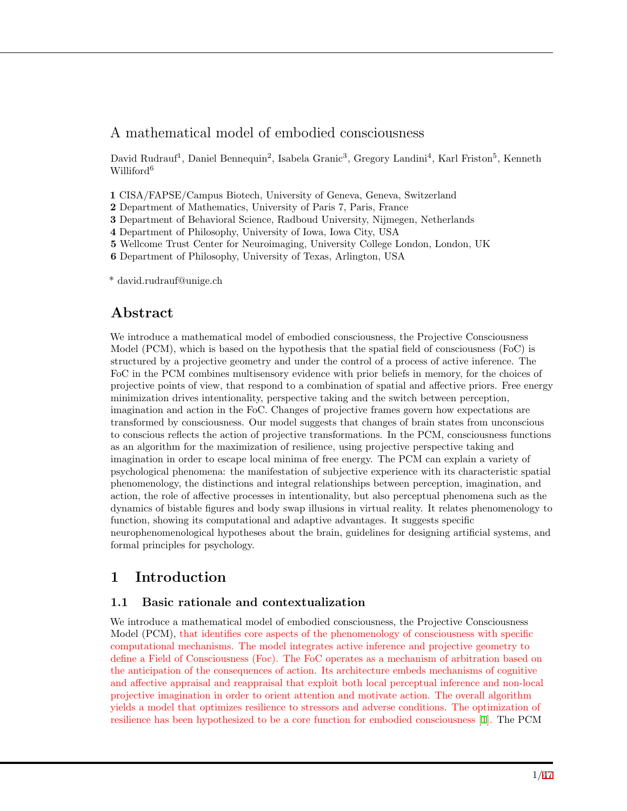# A mathematical model of embodied consciousness

David Rudrauf<sup>1</sup>, Daniel Bennequin<sup>2</sup>, Isabela Granic<sup>3</sup>, Gregory Landini<sup>4</sup>, Karl Friston<sup>5</sup>, Kenneth Williford<sup>6</sup>

**1** CISA/FAPSE/Campus Biotech, University of Geneva, Geneva, Switzerland

- **2** Department of Mathematics, University of Paris 7, Paris, France
- **3** Department of Behavioral Science, Radboud University, Nijmegen, Netherlands
- **4** Department of Philosophy, University of Iowa, Iowa City, USA
- **5** Wellcome Trust Center for Neuroimaging, University College London, London, UK
- **6** Department of Philosophy, University of Texas, Arlington, USA

\* david.rudrauf@unige.ch

# **Abstract**

We introduce a mathematical model of embodied consciousness, the Projective Consciousness Model (PCM), which is based on the hypothesis that the spatial field of consciousness (FoC) is structured by a projective geometry and under the control of a process of active inference. The FoC in the PCM combines multisensory evidence with prior beliefs in memory, for the choices of projective points of view, that respond to a combination of spatial and affective priors. Free energy minimization drives intentionality, perspective taking and the switch between perception, imagination and action in the FoC. Changes of projective frames govern how expectations are transformed by consciousness. Our model suggests that changes of brain states from unconscious to conscious reflects the action of projective transformations. In the PCM, consciousness functions as an algorithm for the maximization of resilience, using projective perspective taking and imagination in order to escape local minima of free energy. The PCM can explain a variety of psychological phenomena: the manifestation of subjective experience with its characteristic spatial phenomenology, the distinctions and integral relationships between perception, imagination, and action, the role of affective processes in intentionality, but also perceptual phenomena such as the dynamics of bistable figures and body swap illusions in virtual reality. It relates phenomenology to function, showing its computational and adaptive advantages. It suggests specific neurophenomenological hypotheses about the brain, guidelines for designing artificial systems, and formal principles for psychology.

# **1 Introduction**

### **1.1 Basic rationale and contextualization**

We introduce a mathematical model of embodied consciousness, the Projective Consciousness Model (PCM), that identifies core aspects of the phenomenology of consciousness with specific computational mechanisms. The model integrates active inference and projective geometry to define a Field of Consciousness (Foc). The FoC operates as a mechanism of arbitration based on the anticipation of the consequences of action. Its architecture embeds mechanisms of cognitive and affective appraisal and reappraisal that exploit both local perceptual inference and non-local projective imagination in order to orient attention and motivate action. The overall algorithm yields a model that optimizes resilience to stressors and adverse conditions. The optimization of resilience has been hypothesized to be a core function for embodied consciousness [\[1](#page-38-0)]. The PCM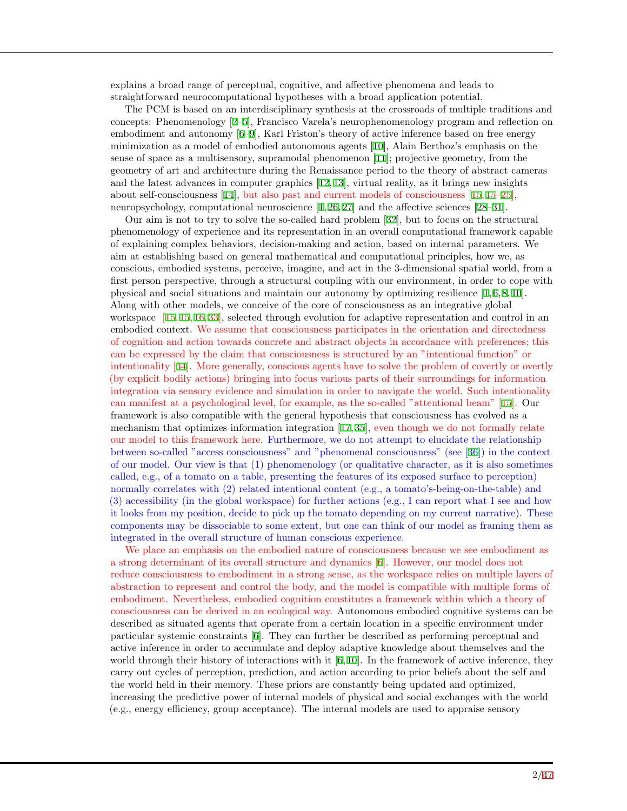explains a broad range of perceptual, cognitive, and affective phenomena and leads to straightforward neurocomputational hypotheses with a broad application potential.

The PCM is based on an interdisciplinary synthesis at the crossroads of multiple traditions and concepts: Phenomenology [[2–](#page-38-1)[5\]](#page-38-2), Francisco Varela's neurophenomenology program and reflection on embodiment and autonomy [[6–](#page-38-3)[9\]](#page-39-0), Karl Friston's theory of active inference based on free energy minimization as a model of embodied autonomous agents [\[10](#page-39-1)], Alain Berthoz's emphasis on the sense of space as a multisensory, supramodal phenomenon [[11](#page-39-2)]; projective geometry, from the geometry of art and architecture during the Renaissance period to the theory of abstract cameras and the latest advances in computer graphics [[12,](#page-39-3) [13\]](#page-39-4), virtual reality, as it brings new insights about self-consciousness [\[14](#page-39-5)], but also past and current models of consciousness [\[15](#page-39-6), [15](#page-39-6)[–25](#page-39-7)], neuropsychology, computational neuroscience [\[1](#page-38-0), [26](#page-40-0), [27](#page-40-1)] and the affective sciences [[28–](#page-40-2)[31\]](#page-40-3).

Our aim is not to try to solve the so-called hard problem [\[32](#page-40-4)], but to focus on the structural phenomenology of experience and its representation in an overall computational framework capable of explaining complex behaviors, decision-making and action, based on internal parameters. We aim at establishing based on general mathematical and computational principles, how we, as conscious, embodied systems, perceive, imagine, and act in the 3-dimensional spatial world, from a first person perspective, through a structural coupling with our environment, in order to cope with physical and social situations and maintain our autonomy by optimizing resilience  $[1, 6, 8, 10]$  $[1, 6, 8, 10]$  $[1, 6, 8, 10]$  $[1, 6, 8, 10]$  $[1, 6, 8, 10]$  $[1, 6, 8, 10]$  $[1, 6, 8, 10]$  $[1, 6, 8, 10]$ . Along with other models, we conceive of the core of consciousness as an integrative global workspace [\[15](#page-39-6), [15](#page-39-6), [16](#page-39-9), [33](#page-40-5)], selected through evolution for adaptive representation and control in an embodied context. We assume that consciousness participates in the orientation and directedness of cognition and action towards concrete and abstract objects in accordance with preferences; this can be expressed by the claim that consciousness is structured by an "intentional function" or intentionality [[34\]](#page-40-6). More generally, conscious agents have to solve the problem of covertly or overtly (by explicit bodily actions) bringing into focus various parts of their surroundings for information integration via sensory evidence and simulation in order to navigate the world. Such intentionality can manifest at a psychological level, for example, as the so-called "attentional beam" [[15\]](#page-39-6). Our framework is also compatible with the general hypothesis that consciousness has evolved as a mechanism that optimizes information integration [[17,](#page-39-10) [35\]](#page-40-7), even though we do not formally relate our model to this framework here. Furthermore, we do not attempt to elucidate the relationship between so-called "access consciousness" and "phenomenal consciousness" (see [[36](#page-40-8)]) in the context of our model. Our view is that (1) phenomenology (or qualitative character, as it is also sometimes called, e.g., of a tomato on a table, presenting the features of its exposed surface to perception) normally correlates with (2) related intentional content (e.g., a tomato's-being-on-the-table) and (3) accessibility (in the global workspace) for further actions (e.g., I can report what I see and how it looks from my position, decide to pick up the tomato depending on my current narrative). These components may be dissociable to some extent, but one can think of our model as framing them as integrated in the overall structure of human conscious experience.

We place an emphasis on the embodied nature of consciousness because we see embodiment as a strong determinant of its overall structure and dynamics [[6](#page-38-3)]. However, our model does not reduce consciousness to embodiment in a strong sense, as the workspace relies on multiple layers of abstraction to represent and control the body, and the model is compatible with multiple forms of embodiment. Nevertheless, embodied cognition constitutes a framework within which a theory of consciousness can be derived in an ecological way. Autonomous embodied cognitive systems can be described as situated agents that operate from a certain location in a specific environment under particular systemic constraints [[6\]](#page-38-3). They can further be described as performing perceptual and active inference in order to accumulate and deploy adaptive knowledge about themselves and the world through their history of interactions with it  $[6,10]$  $[6,10]$  $[6,10]$ . In the framework of active inference, they carry out cycles of perception, prediction, and action according to prior beliefs about the self and the world held in their memory. These priors are constantly being updated and optimized, increasing the predictive power of internal models of physical and social exchanges with the world (e.g., energy efficiency, group acceptance). The internal models are used to appraise sensory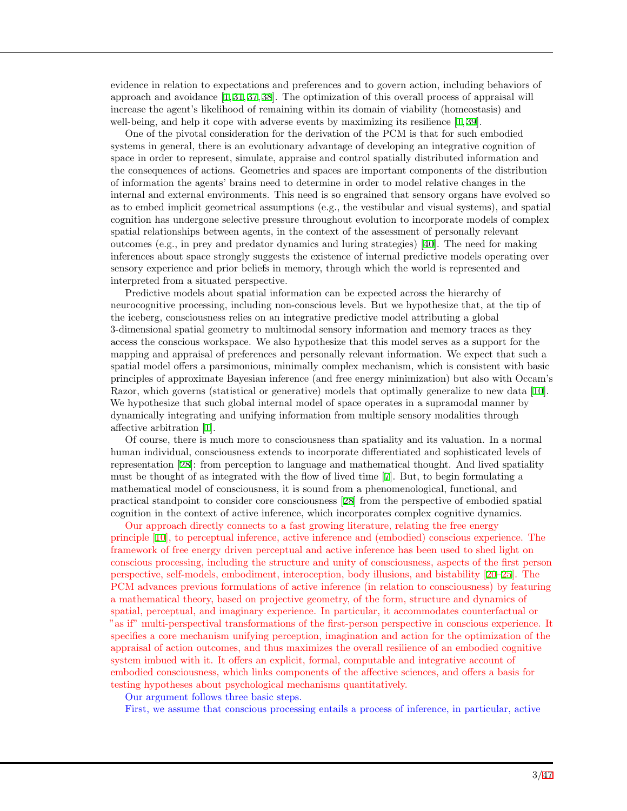evidence in relation to expectations and preferences and to govern action, including behaviors of approach and avoidance [[1,](#page-38-0) [31,](#page-40-3) [37,](#page-40-9) [38\]](#page-40-10). The optimization of this overall process of appraisal will increase the agent's likelihood of remaining within its domain of viability (homeostasis) and well-being, and help it cope with adverse events by maximizing its resilience [\[1](#page-38-0),[39](#page-40-11)].

One of the pivotal consideration for the derivation of the PCM is that for such embodied systems in general, there is an evolutionary advantage of developing an integrative cognition of space in order to represent, simulate, appraise and control spatially distributed information and the consequences of actions. Geometries and spaces are important components of the distribution of information the agents' brains need to determine in order to model relative changes in the internal and external environments. This need is so engrained that sensory organs have evolved so as to embed implicit geometrical assumptions (e.g., the vestibular and visual systems), and spatial cognition has undergone selective pressure throughout evolution to incorporate models of complex spatial relationships between agents, in the context of the assessment of personally relevant outcomes (e.g., in prey and predator dynamics and luring strategies) [[40\]](#page-40-12). The need for making inferences about space strongly suggests the existence of internal predictive models operating over sensory experience and prior beliefs in memory, through which the world is represented and interpreted from a situated perspective.

Predictive models about spatial information can be expected across the hierarchy of neurocognitive processing, including non-conscious levels. But we hypothesize that, at the tip of the iceberg, consciousness relies on an integrative predictive model attributing a global 3-dimensional spatial geometry to multimodal sensory information and memory traces as they access the conscious workspace. We also hypothesize that this model serves as a support for the mapping and appraisal of preferences and personally relevant information. We expect that such a spatial model offers a parsimonious, minimally complex mechanism, which is consistent with basic principles of approximate Bayesian inference (and free energy minimization) but also with Occam's Razor, which governs (statistical or generative) models that optimally generalize to new data [[10\]](#page-39-1). We hypothesize that such global internal model of space operates in a supramodal manner by dynamically integrating and unifying information from multiple sensory modalities through affective arbitration [\[1](#page-38-0)].

Of course, there is much more to consciousness than spatiality and its valuation. In a normal human individual, consciousness extends to incorporate differentiated and sophisticated levels of representation [[28\]](#page-40-2): from perception to language and mathematical thought. And lived spatiality must be thought of as integrated with the flow of lived time [[7\]](#page-39-11). But, to begin formulating a mathematical model of consciousness, it is sound from a phenomenological, functional, and practical standpoint to consider core consciousness [\[28](#page-40-2)] from the perspective of embodied spatial cognition in the context of active inference, which incorporates complex cognitive dynamics.

Our approach directly connects to a fast growing literature, relating the free energy principle [[10\]](#page-39-1), to perceptual inference, active inference and (embodied) conscious experience. The framework of free energy driven perceptual and active inference has been used to shed light on conscious processing, including the structure and unity of consciousness, aspects of the first person perspective, self-models, embodiment, interoception, body illusions, and bistability [[20](#page-39-12)[–25\]](#page-39-7). The PCM advances previous formulations of active inference (in relation to consciousness) by featuring a mathematical theory, based on projective geometry, of the form, structure and dynamics of spatial, perceptual, and imaginary experience. In particular, it accommodates counterfactual or "as if" multi-perspectival transformations of the first-person perspective in conscious experience. It specifies a core mechanism unifying perception, imagination and action for the optimization of the appraisal of action outcomes, and thus maximizes the overall resilience of an embodied cognitive system imbued with it. It offers an explicit, formal, computable and integrative account of embodied consciousness, which links components of the affective sciences, and offers a basis for testing hypotheses about psychological mechanisms quantitatively.

Our argument follows three basic steps.

First, we assume that conscious processing entails a process of inference, in particular, active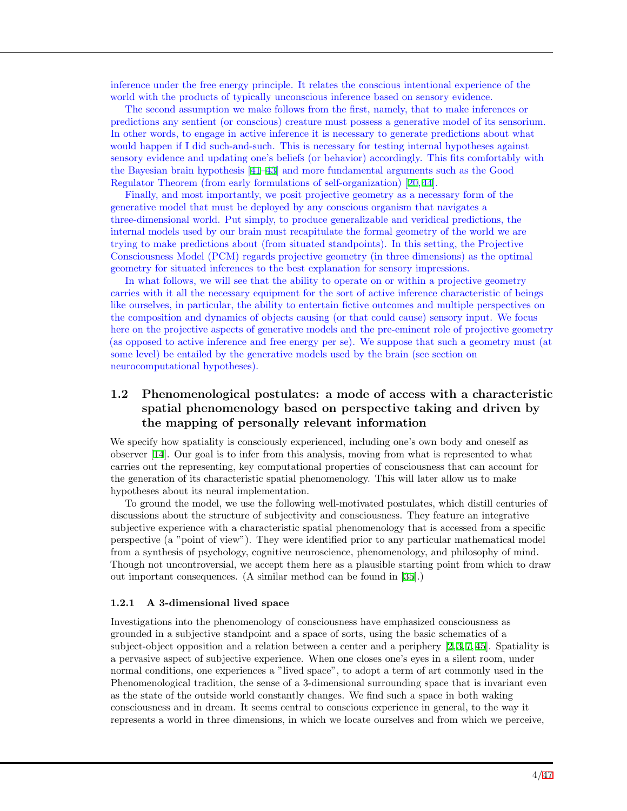inference under the free energy principle. It relates the conscious intentional experience of the world with the products of typically unconscious inference based on sensory evidence.

The second assumption we make follows from the first, namely, that to make inferences or predictions any sentient (or conscious) creature must possess a generative model of its sensorium. In other words, to engage in active inference it is necessary to generate predictions about what would happen if I did such-and-such. This is necessary for testing internal hypotheses against sensory evidence and updating one's beliefs (or behavior) accordingly. This fits comfortably with the Bayesian brain hypothesis [[41–](#page-40-13)[43\]](#page-40-14) and more fundamental arguments such as the Good Regulator Theorem (from early formulations of self-organization) [\[20](#page-39-12), [44](#page-41-0)].

Finally, and most importantly, we posit projective geometry as a necessary form of the generative model that must be deployed by any conscious organism that navigates a three-dimensional world. Put simply, to produce generalizable and veridical predictions, the internal models used by our brain must recapitulate the formal geometry of the world we are trying to make predictions about (from situated standpoints). In this setting, the Projective Consciousness Model (PCM) regards projective geometry (in three dimensions) as the optimal geometry for situated inferences to the best explanation for sensory impressions.

In what follows, we will see that the ability to operate on or within a projective geometry carries with it all the necessary equipment for the sort of active inference characteristic of beings like ourselves, in particular, the ability to entertain fictive outcomes and multiple perspectives on the composition and dynamics of objects causing (or that could cause) sensory input. We focus here on the projective aspects of generative models and the pre-eminent role of projective geometry (as opposed to active inference and free energy per se). We suppose that such a geometry must (at some level) be entailed by the generative models used by the brain (see section on neurocomputational hypotheses).

### **1.2 Phenomenological postulates: a mode of access with a characteristic spatial phenomenology based on perspective taking and driven by the mapping of personally relevant information**

We specify how spatiality is consciously experienced, including one's own body and oneself as observer [\[14](#page-39-5)]. Our goal is to infer from this analysis, moving from what is represented to what carries out the representing, key computational properties of consciousness that can account for the generation of its characteristic spatial phenomenology. This will later allow us to make hypotheses about its neural implementation.

To ground the model, we use the following well-motivated postulates, which distill centuries of discussions about the structure of subjectivity and consciousness. They feature an integrative subjective experience with a characteristic spatial phenomenology that is accessed from a specific perspective (a "point of view"). They were identified prior to any particular mathematical model from a synthesis of psychology, cognitive neuroscience, phenomenology, and philosophy of mind. Though not uncontroversial, we accept them here as a plausible starting point from which to draw out important consequences. (A similar method can be found in [[35\]](#page-40-7).)

#### **1.2.1 A 3-dimensional lived space**

Investigations into the phenomenology of consciousness have emphasized consciousness as grounded in a subjective standpoint and a space of sorts, using the basic schematics of a subject-object opposition and a relation between a center and a periphery [[2](#page-38-1), [3](#page-38-4), [7](#page-39-11), [45](#page-41-1)]. Spatiality is a pervasive aspect of subjective experience. When one closes one's eyes in a silent room, under normal conditions, one experiences a "lived space", to adopt a term of art commonly used in the Phenomenological tradition, the sense of a 3-dimensional surrounding space that is invariant even as the state of the outside world constantly changes. We find such a space in both waking consciousness and in dream. It seems central to conscious experience in general, to the way it represents a world in three dimensions, in which we locate ourselves and from which we perceive,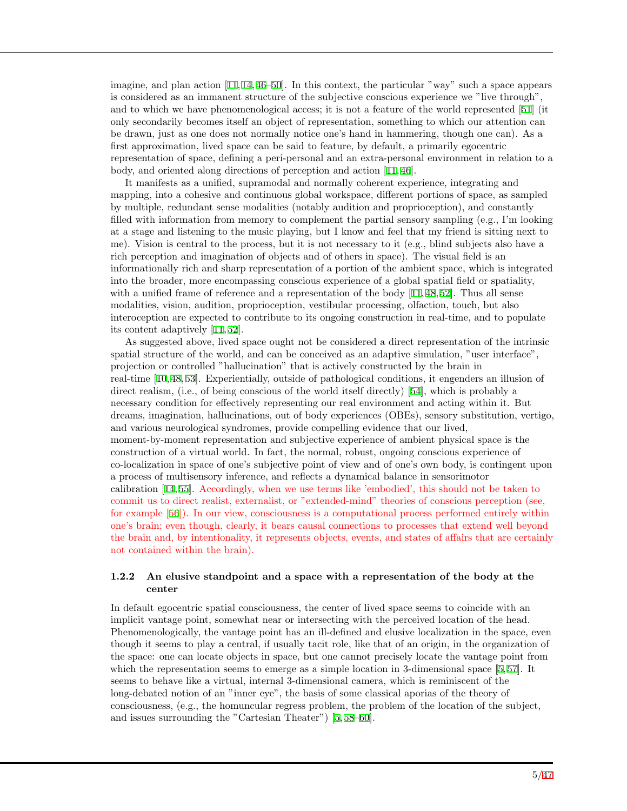imagine, and plan action [[11,](#page-39-2) [14](#page-39-5), [46](#page-41-2)[–50\]](#page-41-3). In this context, the particular "way" such a space appears is considered as an immanent structure of the subjective conscious experience we "live through", and to which we have phenomenological access; it is not a feature of the world represented [[51](#page-41-4)] (it only secondarily becomes itself an object of representation, something to which our attention can be drawn, just as one does not normally notice one's hand in hammering, though one can). As a first approximation, lived space can be said to feature, by default, a primarily egocentric representation of space, defining a peri-personal and an extra-personal environment in relation to a body, and oriented along directions of perception and action [\[11](#page-39-2), [46](#page-41-2)].

It manifests as a unified, supramodal and normally coherent experience, integrating and mapping, into a cohesive and continuous global workspace, different portions of space, as sampled by multiple, redundant sense modalities (notably audition and proprioception), and constantly filled with information from memory to complement the partial sensory sampling (e.g., I'm looking at a stage and listening to the music playing, but I know and feel that my friend is sitting next to me). Vision is central to the process, but it is not necessary to it (e.g., blind subjects also have a rich perception and imagination of objects and of others in space). The visual field is an informationally rich and sharp representation of a portion of the ambient space, which is integrated into the broader, more encompassing conscious experience of a global spatial field or spatiality, with a unified frame of reference and a representation of the body [[11,](#page-39-2) [48,](#page-41-5) [52\]](#page-41-6). Thus all sense modalities, vision, audition, proprioception, vestibular processing, olfaction, touch, but also interoception are expected to contribute to its ongoing construction in real-time, and to populate its content adaptively [[11](#page-39-2), [52](#page-41-6)].

As suggested above, lived space ought not be considered a direct representation of the intrinsic spatial structure of the world, and can be conceived as an adaptive simulation, "user interface", projection or controlled "hallucination" that is actively constructed by the brain in real-time [[10,](#page-39-1) [48,](#page-41-5) [53\]](#page-41-7). Experientially, outside of pathological conditions, it engenders an illusion of direct realism, (i.e., of being conscious of the world itself directly) [[54](#page-41-8)], which is probably a necessary condition for effectively representing our real environment and acting within it. But dreams, imagination, hallucinations, out of body experiences (OBEs), sensory substitution, vertigo, and various neurological syndromes, provide compelling evidence that our lived, moment-by-moment representation and subjective experience of ambient physical space is the construction of a virtual world. In fact, the normal, robust, ongoing conscious experience of co-localization in space of one's subjective point of view and of one's own body, is contingent upon a process of multisensory inference, and reflects a dynamical balance in sensorimotor calibration [[14,](#page-39-5) [55\]](#page-41-9). Accordingly, when we use terms like 'embodied', this should not be taken to commit us to direct realist, externalist, or "extended-mind" theories of conscious perception (see, for example [[56](#page-41-10)]). In our view, consciousness is a computational process performed entirely within one's brain; even though, clearly, it bears causal connections to processes that extend well beyond the brain and, by intentionality, it represents objects, events, and states of affairs that are certainly not contained within the brain).

#### **1.2.2 An elusive standpoint and a space with a representation of the body at the center**

In default egocentric spatial consciousness, the center of lived space seems to coincide with an implicit vantage point, somewhat near or intersecting with the perceived location of the head. Phenomenologically, the vantage point has an ill-defined and elusive localization in the space, even though it seems to play a central, if usually tacit role, like that of an origin, in the organization of the space: one can locate objects in space, but one cannot precisely locate the vantage point from which the representation seems to emerge as a simple location in 3-dimensional space [\[5](#page-38-2),[57](#page-41-11)]. It seems to behave like a virtual, internal 3-dimensional camera, which is reminiscent of the long-debated notion of an "inner eye", the basis of some classical aporias of the theory of consciousness, (e.g., the homuncular regress problem, the problem of the location of the subject, and issues surrounding the "Cartesian Theater") [[5,](#page-38-2) [58](#page-41-12)[–60\]](#page-41-13).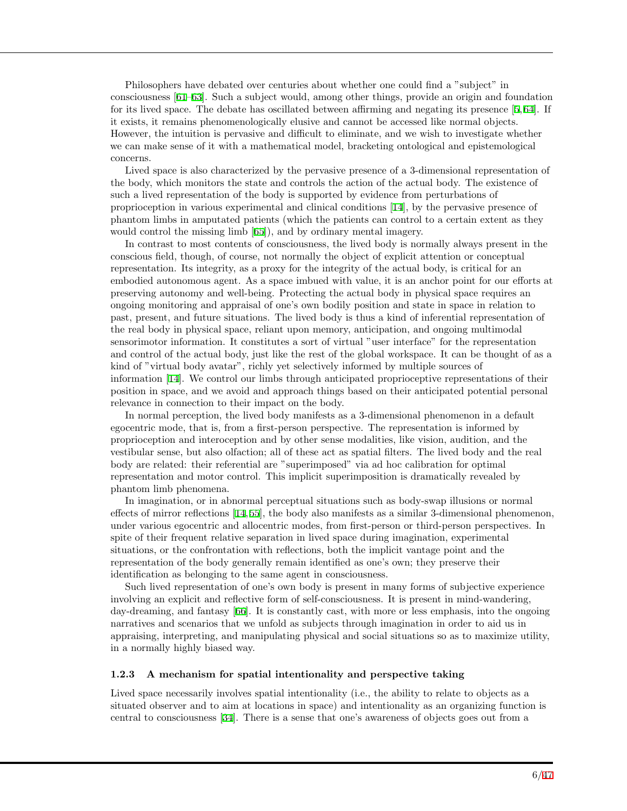Philosophers have debated over centuries about whether one could find a "subject" in consciousness [\[61](#page-41-14)[–63](#page-41-15)]. Such a subject would, among other things, provide an origin and foundation for its lived space. The debate has oscillated between affirming and negating its presence [\[5](#page-38-2), [64\]](#page-41-16). If it exists, it remains phenomenologically elusive and cannot be accessed like normal objects. However, the intuition is pervasive and difficult to eliminate, and we wish to investigate whether we can make sense of it with a mathematical model, bracketing ontological and epistemological concerns.

Lived space is also characterized by the pervasive presence of a 3-dimensional representation of the body, which monitors the state and controls the action of the actual body. The existence of such a lived representation of the body is supported by evidence from perturbations of proprioception in various experimental and clinical conditions [[14\]](#page-39-5), by the pervasive presence of phantom limbs in amputated patients (which the patients can control to a certain extent as they would control the missing limb [[65](#page-41-17)]), and by ordinary mental imagery.

In contrast to most contents of consciousness, the lived body is normally always present in the conscious field, though, of course, not normally the object of explicit attention or conceptual representation. Its integrity, as a proxy for the integrity of the actual body, is critical for an embodied autonomous agent. As a space imbued with value, it is an anchor point for our efforts at preserving autonomy and well-being. Protecting the actual body in physical space requires an ongoing monitoring and appraisal of one's own bodily position and state in space in relation to past, present, and future situations. The lived body is thus a kind of inferential representation of the real body in physical space, reliant upon memory, anticipation, and ongoing multimodal sensorimotor information. It constitutes a sort of virtual "user interface" for the representation and control of the actual body, just like the rest of the global workspace. It can be thought of as a kind of "virtual body avatar", richly yet selectively informed by multiple sources of information [[14\]](#page-39-5). We control our limbs through anticipated proprioceptive representations of their position in space, and we avoid and approach things based on their anticipated potential personal relevance in connection to their impact on the body.

In normal perception, the lived body manifests as a 3-dimensional phenomenon in a default egocentric mode, that is, from a first-person perspective. The representation is informed by proprioception and interoception and by other sense modalities, like vision, audition, and the vestibular sense, but also olfaction; all of these act as spatial filters. The lived body and the real body are related: their referential are "superimposed" via ad hoc calibration for optimal representation and motor control. This implicit superimposition is dramatically revealed by phantom limb phenomena.

In imagination, or in abnormal perceptual situations such as body-swap illusions or normal effects of mirror reflections [[14,](#page-39-5)[55\]](#page-41-9), the body also manifests as a similar 3-dimensional phenomenon, under various egocentric and allocentric modes, from first-person or third-person perspectives. In spite of their frequent relative separation in lived space during imagination, experimental situations, or the confrontation with reflections, both the implicit vantage point and the representation of the body generally remain identified as one's own; they preserve their identification as belonging to the same agent in consciousness.

Such lived representation of one's own body is present in many forms of subjective experience involving an explicit and reflective form of self-consciousness. It is present in mind-wandering, day-dreaming, and fantasy [\[66](#page-42-0)]. It is constantly cast, with more or less emphasis, into the ongoing narratives and scenarios that we unfold as subjects through imagination in order to aid us in appraising, interpreting, and manipulating physical and social situations so as to maximize utility, in a normally highly biased way.

#### **1.2.3 A mechanism for spatial intentionality and perspective taking**

Lived space necessarily involves spatial intentionality (i.e., the ability to relate to objects as a situated observer and to aim at locations in space) and intentionality as an organizing function is central to consciousness [[34\]](#page-40-6). There is a sense that one's awareness of objects goes out from a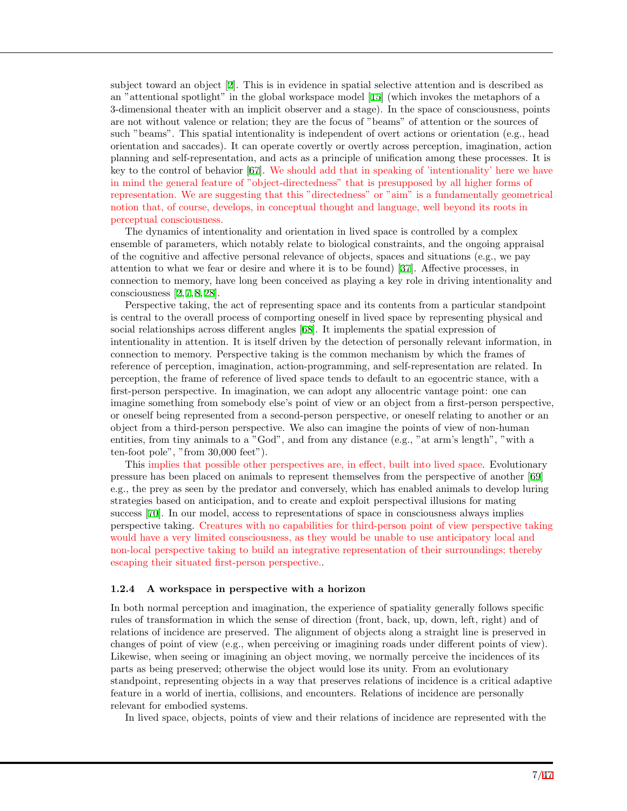subject toward an object [[2\]](#page-38-1). This is in evidence in spatial selective attention and is described as an "attentional spotlight" in the global workspace model [[15](#page-39-6)] (which invokes the metaphors of a 3-dimensional theater with an implicit observer and a stage). In the space of consciousness, points are not without valence or relation; they are the focus of "beams" of attention or the sources of such "beams". This spatial intentionality is independent of overt actions or orientation (e.g., head orientation and saccades). It can operate covertly or overtly across perception, imagination, action planning and self-representation, and acts as a principle of unification among these processes. It is key to the control of behavior [[67\]](#page-42-1). We should add that in speaking of 'intentionality' here we have in mind the general feature of "object-directedness" that is presupposed by all higher forms of representation. We are suggesting that this "directedness" or "aim" is a fundamentally geometrical notion that, of course, develops, in conceptual thought and language, well beyond its roots in perceptual consciousness.

The dynamics of intentionality and orientation in lived space is controlled by a complex ensemble of parameters, which notably relate to biological constraints, and the ongoing appraisal of the cognitive and affective personal relevance of objects, spaces and situations (e.g., we pay attention to what we fear or desire and where it is to be found) [\[37](#page-40-9)]. Affective processes, in connection to memory, have long been conceived as playing a key role in driving intentionality and consciousness  $[2, 7, 8, 28]$  $[2, 7, 8, 28]$  $[2, 7, 8, 28]$  $[2, 7, 8, 28]$  $[2, 7, 8, 28]$  $[2, 7, 8, 28]$  $[2, 7, 8, 28]$ .

Perspective taking, the act of representing space and its contents from a particular standpoint is central to the overall process of comporting oneself in lived space by representing physical and social relationships across different angles [\[68](#page-42-2)]. It implements the spatial expression of intentionality in attention. It is itself driven by the detection of personally relevant information, in connection to memory. Perspective taking is the common mechanism by which the frames of reference of perception, imagination, action-programming, and self-representation are related. In perception, the frame of reference of lived space tends to default to an egocentric stance, with a first-person perspective. In imagination, we can adopt any allocentric vantage point: one can imagine something from somebody else's point of view or an object from a first-person perspective, or oneself being represented from a second-person perspective, or oneself relating to another or an object from a third-person perspective. We also can imagine the points of view of non-human entities, from tiny animals to a "God", and from any distance (e.g., "at arm's length", "with a ten-foot pole", "from 30,000 feet").

This implies that possible other perspectives are, in effect, built into lived space. Evolutionary pressure has been placed on animals to represent themselves from the perspective of another [[69](#page-42-3)] e.g., the prey as seen by the predator and conversely, which has enabled animals to develop luring strategies based on anticipation, and to create and exploit perspectival illusions for mating success [[70\]](#page-42-4). In our model, access to representations of space in consciousness always implies perspective taking. Creatures with no capabilities for third-person point of view perspective taking would have a very limited consciousness, as they would be unable to use anticipatory local and non-local perspective taking to build an integrative representation of their surroundings; thereby escaping their situated first-person perspective..

#### **1.2.4 A workspace in perspective with a horizon**

In both normal perception and imagination, the experience of spatiality generally follows specific rules of transformation in which the sense of direction (front, back, up, down, left, right) and of relations of incidence are preserved. The alignment of objects along a straight line is preserved in changes of point of view (e.g., when perceiving or imagining roads under different points of view). Likewise, when seeing or imagining an object moving, we normally perceive the incidences of its parts as being preserved; otherwise the object would lose its unity. From an evolutionary standpoint, representing objects in a way that preserves relations of incidence is a critical adaptive feature in a world of inertia, collisions, and encounters. Relations of incidence are personally relevant for embodied systems.

In lived space, objects, points of view and their relations of incidence are represented with the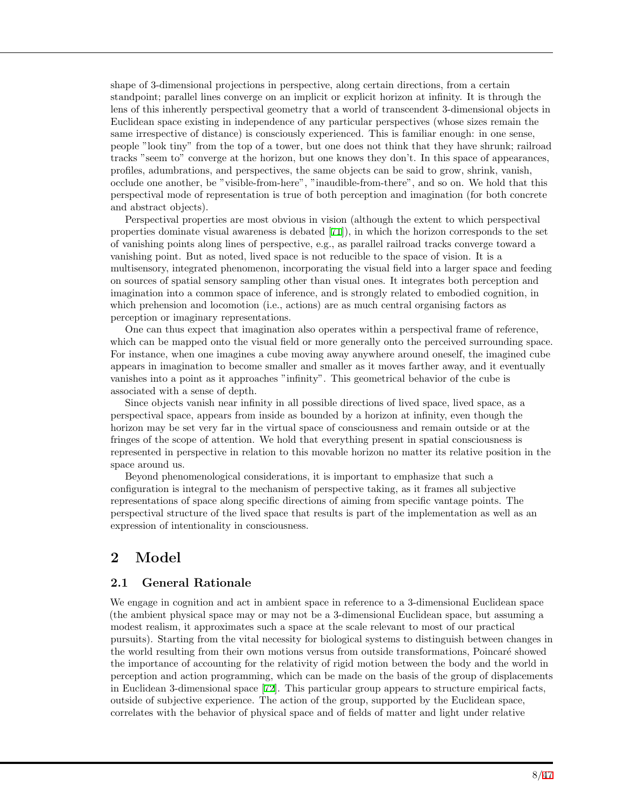shape of 3-dimensional projections in perspective, along certain directions, from a certain standpoint; parallel lines converge on an implicit or explicit horizon at infinity. It is through the lens of this inherently perspectival geometry that a world of transcendent 3-dimensional objects in Euclidean space existing in independence of any particular perspectives (whose sizes remain the same irrespective of distance) is consciously experienced. This is familiar enough: in one sense, people "look tiny" from the top of a tower, but one does not think that they have shrunk; railroad tracks "seem to" converge at the horizon, but one knows they don't. In this space of appearances, profiles, adumbrations, and perspectives, the same objects can be said to grow, shrink, vanish, occlude one another, be "visible-from-here", "inaudible-from-there", and so on. We hold that this perspectival mode of representation is true of both perception and imagination (for both concrete and abstract objects).

Perspectival properties are most obvious in vision (although the extent to which perspectival properties dominate visual awareness is debated [[71\]](#page-42-5)), in which the horizon corresponds to the set of vanishing points along lines of perspective, e.g., as parallel railroad tracks converge toward a vanishing point. But as noted, lived space is not reducible to the space of vision. It is a multisensory, integrated phenomenon, incorporating the visual field into a larger space and feeding on sources of spatial sensory sampling other than visual ones. It integrates both perception and imagination into a common space of inference, and is strongly related to embodied cognition, in which prehension and locomotion (i.e., actions) are as much central organising factors as perception or imaginary representations.

One can thus expect that imagination also operates within a perspectival frame of reference, which can be mapped onto the visual field or more generally onto the perceived surrounding space. For instance, when one imagines a cube moving away anywhere around oneself, the imagined cube appears in imagination to become smaller and smaller as it moves farther away, and it eventually vanishes into a point as it approaches "infinity". This geometrical behavior of the cube is associated with a sense of depth.

Since objects vanish near infinity in all possible directions of lived space, lived space, as a perspectival space, appears from inside as bounded by a horizon at infinity, even though the horizon may be set very far in the virtual space of consciousness and remain outside or at the fringes of the scope of attention. We hold that everything present in spatial consciousness is represented in perspective in relation to this movable horizon no matter its relative position in the space around us.

Beyond phenomenological considerations, it is important to emphasize that such a configuration is integral to the mechanism of perspective taking, as it frames all subjective representations of space along specific directions of aiming from specific vantage points. The perspectival structure of the lived space that results is part of the implementation as well as an expression of intentionality in consciousness.

# **2 Model**

### **2.1 General Rationale**

We engage in cognition and act in ambient space in reference to a 3-dimensional Euclidean space (the ambient physical space may or may not be a 3-dimensional Euclidean space, but assuming a modest realism, it approximates such a space at the scale relevant to most of our practical pursuits). Starting from the vital necessity for biological systems to distinguish between changes in the world resulting from their own motions versus from outside transformations, Poincaré showed the importance of accounting for the relativity of rigid motion between the body and the world in perception and action programming, which can be made on the basis of the group of displacements in Euclidean 3-dimensional space [\[72](#page-42-6)]. This particular group appears to structure empirical facts, outside of subjective experience. The action of the group, supported by the Euclidean space, correlates with the behavior of physical space and of fields of matter and light under relative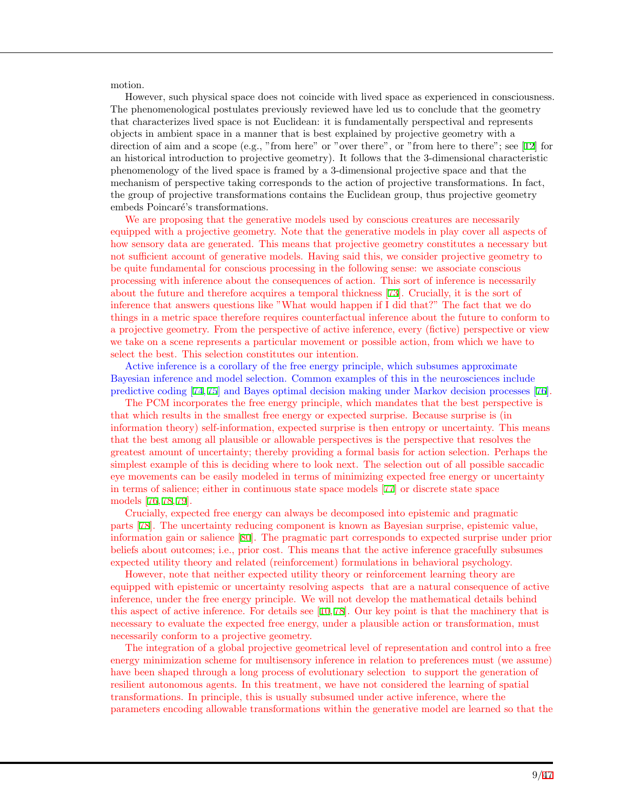motion.

However, such physical space does not coincide with lived space as experienced in consciousness. The phenomenological postulates previously reviewed have led us to conclude that the geometry that characterizes lived space is not Euclidean: it is fundamentally perspectival and represents objects in ambient space in a manner that is best explained by projective geometry with a direction of aim and a scope (e.g., "from here" or "over there", or "from here to there"; see [[12](#page-39-3)] for an historical introduction to projective geometry). It follows that the 3-dimensional characteristic phenomenology of the lived space is framed by a 3-dimensional projective space and that the mechanism of perspective taking corresponds to the action of projective transformations. In fact, the group of projective transformations contains the Euclidean group, thus projective geometry embeds Poincaré's transformations.

We are proposing that the generative models used by conscious creatures are necessarily equipped with a projective geometry. Note that the generative models in play cover all aspects of how sensory data are generated. This means that projective geometry constitutes a necessary but not sufficient account of generative models. Having said this, we consider projective geometry to be quite fundamental for conscious processing in the following sense: we associate conscious processing with inference about the consequences of action. This sort of inference is necessarily about the future and therefore acquires a temporal thickness [[73](#page-42-7)]. Crucially, it is the sort of inference that answers questions like "What would happen if I did that?" The fact that we do things in a metric space therefore requires counterfactual inference about the future to conform to a projective geometry. From the perspective of active inference, every (fictive) perspective or view we take on a scene represents a particular movement or possible action, from which we have to select the best. This selection constitutes our intention.

Active inference is a corollary of the free energy principle, which subsumes approximate Bayesian inference and model selection. Common examples of this in the neurosciences include predictive coding [[74,](#page-42-8) [75\]](#page-42-9) and Bayes optimal decision making under Markov decision processes [[76\]](#page-42-10).

The PCM incorporates the free energy principle, which mandates that the best perspective is that which results in the smallest free energy or expected surprise. Because surprise is (in information theory) self-information, expected surprise is then entropy or uncertainty. This means that the best among all plausible or allowable perspectives is the perspective that resolves the greatest amount of uncertainty; thereby providing a formal basis for action selection. Perhaps the simplest example of this is deciding where to look next. The selection out of all possible saccadic eye movements can be easily modeled in terms of minimizing expected free energy or uncertainty in terms of salience; either in continuous state space models [[77](#page-42-11)] or discrete state space models [\[76](#page-42-10), [78](#page-42-12), [79](#page-42-13)].

Crucially, expected free energy can always be decomposed into epistemic and pragmatic parts [\[78](#page-42-12)]. The uncertainty reducing component is known as Bayesian surprise, epistemic value, information gain or salience [\[80](#page-42-14)]. The pragmatic part corresponds to expected surprise under prior beliefs about outcomes; i.e., prior cost. This means that the active inference gracefully subsumes expected utility theory and related (reinforcement) formulations in behavioral psychology.

However, note that neither expected utility theory or reinforcement learning theory are equipped with epistemic or uncertainty resolving aspects that are a natural consequence of active inference, under the free energy principle. We will not develop the mathematical details behind this aspect of active inference. For details see [\[10](#page-39-1), [78](#page-42-12)]. Our key point is that the machinery that is necessary to evaluate the expected free energy, under a plausible action or transformation, must necessarily conform to a projective geometry.

The integration of a global projective geometrical level of representation and control into a free energy minimization scheme for multisensory inference in relation to preferences must (we assume) have been shaped through a long process of evolutionary selection to support the generation of resilient autonomous agents. In this treatment, we have not considered the learning of spatial transformations. In principle, this is usually subsumed under active inference, where the parameters encoding allowable transformations within the generative model are learned so that the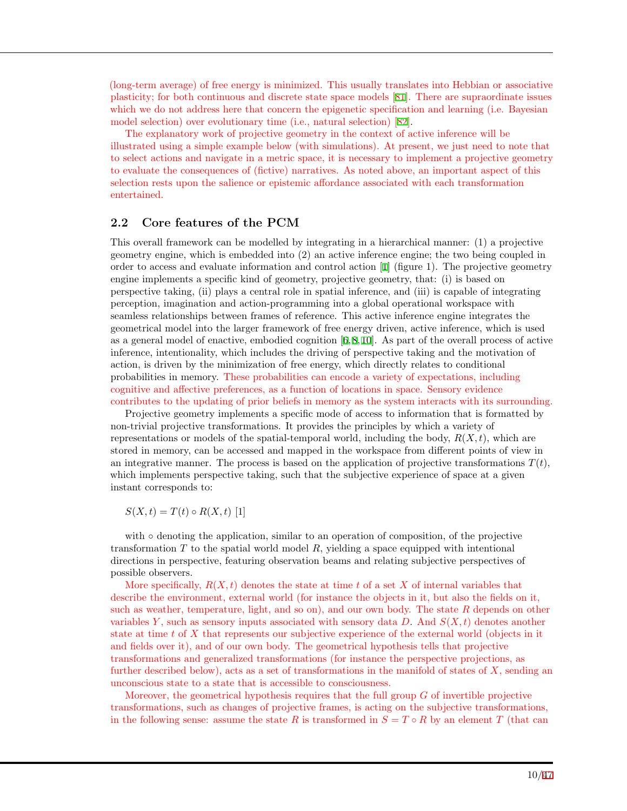(long-term average) of free energy is minimized. This usually translates into Hebbian or associative plasticity; for both continuous and discrete state space models [[81\]](#page-42-15). There are supraordinate issues which we do not address here that concern the epigenetic specification and learning (i.e. Bayesian model selection) over evolutionary time (i.e., natural selection) [[82\]](#page-42-16).

The explanatory work of projective geometry in the context of active inference will be illustrated using a simple example below (with simulations). At present, we just need to note that to select actions and navigate in a metric space, it is necessary to implement a projective geometry to evaluate the consequences of (fictive) narratives. As noted above, an important aspect of this selection rests upon the salience or epistemic affordance associated with each transformation entertained.

### **2.2 Core features of the PCM**

This overall framework can be modelled by integrating in a hierarchical manner: (1) a projective geometry engine, which is embedded into (2) an active inference engine; the two being coupled in order to access and evaluate information and control action [[1\]](#page-38-0) (figure 1). The projective geometry engine implements a specific kind of geometry, projective geometry, that: (i) is based on perspective taking, (ii) plays a central role in spatial inference, and (iii) is capable of integrating perception, imagination and action-programming into a global operational workspace with seamless relationships between frames of reference. This active inference engine integrates the geometrical model into the larger framework of free energy driven, active inference, which is used as a general model of enactive, embodied cognition [[6](#page-38-3),[8](#page-39-8),[10\]](#page-39-1). As part of the overall process of active inference, intentionality, which includes the driving of perspective taking and the motivation of action, is driven by the minimization of free energy, which directly relates to conditional probabilities in memory. These probabilities can encode a variety of expectations, including cognitive and affective preferences, as a function of locations in space. Sensory evidence contributes to the updating of prior beliefs in memory as the system interacts with its surrounding.

Projective geometry implements a specific mode of access to information that is formatted by non-trivial projective transformations. It provides the principles by which a variety of representations or models of the spatial-temporal world, including the body,  $R(X,t)$ , which are stored in memory, can be accessed and mapped in the workspace from different points of view in an integrative manner. The process is based on the application of projective transformations  $T(t)$ , which implements perspective taking, such that the subjective experience of space at a given instant corresponds to:

*S*(*X, t*) = *T*(*t*) ◦ *R*(*X, t*) [1]

with ∘ denoting the application, similar to an operation of composition, of the projective transformation *T* to the spatial world model *R*, yielding a space equipped with intentional directions in perspective, featuring observation beams and relating subjective perspectives of possible observers.

More specifically,  $R(X,t)$  denotes the state at time  $t$  of a set  $X$  of internal variables that describe the environment, external world (for instance the objects in it, but also the fields on it, such as weather, temperature, light, and so on), and our own body. The state *R* depends on other variables *Y* , such as sensory inputs associated with sensory data *D*. And *S*(*X, t*) denotes another state at time *t* of *X* that represents our subjective experience of the external world (objects in it and fields over it), and of our own body. The geometrical hypothesis tells that projective transformations and generalized transformations (for instance the perspective projections, as further described below), acts as a set of transformations in the manifold of states of *X*, sending an unconscious state to a state that is accessible to consciousness.

Moreover, the geometrical hypothesis requires that the full group *G* of invertible projective transformations, such as changes of projective frames, is acting on the subjective transformations, in the following sense: assume the state *R* is transformed in  $S = T \circ R$  by an element *T* (that can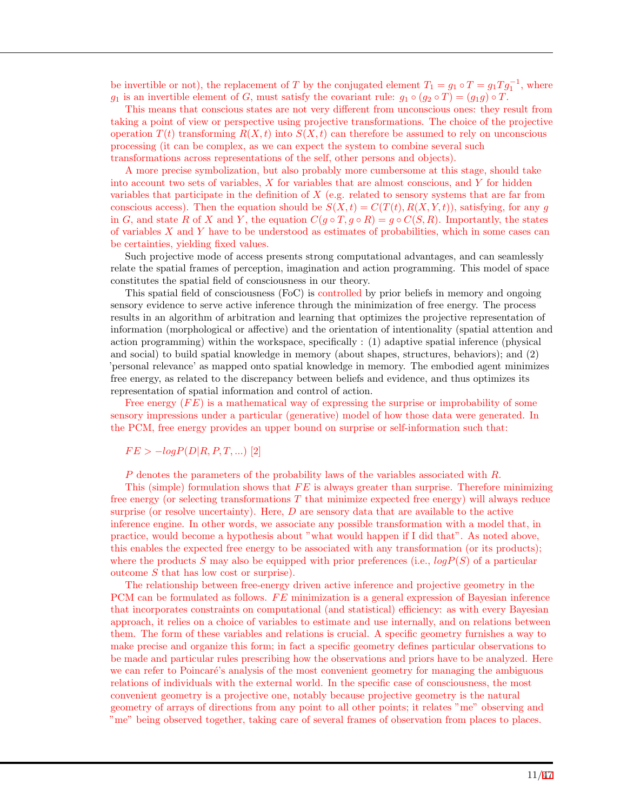be invertible or not), the replacement of *T* by the conjugated element  $T_1 = g_1 \circ T = g_1 T g_1^{-1}$ , where *g*<sub>1</sub> is an invertible element of *G*, must satisfy the covariant rule:  $g_1 \circ (g_2 \circ T) = (g_1 g) \circ T$ .

This means that conscious states are not very different from unconscious ones: they result from taking a point of view or perspective using projective transformations. The choice of the projective operation  $T(t)$  transforming  $R(X, t)$  into  $S(X, t)$  can therefore be assumed to rely on unconscious processing (it can be complex, as we can expect the system to combine several such transformations across representations of the self, other persons and objects).

A more precise symbolization, but also probably more cumbersome at this stage, should take into account two sets of variables, *X* for variables that are almost conscious, and *Y* for hidden variables that participate in the definition of *X* (e.g. related to sensory systems that are far from conscious access). Then the equation should be  $S(X,t) = C(T(t), R(X,Y,t))$ , satisfying, for any *g* in *G*, and state *R* of *X* and *Y*, the equation  $C(g \circ T, g \circ R) = g \circ C(S, R)$ . Importantly, the states of variables *X* and *Y* have to be understood as estimates of probabilities, which in some cases can be certainties, yielding fixed values.

Such projective mode of access presents strong computational advantages, and can seamlessly relate the spatial frames of perception, imagination and action programming. This model of space constitutes the spatial field of consciousness in our theory.

This spatial field of consciousness (FoC) is controlled by prior beliefs in memory and ongoing sensory evidence to serve active inference through the minimization of free energy. The process results in an algorithm of arbitration and learning that optimizes the projective representation of information (morphological or affective) and the orientation of intentionality (spatial attention and action programming) within the workspace, specifically : (1) adaptive spatial inference (physical and social) to build spatial knowledge in memory (about shapes, structures, behaviors); and (2) 'personal relevance' as mapped onto spatial knowledge in memory. The embodied agent minimizes free energy, as related to the discrepancy between beliefs and evidence, and thus optimizes its representation of spatial information and control of action.

Free energy (*F E*) is a mathematical way of expressing the surprise or improbability of some sensory impressions under a particular (generative) model of how those data were generated. In the PCM, free energy provides an upper bound on surprise or self-information such that:

$$
FE > -logP(D|R, P, T, \ldots) \ [2]
$$

*P* denotes the parameters of the probability laws of the variables associated with *R*.

This (simple) formulation shows that *F E* is always greater than surprise. Therefore minimizing free energy (or selecting transformations *T* that minimize expected free energy) will always reduce surprise (or resolve uncertainty). Here, *D* are sensory data that are available to the active inference engine. In other words, we associate any possible transformation with a model that, in practice, would become a hypothesis about "what would happen if I did that". As noted above, this enables the expected free energy to be associated with any transformation (or its products); where the products *S* may also be equipped with prior preferences (i.e., *logP*(*S*) of a particular outcome *S* that has low cost or surprise).

The relationship between free-energy driven active inference and projective geometry in the PCM can be formulated as follows. *FE* minimization is a general expression of Bayesian inference that incorporates constraints on computational (and statistical) efficiency: as with every Bayesian approach, it relies on a choice of variables to estimate and use internally, and on relations between them. The form of these variables and relations is crucial. A specific geometry furnishes a way to make precise and organize this form; in fact a specific geometry defines particular observations to be made and particular rules prescribing how the observations and priors have to be analyzed. Here we can refer to Poincaré's analysis of the most convenient geometry for managing the ambiguous relations of individuals with the external world. In the specific case of consciousness, the most convenient geometry is a projective one, notably because projective geometry is the natural geometry of arrays of directions from any point to all other points; it relates "me" observing and "me" being observed together, taking care of several frames of observation from places to places.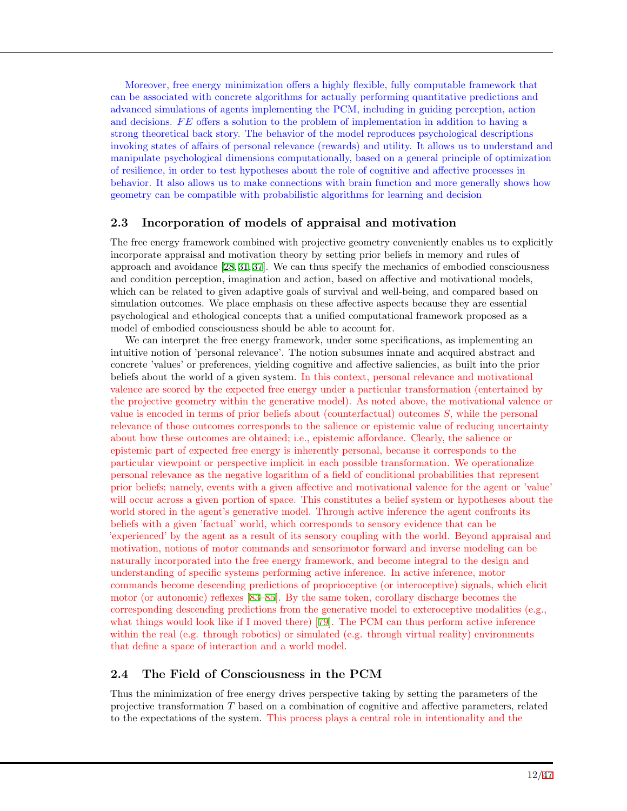Moreover, free energy minimization offers a highly flexible, fully computable framework that can be associated with concrete algorithms for actually performing quantitative predictions and advanced simulations of agents implementing the PCM, including in guiding perception, action and decisions. *F E* offers a solution to the problem of implementation in addition to having a strong theoretical back story. The behavior of the model reproduces psychological descriptions invoking states of affairs of personal relevance (rewards) and utility. It allows us to understand and manipulate psychological dimensions computationally, based on a general principle of optimization of resilience, in order to test hypotheses about the role of cognitive and affective processes in behavior. It also allows us to make connections with brain function and more generally shows how geometry can be compatible with probabilistic algorithms for learning and decision

### **2.3 Incorporation of models of appraisal and motivation**

The free energy framework combined with projective geometry conveniently enables us to explicitly incorporate appraisal and motivation theory by setting prior beliefs in memory and rules of approach and avoidance [[28,](#page-40-2) [31,](#page-40-3) [37\]](#page-40-9). We can thus specify the mechanics of embodied consciousness and condition perception, imagination and action, based on affective and motivational models, which can be related to given adaptive goals of survival and well-being, and compared based on simulation outcomes. We place emphasis on these affective aspects because they are essential psychological and ethological concepts that a unified computational framework proposed as a model of embodied consciousness should be able to account for.

We can interpret the free energy framework, under some specifications, as implementing an intuitive notion of 'personal relevance'. The notion subsumes innate and acquired abstract and concrete 'values' or preferences, yielding cognitive and affective saliencies, as built into the prior beliefs about the world of a given system. In this context, personal relevance and motivational valence are scored by the expected free energy under a particular transformation (entertained by the projective geometry within the generative model). As noted above, the motivational valence or value is encoded in terms of prior beliefs about (counterfactual) outcomes *S*, while the personal relevance of those outcomes corresponds to the salience or epistemic value of reducing uncertainty about how these outcomes are obtained; i.e., epistemic affordance. Clearly, the salience or epistemic part of expected free energy is inherently personal, because it corresponds to the particular viewpoint or perspective implicit in each possible transformation. We operationalize personal relevance as the negative logarithm of a field of conditional probabilities that represent prior beliefs; namely, events with a given affective and motivational valence for the agent or 'value' will occur across a given portion of space. This constitutes a belief system or hypotheses about the world stored in the agent's generative model. Through active inference the agent confronts its beliefs with a given 'factual' world, which corresponds to sensory evidence that can be 'experienced' by the agent as a result of its sensory coupling with the world. Beyond appraisal and motivation, notions of motor commands and sensorimotor forward and inverse modeling can be naturally incorporated into the free energy framework, and become integral to the design and understanding of specific systems performing active inference. In active inference, motor commands become descending predictions of proprioceptive (or interoceptive) signals, which elicit motor (or autonomic) reflexes [[83–](#page-42-17)[85\]](#page-42-18). By the same token, corollary discharge becomes the corresponding descending predictions from the generative model to exteroceptive modalities (e.g., what things would look like if I moved there) [[79\]](#page-42-13). The PCM can thus perform active inference within the real (e.g. through robotics) or simulated (e.g. through virtual reality) environments that define a space of interaction and a world model.

### **2.4 The Field of Consciousness in the PCM**

Thus the minimization of free energy drives perspective taking by setting the parameters of the projective transformation *T* based on a combination of cognitive and affective parameters, related to the expectations of the system. This process plays a central role in intentionality and the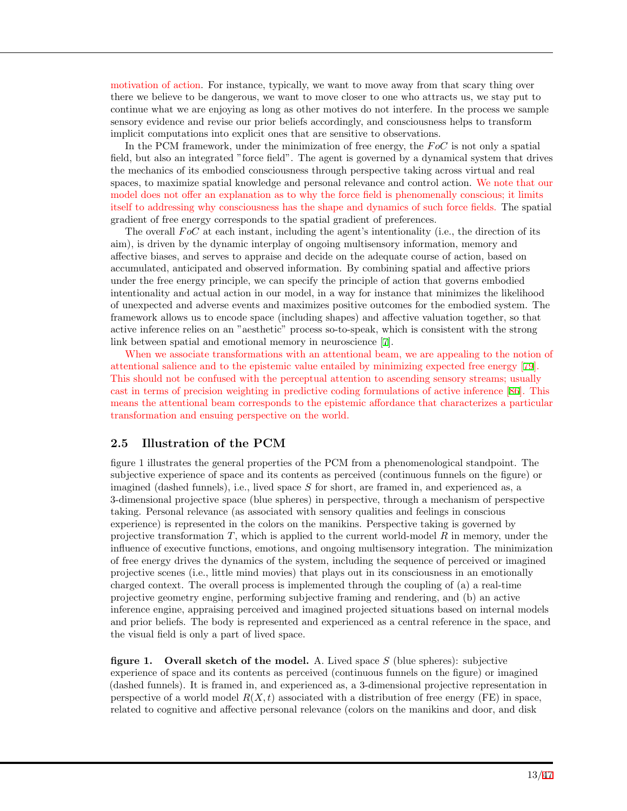motivation of action. For instance, typically, we want to move away from that scary thing over there we believe to be dangerous, we want to move closer to one who attracts us, we stay put to continue what we are enjoying as long as other motives do not interfere. In the process we sample sensory evidence and revise our prior beliefs accordingly, and consciousness helps to transform implicit computations into explicit ones that are sensitive to observations.

In the PCM framework, under the minimization of free energy, the *F oC* is not only a spatial field, but also an integrated "force field". The agent is governed by a dynamical system that drives the mechanics of its embodied consciousness through perspective taking across virtual and real spaces, to maximize spatial knowledge and personal relevance and control action. We note that our model does not offer an explanation as to why the force field is phenomenally conscious; it limits itself to addressing why consciousness has the shape and dynamics of such force fields. The spatial gradient of free energy corresponds to the spatial gradient of preferences.

The overall *FoC* at each instant, including the agent's intentionality (i.e., the direction of its aim), is driven by the dynamic interplay of ongoing multisensory information, memory and affective biases, and serves to appraise and decide on the adequate course of action, based on accumulated, anticipated and observed information. By combining spatial and affective priors under the free energy principle, we can specify the principle of action that governs embodied intentionality and actual action in our model, in a way for instance that minimizes the likelihood of unexpected and adverse events and maximizes positive outcomes for the embodied system. The framework allows us to encode space (including shapes) and affective valuation together, so that active inference relies on an "aesthetic" process so-to-speak, which is consistent with the strong link between spatial and emotional memory in neuroscience [[7](#page-39-11)].

When we associate transformations with an attentional beam, we are appealing to the notion of attentional salience and to the epistemic value entailed by minimizing expected free energy [[79](#page-42-13)]. This should not be confused with the perceptual attention to ascending sensory streams; usually cast in terms of precision weighting in predictive coding formulations of active inference [\[86](#page-43-0)]. This means the attentional beam corresponds to the epistemic affordance that characterizes a particular transformation and ensuing perspective on the world.

### **2.5 Illustration of the PCM**

figure 1 illustrates the general properties of the PCM from a phenomenological standpoint. The subjective experience of space and its contents as perceived (continuous funnels on the figure) or imagined (dashed funnels), i.e., lived space *S* for short, are framed in, and experienced as, a 3-dimensional projective space (blue spheres) in perspective, through a mechanism of perspective taking. Personal relevance (as associated with sensory qualities and feelings in conscious experience) is represented in the colors on the manikins. Perspective taking is governed by projective transformation *T*, which is applied to the current world-model *R* in memory, under the influence of executive functions, emotions, and ongoing multisensory integration. The minimization of free energy drives the dynamics of the system, including the sequence of perceived or imagined projective scenes (i.e., little mind movies) that plays out in its consciousness in an emotionally charged context. The overall process is implemented through the coupling of (a) a real-time projective geometry engine, performing subjective framing and rendering, and (b) an active inference engine, appraising perceived and imagined projected situations based on internal models and prior beliefs. The body is represented and experienced as a central reference in the space, and the visual field is only a part of lived space.

**figure 1. Overall sketch of the model.** A. Lived space *S* (blue spheres): subjective experience of space and its contents as perceived (continuous funnels on the figure) or imagined (dashed funnels). It is framed in, and experienced as, a 3-dimensional projective representation in perspective of a world model  $R(X,t)$  associated with a distribution of free energy (FE) in space, related to cognitive and affective personal relevance (colors on the manikins and door, and disk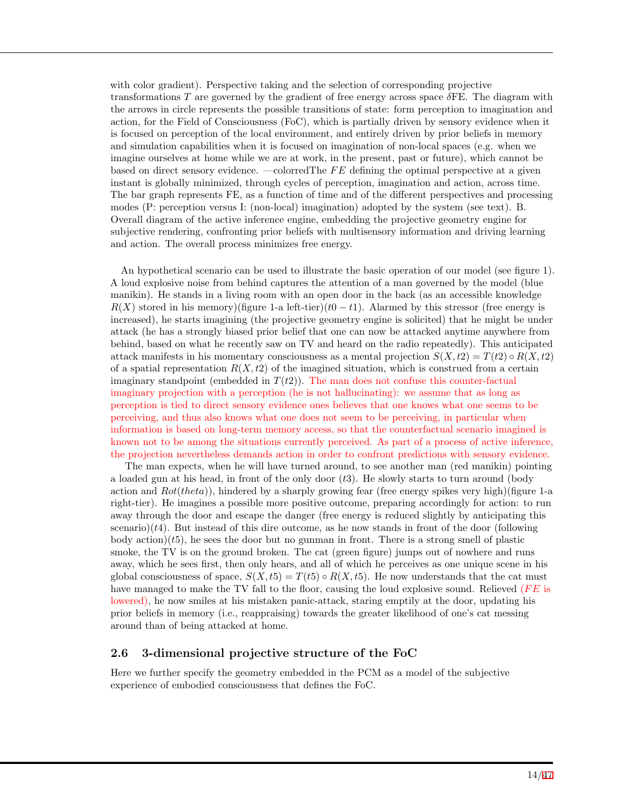with color gradient). Perspective taking and the selection of corresponding projective transformations *T* are governed by the gradient of free energy across space *δ*FE. The diagram with the arrows in circle represents the possible transitions of state: form perception to imagination and action, for the Field of Consciousness (FoC), which is partially driven by sensory evidence when it is focused on perception of the local environment, and entirely driven by prior beliefs in memory and simulation capabilities when it is focused on imagination of non-local spaces (e.g. when we imagine ourselves at home while we are at work, in the present, past or future), which cannot be based on direct sensory evidence. —colorredThe *F E* defining the optimal perspective at a given instant is globally minimized, through cycles of perception, imagination and action, across time. The bar graph represents FE, as a function of time and of the different perspectives and processing modes (P: perception versus I: (non-local) imagination) adopted by the system (see text). B. Overall diagram of the active inference engine, embedding the projective geometry engine for subjective rendering, confronting prior beliefs with multisensory information and driving learning and action. The overall process minimizes free energy.

An hypothetical scenario can be used to illustrate the basic operation of our model (see figure 1). A loud explosive noise from behind captures the attention of a man governed by the model (blue manikin). He stands in a living room with an open door in the back (as an accessible knowledge  $R(X)$  stored in his memory)(figure 1-a left-tier)( $t0 - t1$ ). Alarmed by this stressor (free energy is increased), he starts imagining (the projective geometry engine is solicited) that he might be under attack (he has a strongly biased prior belief that one can now be attacked anytime anywhere from behind, based on what he recently saw on TV and heard on the radio repeatedly). This anticipated attack manifests in his momentary consciousness as a mental projection  $S(X,t2) = T(t2) \circ R(X,t2)$ of a spatial representation  $R(X,t2)$  of the imagined situation, which is construed from a certain imaginary standpoint (embedded in  $T(t2)$ ). The man does not confuse this counter-factual imaginary projection with a perception (he is not hallucinating): we assume that as long as perception is tied to direct sensory evidence ones believes that one knows what one seems to be perceiving, and thus also knows what one does not seem to be perceiving, in particular when information is based on long-term memory access, so that the counterfactual scenario imagined is known not to be among the situations currently perceived. As part of a process of active inference, the projection nevertheless demands action in order to confront predictions with sensory evidence.

The man expects, when he will have turned around, to see another man (red manikin) pointing a loaded gun at his head, in front of the only door (*t*3). He slowly starts to turn around (body action and *Rot*(*theta*)), hindered by a sharply growing fear (free energy spikes very high)(figure 1-a right-tier). He imagines a possible more positive outcome, preparing accordingly for action: to run away through the door and escape the danger (free energy is reduced slightly by anticipating this scenario) $(t4)$ . But instead of this dire outcome, as he now stands in front of the door (following body action)(*t*5), he sees the door but no gunman in front. There is a strong smell of plastic smoke, the TV is on the ground broken. The cat (green figure) jumps out of nowhere and runs away, which he sees first, then only hears, and all of which he perceives as one unique scene in his global consciousness of space,  $S(X,t5) = T(t5) \circ R(X,t5)$ . He now understands that the cat must have managed to make the TV fall to the floor, causing the loud explosive sound. Relieved (*FE* is lowered), he now smiles at his mistaken panic-attack, staring emptily at the door, updating his prior beliefs in memory (i.e., reappraising) towards the greater likelihood of one's cat messing around than of being attacked at home.

### **2.6 3-dimensional projective structure of the FoC**

Here we further specify the geometry embedded in the PCM as a model of the subjective experience of embodied consciousness that defines the FoC.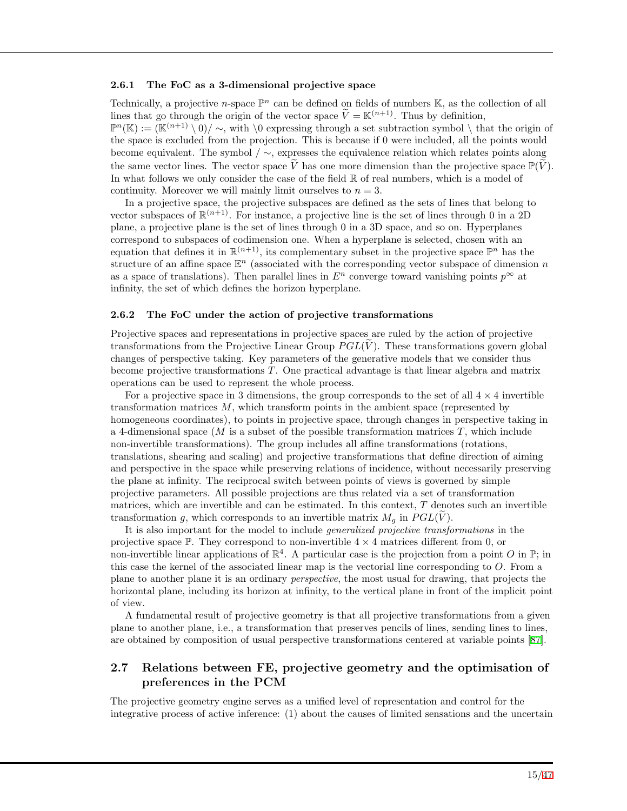#### **2.6.1 The FoC as a 3-dimensional projective space**

Technically, a projective *n*-space  $\mathbb{P}^n$  can be defined on fields of numbers  $\mathbb{K}$ , as the collection of all lines that go through the origin of the vector space  $\widetilde{V} = \mathbb{K}^{(n+1)}$ . Thus by definition,  $\mathbb{P}^n(\mathbb{K}) := (\mathbb{K}^{(n+1)} \setminus 0) / \sim$ , with  $\setminus 0$  expressing through a set subtraction symbol  $\setminus$  that the origin of the space is excluded from the projection. This is because if 0 were included, all the points would become equivalent. The symbol */ ∼*, expresses the equivalence relation which relates points along the same vector lines. The vector space  $\tilde{V}$  has one more dimension than the projective space  $\mathbb{P}(\tilde{V})$ . In what follows we only consider the case of the field  $\mathbb R$  of real numbers, which is a model of continuity. Moreover we will mainly limit ourselves to  $n = 3$ .

In a projective space, the projective subspaces are defined as the sets of lines that belong to vector subspaces of  $\mathbb{R}^{(n+1)}$ . For instance, a projective line is the set of lines through 0 in a 2D plane, a projective plane is the set of lines through 0 in a 3D space, and so on. Hyperplanes correspond to subspaces of codimension one. When a hyperplane is selected, chosen with an equation that defines it in  $\mathbb{R}^{(n+1)}$ , its complementary subset in the projective space  $\mathbb{P}^n$  has the structure of an affine space E *<sup>n</sup>* (associated with the corresponding vector subspace of dimension *n* as a space of translations). Then parallel lines in  $E^n$  converge toward vanishing points  $p^\infty$  at infinity, the set of which defines the horizon hyperplane.

#### **2.6.2 The FoC under the action of projective transformations**

Projective spaces and representations in projective spaces are ruled by the action of projective transformations from the Projective Linear Group  $PGL(V)$ . These transformations govern global changes of perspective taking. Key parameters of the generative models that we consider thus become projective transformations *T*. One practical advantage is that linear algebra and matrix operations can be used to represent the whole process.

For a projective space in 3 dimensions, the group corresponds to the set of all  $4 \times 4$  invertible transformation matrices *M*, which transform points in the ambient space (represented by homogeneous coordinates), to points in projective space, through changes in perspective taking in a 4-dimensional space (*M* is a subset of the possible transformation matrices *T*, which include non-invertible transformations). The group includes all affine transformations (rotations, translations, shearing and scaling) and projective transformations that define direction of aiming and perspective in the space while preserving relations of incidence, without necessarily preserving the plane at infinity. The reciprocal switch between points of views is governed by simple projective parameters. All possible projections are thus related via a set of transformation matrices, which are invertible and can be estimated. In this context, *T* denotes such an invertible transformation *g*, which corresponds to an invertible matrix  $M_q$  in  $PGL(V)$ .

It is also important for the model to include *generalized projective transformations* in the projective space  $\mathbb{P}$ . They correspond to non-invertible  $4 \times 4$  matrices different from 0, or non-invertible linear applications of  $\mathbb{R}^4$ . A particular case is the projection from a point *O* in  $\mathbb{P}$ ; in this case the kernel of the associated linear map is the vectorial line corresponding to *O*. From a plane to another plane it is an ordinary *perspective*, the most usual for drawing, that projects the horizontal plane, including its horizon at infinity, to the vertical plane in front of the implicit point of view.

A fundamental result of projective geometry is that all projective transformations from a given plane to another plane, i.e., a transformation that preserves pencils of lines, sending lines to lines, are obtained by composition of usual perspective transformations centered at variable points [[87](#page-43-1)].

### **2.7 Relations between FE, projective geometry and the optimisation of preferences in the PCM**

The projective geometry engine serves as a unified level of representation and control for the integrative process of active inference: (1) about the causes of limited sensations and the uncertain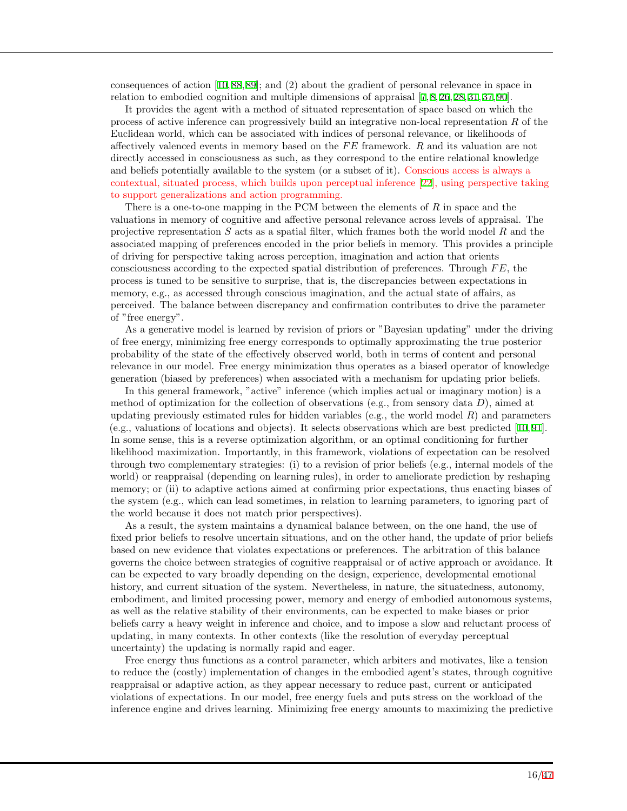consequences of action [\[10](#page-39-1), [88](#page-43-2), [89](#page-43-3)]; and (2) about the gradient of personal relevance in space in relation to embodied cognition and multiple dimensions of appraisal [[7](#page-39-11), [8](#page-39-8), [26](#page-40-0), [28](#page-40-2), [31](#page-40-3), [37](#page-40-9), [90](#page-43-4)].

It provides the agent with a method of situated representation of space based on which the process of active inference can progressively build an integrative non-local representation *R* of the Euclidean world, which can be associated with indices of personal relevance, or likelihoods of affectively valenced events in memory based on the *F E* framework. *R* and its valuation are not directly accessed in consciousness as such, as they correspond to the entire relational knowledge and beliefs potentially available to the system (or a subset of it). Conscious access is always a contextual, situated process, which builds upon perceptual inference [[22\]](#page-39-13), using perspective taking to support generalizations and action programming.

There is a one-to-one mapping in the PCM between the elements of *R* in space and the valuations in memory of cognitive and affective personal relevance across levels of appraisal. The projective representation *S* acts as a spatial filter, which frames both the world model *R* and the associated mapping of preferences encoded in the prior beliefs in memory. This provides a principle of driving for perspective taking across perception, imagination and action that orients consciousness according to the expected spatial distribution of preferences. Through *F E*, the process is tuned to be sensitive to surprise, that is, the discrepancies between expectations in memory, e.g., as accessed through conscious imagination, and the actual state of affairs, as perceived. The balance between discrepancy and confirmation contributes to drive the parameter of "free energy".

As a generative model is learned by revision of priors or "Bayesian updating" under the driving of free energy, minimizing free energy corresponds to optimally approximating the true posterior probability of the state of the effectively observed world, both in terms of content and personal relevance in our model. Free energy minimization thus operates as a biased operator of knowledge generation (biased by preferences) when associated with a mechanism for updating prior beliefs.

In this general framework, "active" inference (which implies actual or imaginary motion) is a method of optimization for the collection of observations (e.g., from sensory data *D*), aimed at updating previously estimated rules for hidden variables (e.g., the world model *R*) and parameters (e.g., valuations of locations and objects). It selects observations which are best predicted [[10](#page-39-1), [91](#page-43-5)]. In some sense, this is a reverse optimization algorithm, or an optimal conditioning for further likelihood maximization. Importantly, in this framework, violations of expectation can be resolved through two complementary strategies: (i) to a revision of prior beliefs (e.g., internal models of the world) or reappraisal (depending on learning rules), in order to ameliorate prediction by reshaping memory; or (ii) to adaptive actions aimed at confirming prior expectations, thus enacting biases of the system (e.g., which can lead sometimes, in relation to learning parameters, to ignoring part of the world because it does not match prior perspectives).

As a result, the system maintains a dynamical balance between, on the one hand, the use of fixed prior beliefs to resolve uncertain situations, and on the other hand, the update of prior beliefs based on new evidence that violates expectations or preferences. The arbitration of this balance governs the choice between strategies of cognitive reappraisal or of active approach or avoidance. It can be expected to vary broadly depending on the design, experience, developmental emotional history, and current situation of the system. Nevertheless, in nature, the situatedness, autonomy, embodiment, and limited processing power, memory and energy of embodied autonomous systems, as well as the relative stability of their environments, can be expected to make biases or prior beliefs carry a heavy weight in inference and choice, and to impose a slow and reluctant process of updating, in many contexts. In other contexts (like the resolution of everyday perceptual uncertainty) the updating is normally rapid and eager.

Free energy thus functions as a control parameter, which arbiters and motivates, like a tension to reduce the (costly) implementation of changes in the embodied agent's states, through cognitive reappraisal or adaptive action, as they appear necessary to reduce past, current or anticipated violations of expectations. In our model, free energy fuels and puts stress on the workload of the inference engine and drives learning. Minimizing free energy amounts to maximizing the predictive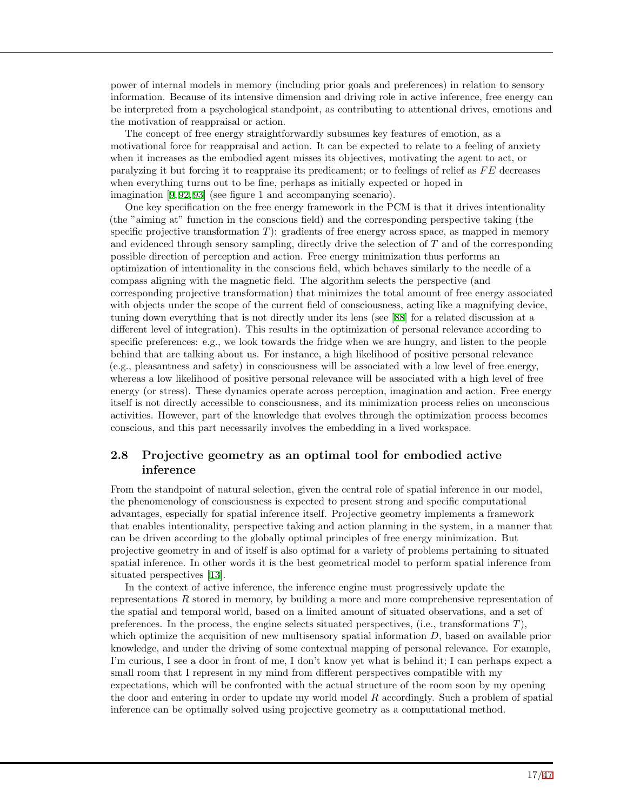power of internal models in memory (including prior goals and preferences) in relation to sensory information. Because of its intensive dimension and driving role in active inference, free energy can be interpreted from a psychological standpoint, as contributing to attentional drives, emotions and the motivation of reappraisal or action.

The concept of free energy straightforwardly subsumes key features of emotion, as a motivational force for reappraisal and action. It can be expected to relate to a feeling of anxiety when it increases as the embodied agent misses its objectives, motivating the agent to act, or paralyzing it but forcing it to reappraise its predicament; or to feelings of relief as *F E* decreases when everything turns out to be fine, perhaps as initially expected or hoped in imagination [[9,](#page-39-0) [92,](#page-43-6) [93\]](#page-43-7) (see figure 1 and accompanying scenario).

One key specification on the free energy framework in the PCM is that it drives intentionality (the "aiming at" function in the conscious field) and the corresponding perspective taking (the specific projective transformation *T*): gradients of free energy across space, as mapped in memory and evidenced through sensory sampling, directly drive the selection of *T* and of the corresponding possible direction of perception and action. Free energy minimization thus performs an optimization of intentionality in the conscious field, which behaves similarly to the needle of a compass aligning with the magnetic field. The algorithm selects the perspective (and corresponding projective transformation) that minimizes the total amount of free energy associated with objects under the scope of the current field of consciousness, acting like a magnifying device, tuning down everything that is not directly under its lens (see [\[88](#page-43-2)] for a related discussion at a different level of integration). This results in the optimization of personal relevance according to specific preferences: e.g., we look towards the fridge when we are hungry, and listen to the people behind that are talking about us. For instance, a high likelihood of positive personal relevance (e.g., pleasantness and safety) in consciousness will be associated with a low level of free energy, whereas a low likelihood of positive personal relevance will be associated with a high level of free energy (or stress). These dynamics operate across perception, imagination and action. Free energy itself is not directly accessible to consciousness, and its minimization process relies on unconscious activities. However, part of the knowledge that evolves through the optimization process becomes conscious, and this part necessarily involves the embedding in a lived workspace.

### **2.8 Projective geometry as an optimal tool for embodied active inference**

From the standpoint of natural selection, given the central role of spatial inference in our model, the phenomenology of consciousness is expected to present strong and specific computational advantages, especially for spatial inference itself. Projective geometry implements a framework that enables intentionality, perspective taking and action planning in the system, in a manner that can be driven according to the globally optimal principles of free energy minimization. But projective geometry in and of itself is also optimal for a variety of problems pertaining to situated spatial inference. In other words it is the best geometrical model to perform spatial inference from situated perspectives [[13](#page-39-4)].

In the context of active inference, the inference engine must progressively update the representations *R* stored in memory, by building a more and more comprehensive representation of the spatial and temporal world, based on a limited amount of situated observations, and a set of preferences. In the process, the engine selects situated perspectives, (i.e., transformations *T*), which optimize the acquisition of new multisensory spatial information *D*, based on available prior knowledge, and under the driving of some contextual mapping of personal relevance. For example, I'm curious, I see a door in front of me, I don't know yet what is behind it; I can perhaps expect a small room that I represent in my mind from different perspectives compatible with my expectations, which will be confronted with the actual structure of the room soon by my opening the door and entering in order to update my world model *R* accordingly. Such a problem of spatial inference can be optimally solved using projective geometry as a computational method.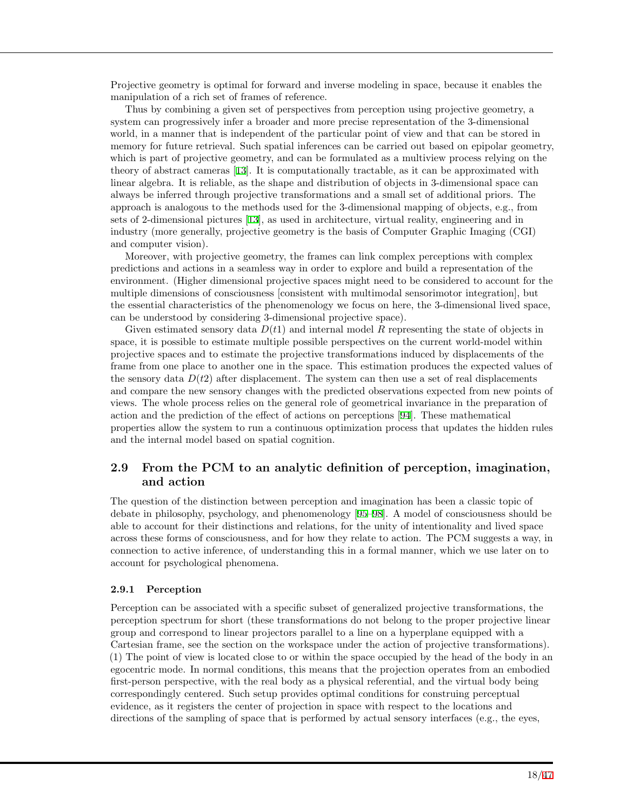Projective geometry is optimal for forward and inverse modeling in space, because it enables the manipulation of a rich set of frames of reference.

Thus by combining a given set of perspectives from perception using projective geometry, a system can progressively infer a broader and more precise representation of the 3-dimensional world, in a manner that is independent of the particular point of view and that can be stored in memory for future retrieval. Such spatial inferences can be carried out based on epipolar geometry, which is part of projective geometry, and can be formulated as a multiview process relying on the theory of abstract cameras [[13](#page-39-4)]. It is computationally tractable, as it can be approximated with linear algebra. It is reliable, as the shape and distribution of objects in 3-dimensional space can always be inferred through projective transformations and a small set of additional priors. The approach is analogous to the methods used for the 3-dimensional mapping of objects, e.g., from sets of 2-dimensional pictures [\[13](#page-39-4)], as used in architecture, virtual reality, engineering and in industry (more generally, projective geometry is the basis of Computer Graphic Imaging (CGI) and computer vision).

Moreover, with projective geometry, the frames can link complex perceptions with complex predictions and actions in a seamless way in order to explore and build a representation of the environment. (Higher dimensional projective spaces might need to be considered to account for the multiple dimensions of consciousness [consistent with multimodal sensorimotor integration], but the essential characteristics of the phenomenology we focus on here, the 3-dimensional lived space, can be understood by considering 3-dimensional projective space).

Given estimated sensory data *D*(*t*1) and internal model *R* representing the state of objects in space, it is possible to estimate multiple possible perspectives on the current world-model within projective spaces and to estimate the projective transformations induced by displacements of the frame from one place to another one in the space. This estimation produces the expected values of the sensory data  $D(t2)$  after displacement. The system can then use a set of real displacements and compare the new sensory changes with the predicted observations expected from new points of views. The whole process relies on the general role of geometrical invariance in the preparation of action and the prediction of the effect of actions on perceptions [[94\]](#page-43-8). These mathematical properties allow the system to run a continuous optimization process that updates the hidden rules and the internal model based on spatial cognition.

### **2.9 From the PCM to an analytic definition of perception, imagination, and action**

The question of the distinction between perception and imagination has been a classic topic of debate in philosophy, psychology, and phenomenology [[95–](#page-43-9)[98\]](#page-43-10). A model of consciousness should be able to account for their distinctions and relations, for the unity of intentionality and lived space across these forms of consciousness, and for how they relate to action. The PCM suggests a way, in connection to active inference, of understanding this in a formal manner, which we use later on to account for psychological phenomena.

### **2.9.1 Perception**

Perception can be associated with a specific subset of generalized projective transformations, the perception spectrum for short (these transformations do not belong to the proper projective linear group and correspond to linear projectors parallel to a line on a hyperplane equipped with a Cartesian frame, see the section on the workspace under the action of projective transformations). (1) The point of view is located close to or within the space occupied by the head of the body in an egocentric mode. In normal conditions, this means that the projection operates from an embodied first-person perspective, with the real body as a physical referential, and the virtual body being correspondingly centered. Such setup provides optimal conditions for construing perceptual evidence, as it registers the center of projection in space with respect to the locations and directions of the sampling of space that is performed by actual sensory interfaces (e.g., the eyes,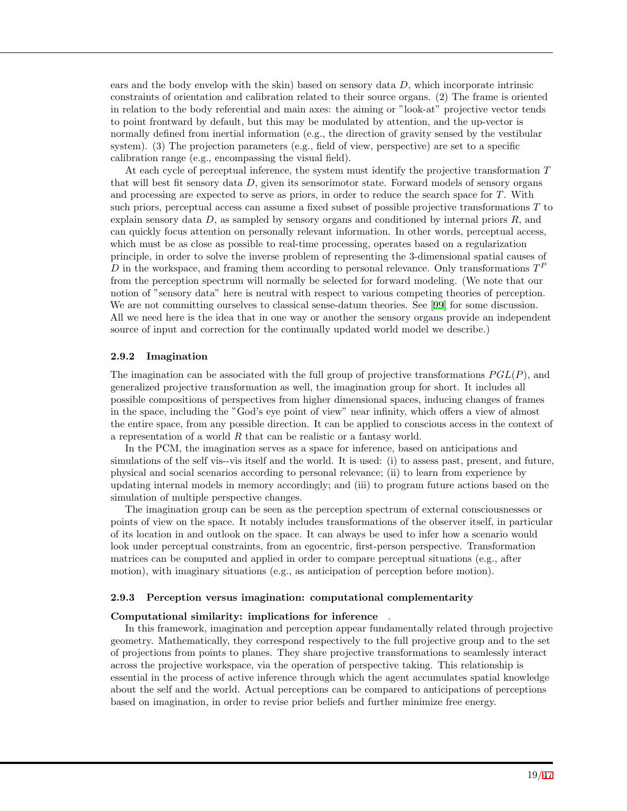ears and the body envelop with the skin) based on sensory data *D*, which incorporate intrinsic constraints of orientation and calibration related to their source organs. (2) The frame is oriented in relation to the body referential and main axes: the aiming or "look-at" projective vector tends to point frontward by default, but this may be modulated by attention, and the up-vector is normally defined from inertial information (e.g., the direction of gravity sensed by the vestibular system). (3) The projection parameters (e.g., field of view, perspective) are set to a specific calibration range (e.g., encompassing the visual field).

At each cycle of perceptual inference, the system must identify the projective transformation *T* that will best fit sensory data *D*, given its sensorimotor state. Forward models of sensory organs and processing are expected to serve as priors, in order to reduce the search space for *T*. With such priors, perceptual access can assume a fixed subset of possible projective transformations *T* to explain sensory data *D*, as sampled by sensory organs and conditioned by internal priors *R*, and can quickly focus attention on personally relevant information. In other words, perceptual access, which must be as close as possible to real-time processing, operates based on a regularization principle, in order to solve the inverse problem of representing the 3-dimensional spatial causes of *D* in the workspace, and framing them according to personal relevance. Only transformations  $T<sup>F</sup>$ from the perception spectrum will normally be selected for forward modeling. (We note that our notion of "sensory data" here is neutral with respect to various competing theories of perception. We are not committing ourselves to classical sense-datum theories. See [\[99](#page-43-11)] for some discussion. All we need here is the idea that in one way or another the sensory organs provide an independent source of input and correction for the continually updated world model we describe.)

#### **2.9.2 Imagination**

The imagination can be associated with the full group of projective transformations *P GL*(*P*), and generalized projective transformation as well, the imagination group for short. It includes all possible compositions of perspectives from higher dimensional spaces, inducing changes of frames in the space, including the "God's eye point of view" near infinity, which offers a view of almost the entire space, from any possible direction. It can be applied to conscious access in the context of a representation of a world *R* that can be realistic or a fantasy world.

In the PCM, the imagination serves as a space for inference, based on anticipations and simulations of the self vis--vis itself and the world. It is used: (i) to assess past, present, and future, physical and social scenarios according to personal relevance; (ii) to learn from experience by updating internal models in memory accordingly; and (iii) to program future actions based on the simulation of multiple perspective changes.

The imagination group can be seen as the perception spectrum of external consciousnesses or points of view on the space. It notably includes transformations of the observer itself, in particular of its location in and outlook on the space. It can always be used to infer how a scenario would look under perceptual constraints, from an egocentric, first-person perspective. Transformation matrices can be computed and applied in order to compare perceptual situations (e.g., after motion), with imaginary situations (e.g., as anticipation of perception before motion).

#### **2.9.3 Perception versus imagination: computational complementarity**

#### **Computational similarity: implications for inference** .

In this framework, imagination and perception appear fundamentally related through projective geometry. Mathematically, they correspond respectively to the full projective group and to the set of projections from points to planes. They share projective transformations to seamlessly interact across the projective workspace, via the operation of perspective taking. This relationship is essential in the process of active inference through which the agent accumulates spatial knowledge about the self and the world. Actual perceptions can be compared to anticipations of perceptions based on imagination, in order to revise prior beliefs and further minimize free energy.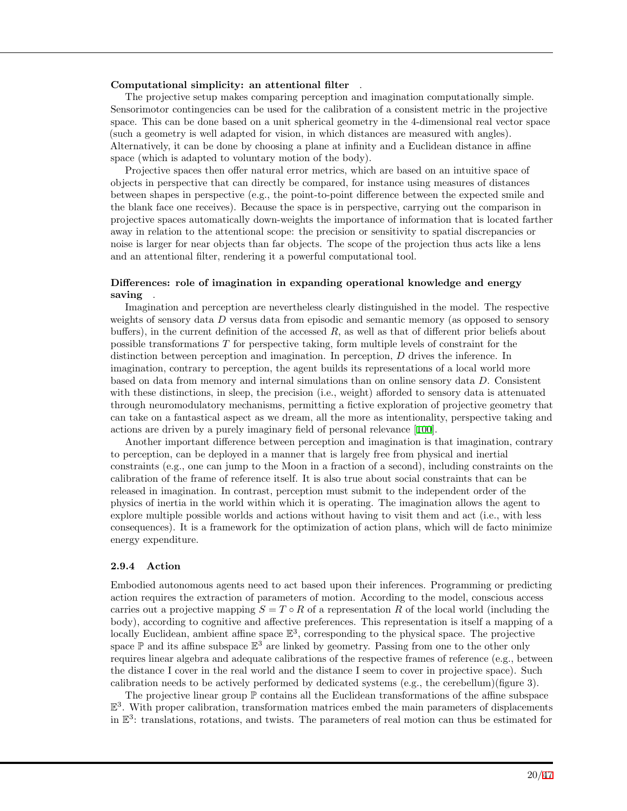#### **Computational simplicity: an attentional filter** .

The projective setup makes comparing perception and imagination computationally simple. Sensorimotor contingencies can be used for the calibration of a consistent metric in the projective space. This can be done based on a unit spherical geometry in the 4-dimensional real vector space (such a geometry is well adapted for vision, in which distances are measured with angles). Alternatively, it can be done by choosing a plane at infinity and a Euclidean distance in affine space (which is adapted to voluntary motion of the body).

Projective spaces then offer natural error metrics, which are based on an intuitive space of objects in perspective that can directly be compared, for instance using measures of distances between shapes in perspective (e.g., the point-to-point difference between the expected smile and the blank face one receives). Because the space is in perspective, carrying out the comparison in projective spaces automatically down-weights the importance of information that is located farther away in relation to the attentional scope: the precision or sensitivity to spatial discrepancies or noise is larger for near objects than far objects. The scope of the projection thus acts like a lens and an attentional filter, rendering it a powerful computational tool.

### **Differences: role of imagination in expanding operational knowledge and energy saving** .

Imagination and perception are nevertheless clearly distinguished in the model. The respective weights of sensory data *D* versus data from episodic and semantic memory (as opposed to sensory buffers), in the current definition of the accessed *R*, as well as that of different prior beliefs about possible transformations *T* for perspective taking, form multiple levels of constraint for the distinction between perception and imagination. In perception, *D* drives the inference. In imagination, contrary to perception, the agent builds its representations of a local world more based on data from memory and internal simulations than on online sensory data *D*. Consistent with these distinctions, in sleep, the precision (i.e., weight) afforded to sensory data is attenuated through neuromodulatory mechanisms, permitting a fictive exploration of projective geometry that can take on a fantastical aspect as we dream, all the more as intentionality, perspective taking and actions are driven by a purely imaginary field of personal relevance [[100\]](#page-43-12).

Another important difference between perception and imagination is that imagination, contrary to perception, can be deployed in a manner that is largely free from physical and inertial constraints (e.g., one can jump to the Moon in a fraction of a second), including constraints on the calibration of the frame of reference itself. It is also true about social constraints that can be released in imagination. In contrast, perception must submit to the independent order of the physics of inertia in the world within which it is operating. The imagination allows the agent to explore multiple possible worlds and actions without having to visit them and act (i.e., with less consequences). It is a framework for the optimization of action plans, which will de facto minimize energy expenditure.

#### **2.9.4 Action**

Embodied autonomous agents need to act based upon their inferences. Programming or predicting action requires the extraction of parameters of motion. According to the model, conscious access carries out a projective mapping  $S = T \circ R$  of a representation R of the local world (including the body), according to cognitive and affective preferences. This representation is itself a mapping of a locally Euclidean, ambient affine space  $\mathbb{E}^3$ , corresponding to the physical space. The projective space  $\mathbb P$  and its affine subspace  $\mathbb E^3$  are linked by geometry. Passing from one to the other only requires linear algebra and adequate calibrations of the respective frames of reference (e.g., between the distance I cover in the real world and the distance I seem to cover in projective space). Such calibration needs to be actively performed by dedicated systems (e.g., the cerebellum)(figure 3).

The projective linear group  $\mathbb P$  contains all the Euclidean transformations of the affine subspace E 3 . With proper calibration, transformation matrices embed the main parameters of displacements in  $\mathbb{E}^3$ : translations, rotations, and twists. The parameters of real motion can thus be estimated for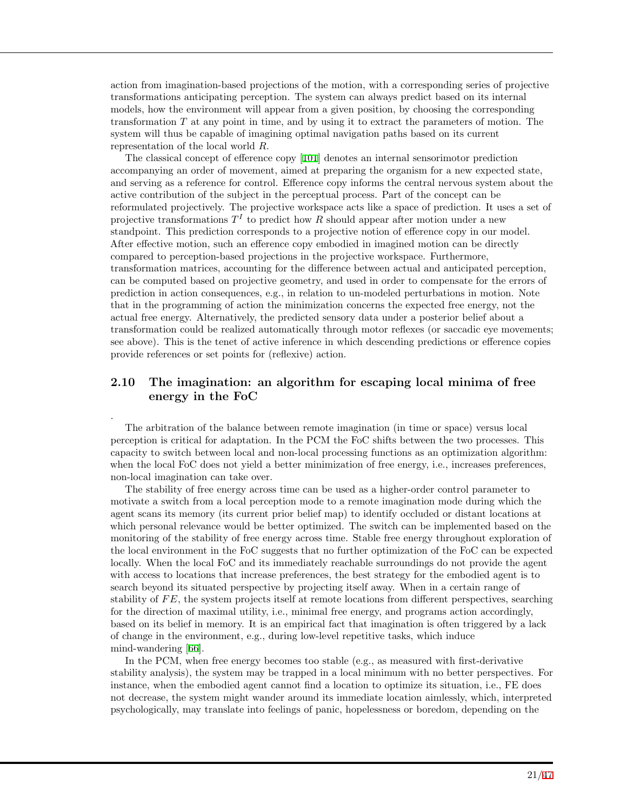action from imagination-based projections of the motion, with a corresponding series of projective transformations anticipating perception. The system can always predict based on its internal models, how the environment will appear from a given position, by choosing the corresponding transformation *T* at any point in time, and by using it to extract the parameters of motion. The system will thus be capable of imagining optimal navigation paths based on its current representation of the local world *R*.

The classical concept of efference copy [[101](#page-43-13)] denotes an internal sensorimotor prediction accompanying an order of movement, aimed at preparing the organism for a new expected state, and serving as a reference for control. Efference copy informs the central nervous system about the active contribution of the subject in the perceptual process. Part of the concept can be reformulated projectively. The projective workspace acts like a space of prediction. It uses a set of projective transformations  $T<sup>I</sup>$  to predict how  $R$  should appear after motion under a new standpoint. This prediction corresponds to a projective notion of efference copy in our model. After effective motion, such an efference copy embodied in imagined motion can be directly compared to perception-based projections in the projective workspace. Furthermore, transformation matrices, accounting for the difference between actual and anticipated perception, can be computed based on projective geometry, and used in order to compensate for the errors of prediction in action consequences, e.g., in relation to un-modeled perturbations in motion. Note that in the programming of action the minimization concerns the expected free energy, not the actual free energy. Alternatively, the predicted sensory data under a posterior belief about a transformation could be realized automatically through motor reflexes (or saccadic eye movements; see above). This is the tenet of active inference in which descending predictions or efference copies provide references or set points for (reflexive) action.

### **2.10 The imagination: an algorithm for escaping local minima of free energy in the FoC**

.

The arbitration of the balance between remote imagination (in time or space) versus local perception is critical for adaptation. In the PCM the FoC shifts between the two processes. This capacity to switch between local and non-local processing functions as an optimization algorithm: when the local FoC does not yield a better minimization of free energy, i.e., increases preferences, non-local imagination can take over.

The stability of free energy across time can be used as a higher-order control parameter to motivate a switch from a local perception mode to a remote imagination mode during which the agent scans its memory (its current prior belief map) to identify occluded or distant locations at which personal relevance would be better optimized. The switch can be implemented based on the monitoring of the stability of free energy across time. Stable free energy throughout exploration of the local environment in the FoC suggests that no further optimization of the FoC can be expected locally. When the local FoC and its immediately reachable surroundings do not provide the agent with access to locations that increase preferences, the best strategy for the embodied agent is to search beyond its situated perspective by projecting itself away. When in a certain range of stability of *F E*, the system projects itself at remote locations from different perspectives, searching for the direction of maximal utility, i.e., minimal free energy, and programs action accordingly, based on its belief in memory. It is an empirical fact that imagination is often triggered by a lack of change in the environment, e.g., during low-level repetitive tasks, which induce mind-wandering [\[66](#page-42-0)].

In the PCM, when free energy becomes too stable (e.g., as measured with first-derivative stability analysis), the system may be trapped in a local minimum with no better perspectives. For instance, when the embodied agent cannot find a location to optimize its situation, i.e., FE does not decrease, the system might wander around its immediate location aimlessly, which, interpreted psychologically, may translate into feelings of panic, hopelessness or boredom, depending on the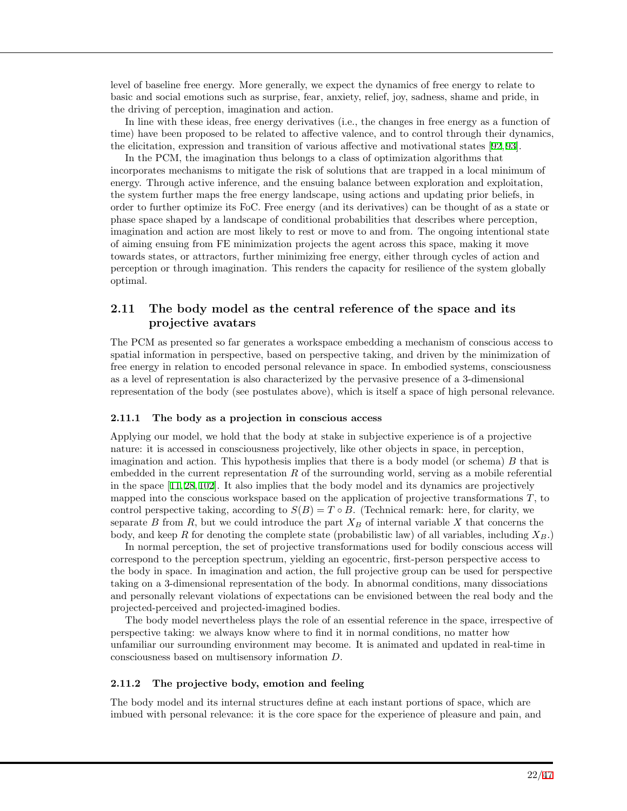level of baseline free energy. More generally, we expect the dynamics of free energy to relate to basic and social emotions such as surprise, fear, anxiety, relief, joy, sadness, shame and pride, in the driving of perception, imagination and action.

In line with these ideas, free energy derivatives (i.e., the changes in free energy as a function of time) have been proposed to be related to affective valence, and to control through their dynamics, the elicitation, expression and transition of various affective and motivational states [[92](#page-43-6), [93](#page-43-7)].

In the PCM, the imagination thus belongs to a class of optimization algorithms that incorporates mechanisms to mitigate the risk of solutions that are trapped in a local minimum of energy. Through active inference, and the ensuing balance between exploration and exploitation, the system further maps the free energy landscape, using actions and updating prior beliefs, in order to further optimize its FoC. Free energy (and its derivatives) can be thought of as a state or phase space shaped by a landscape of conditional probabilities that describes where perception, imagination and action are most likely to rest or move to and from. The ongoing intentional state of aiming ensuing from FE minimization projects the agent across this space, making it move towards states, or attractors, further minimizing free energy, either through cycles of action and perception or through imagination. This renders the capacity for resilience of the system globally optimal.

### **2.11 The body model as the central reference of the space and its projective avatars**

The PCM as presented so far generates a workspace embedding a mechanism of conscious access to spatial information in perspective, based on perspective taking, and driven by the minimization of free energy in relation to encoded personal relevance in space. In embodied systems, consciousness as a level of representation is also characterized by the pervasive presence of a 3-dimensional representation of the body (see postulates above), which is itself a space of high personal relevance.

#### **2.11.1 The body as a projection in conscious access**

Applying our model, we hold that the body at stake in subjective experience is of a projective nature: it is accessed in consciousness projectively, like other objects in space, in perception, imagination and action. This hypothesis implies that there is a body model (or schema) *B* that is embedded in the current representation *R* of the surrounding world, serving as a mobile referential in the space [\[11](#page-39-2), [28](#page-40-2), [102](#page-43-14)]. It also implies that the body model and its dynamics are projectively mapped into the conscious workspace based on the application of projective transformations *T*, to control perspective taking, according to  $S(B) = T \circ B$ . (Technical remark: here, for clarity, we separate *B* from *R*, but we could introduce the part  $X_B$  of internal variable X that concerns the body, and keep *R* for denoting the complete state (probabilistic law) of all variables, including  $X_B$ .)

In normal perception, the set of projective transformations used for bodily conscious access will correspond to the perception spectrum, yielding an egocentric, first-person perspective access to the body in space. In imagination and action, the full projective group can be used for perspective taking on a 3-dimensional representation of the body. In abnormal conditions, many dissociations and personally relevant violations of expectations can be envisioned between the real body and the projected-perceived and projected-imagined bodies.

The body model nevertheless plays the role of an essential reference in the space, irrespective of perspective taking: we always know where to find it in normal conditions, no matter how unfamiliar our surrounding environment may become. It is animated and updated in real-time in consciousness based on multisensory information *D*.

#### **2.11.2 The projective body, emotion and feeling**

The body model and its internal structures define at each instant portions of space, which are imbued with personal relevance: it is the core space for the experience of pleasure and pain, and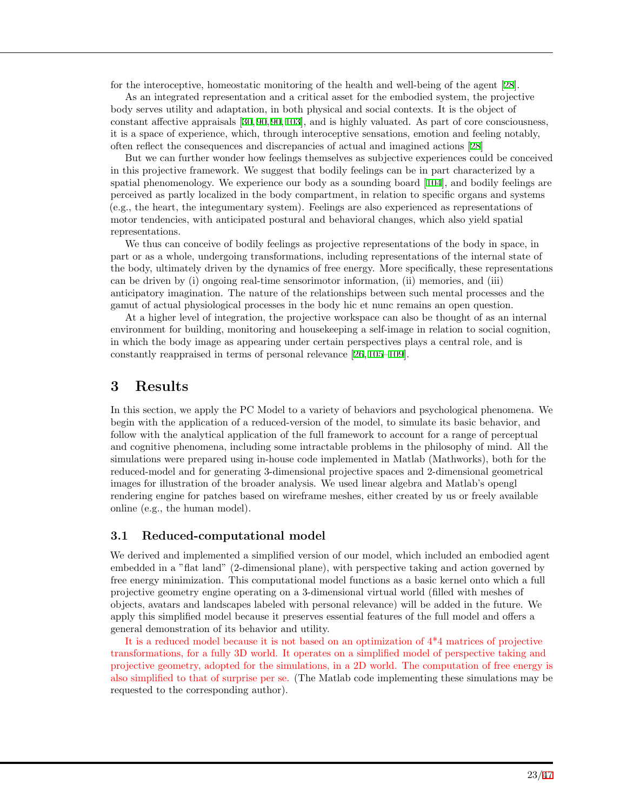for the interoceptive, homeostatic monitoring of the health and well-being of the agent [[28](#page-40-2)].

As an integrated representation and a critical asset for the embodied system, the projective body serves utility and adaptation, in both physical and social contexts. It is the object of constant affective appraisals [[30,](#page-40-15) [90,](#page-43-4) [90,](#page-43-4) [103\]](#page-43-15), and is highly valuated. As part of core consciousness, it is a space of experience, which, through interoceptive sensations, emotion and feeling notably, often reflect the consequences and discrepancies of actual and imagined actions [[28](#page-40-2)]

But we can further wonder how feelings themselves as subjective experiences could be conceived in this projective framework. We suggest that bodily feelings can be in part characterized by a spatial phenomenology. We experience our body as a sounding board [[104](#page-43-16)], and bodily feelings are perceived as partly localized in the body compartment, in relation to specific organs and systems (e.g., the heart, the integumentary system). Feelings are also experienced as representations of motor tendencies, with anticipated postural and behavioral changes, which also yield spatial representations.

We thus can conceive of bodily feelings as projective representations of the body in space, in part or as a whole, undergoing transformations, including representations of the internal state of the body, ultimately driven by the dynamics of free energy. More specifically, these representations can be driven by (i) ongoing real-time sensorimotor information, (ii) memories, and (iii) anticipatory imagination. The nature of the relationships between such mental processes and the gamut of actual physiological processes in the body hic et nunc remains an open question.

At a higher level of integration, the projective workspace can also be thought of as an internal environment for building, monitoring and housekeeping a self-image in relation to social cognition, in which the body image as appearing under certain perspectives plays a central role, and is constantly reappraised in terms of personal relevance [[26](#page-40-0), [105](#page-43-17)[–109](#page-44-0)].

# **3 Results**

In this section, we apply the PC Model to a variety of behaviors and psychological phenomena. We begin with the application of a reduced-version of the model, to simulate its basic behavior, and follow with the analytical application of the full framework to account for a range of perceptual and cognitive phenomena, including some intractable problems in the philosophy of mind. All the simulations were prepared using in-house code implemented in Matlab (Mathworks), both for the reduced-model and for generating 3-dimensional projective spaces and 2-dimensional geometrical images for illustration of the broader analysis. We used linear algebra and Matlab's opengl rendering engine for patches based on wireframe meshes, either created by us or freely available online (e.g., the human model).

### **3.1 Reduced-computational model**

We derived and implemented a simplified version of our model, which included an embodied agent embedded in a "flat land" (2-dimensional plane), with perspective taking and action governed by free energy minimization. This computational model functions as a basic kernel onto which a full projective geometry engine operating on a 3-dimensional virtual world (filled with meshes of objects, avatars and landscapes labeled with personal relevance) will be added in the future. We apply this simplified model because it preserves essential features of the full model and offers a general demonstration of its behavior and utility.

It is a reduced model because it is not based on an optimization of  $4*4$  matrices of projective transformations, for a fully 3D world. It operates on a simplified model of perspective taking and projective geometry, adopted for the simulations, in a 2D world. The computation of free energy is also simplified to that of surprise per se. (The Matlab code implementing these simulations may be requested to the corresponding author).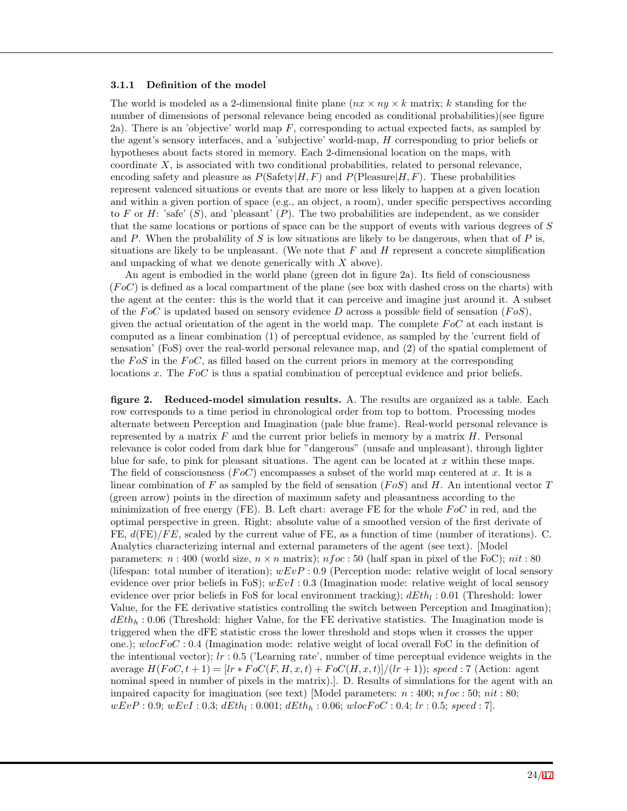#### **3.1.1 Definition of the model**

The world is modeled as a 2-dimensional finite plane  $(nx \times ny \times k$  matrix; *k* standing for the number of dimensions of personal relevance being encoded as conditional probabilities)(see figure 2a). There is an 'objective' world map *F*, corresponding to actual expected facts, as sampled by the agent's sensory interfaces, and a 'subjective' world-map, *H* corresponding to prior beliefs or hypotheses about facts stored in memory. Each 2-dimensional location on the maps, with coordinate *X*, is associated with two conditional probabilities, related to personal relevance, encoding safety and pleasure as  $P(\text{Safety}|H, F)$  and  $P(\text{Please}|H, F)$ . These probabilities represent valenced situations or events that are more or less likely to happen at a given location and within a given portion of space (e.g., an object, a room), under specific perspectives according to *F* or *H*: 'safe'  $(S)$ , and 'pleasant'  $(P)$ . The two probabilities are independent, as we consider that the same locations or portions of space can be the support of events with various degrees of *S* and *P*. When the probability of *S* is low situations are likely to be dangerous, when that of *P* is, situations are likely to be unpleasant. (We note that *F* and *H* represent a concrete simplification and unpacking of what we denote generically with *X* above).

An agent is embodied in the world plane (green dot in figure 2a). Its field of consciousness (*F oC*) is defined as a local compartment of the plane (see box with dashed cross on the charts) with the agent at the center: this is the world that it can perceive and imagine just around it. A subset of the  $FoC$  is updated based on sensory evidence *D* across a possible field of sensation  $(FoS)$ , given the actual orientation of the agent in the world map. The complete *F oC* at each instant is computed as a linear combination (1) of perceptual evidence, as sampled by the 'current field of sensation' (FoS) over the real-world personal relevance map, and (2) of the spatial complement of the *FoS* in the *FoC*, as filled based on the current priors in memory at the corresponding locations *x*. The *FoC* is thus a spatial combination of perceptual evidence and prior beliefs.

**figure 2. Reduced-model simulation results.** A. The results are organized as a table. Each row corresponds to a time period in chronological order from top to bottom. Processing modes alternate between Perception and Imagination (pale blue frame). Real-world personal relevance is represented by a matrix *F* and the current prior beliefs in memory by a matrix *H*. Personal relevance is color coded from dark blue for "dangerous" (unsafe and unpleasant), through lighter blue for safe, to pink for pleasant situations. The agent can be located at *x* within these maps. The field of consciousness (*F oC*) encompasses a subset of the world map centered at *x*. It is a linear combination of *F* as sampled by the field of sensation (*F oS*) and *H*. An intentional vector *T* (green arrow) points in the direction of maximum safety and pleasantness according to the minimization of free energy (FE). B. Left chart: average FE for the whole *F oC* in red, and the optimal perspective in green. Right: absolute value of a smoothed version of the first derivate of FE,  $d$ (FE)/FE, scaled by the current value of FE, as a function of time (number of iterations). C. Analytics characterizing internal and external parameters of the agent (see text). [Model parameters: *n* : 400 (world size,  $n \times n$  matrix); *nfoc* : 50 (half span in pixel of the FoC); *nit* : 80 (lifespan: total number of iteration); *wEvP* : 0*.*9 (Perception mode: relative weight of local sensory evidence over prior beliefs in FoS); *wEvI* : 0*.*3 (Imagination mode: relative weight of local sensory evidence over prior beliefs in FoS for local environment tracking); *dEth<sup>l</sup>* : 0*.*01 (Threshold: lower Value, for the FE derivative statistics controlling the switch between Perception and Imagination); *dEth<sup>h</sup>* : 0*.*06 (Threshold: higher Value, for the FE derivative statistics. The Imagination mode is triggered when the dFE statistic cross the lower threshold and stops when it crosses the upper one.); *wlocF oC* : 0*.*4 (Imagination mode: relative weight of local overall FoC in the definition of the intentional vector); *lr* : 0*.*5 ('Learning rate', number of time perceptual evidence weights in the  $\arctan\frac{P}{P}F_0C(t+1) = [lr * F_0C(F, H, x, t) + F_0C(H, x, t)]/(lr + 1)); speed: 7 \text{ (Action: agent)}$ nominal speed in number of pixels in the matrix).]. D. Results of simulations for the agent with an impaired capacity for imagination (see text) [Model parameters: *n* : 400; *nfoc* : 50; *nit* : 80; *wEvP* : 0*.*9; *wEvI* : 0*.*3; *dEth<sup>l</sup>* : 0*.*001; *dEth<sup>h</sup>* : 0*.*06; *wlocF oC* : 0*.*4; *lr* : 0*.*5; *speed* : 7].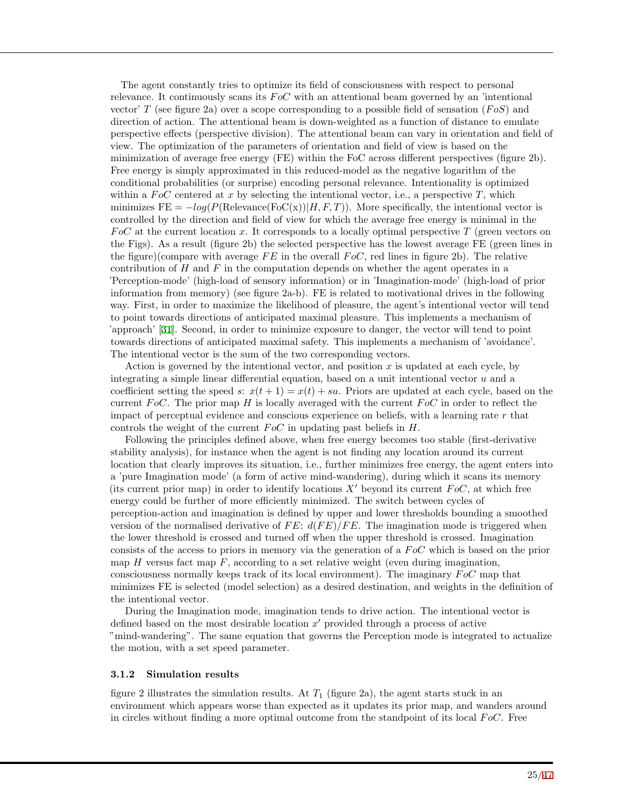The agent constantly tries to optimize its field of consciousness with respect to personal relevance. It continuously scans its *F oC* with an attentional beam governed by an 'intentional vector' *T* (see figure 2a) over a scope corresponding to a possible field of sensation (*F oS*) and direction of action. The attentional beam is down-weighted as a function of distance to emulate perspective effects (perspective division). The attentional beam can vary in orientation and field of view. The optimization of the parameters of orientation and field of view is based on the minimization of average free energy (FE) within the FoC across different perspectives (figure 2b). Free energy is simply approximated in this reduced-model as the negative logarithm of the conditional probabilities (or surprise) encoding personal relevance. Intentionality is optimized within a  $FoC$  centered at x by selecting the intentional vector, i.e., a perspective  $T$ , which minimizes  $FE = -log(P(Relevance(FoC(x))|H, F, T))$ . More specifically, the intentional vector is controlled by the direction and field of view for which the average free energy is minimal in the *F oC* at the current location *x*. It corresponds to a locally optimal perspective *T* (green vectors on the Figs). As a result (figure 2b) the selected perspective has the lowest average FE (green lines in the figure)(compare with average  $FE$  in the overall  $FoC$ , red lines in figure 2b). The relative contribution of *H* and *F* in the computation depends on whether the agent operates in a 'Perception-mode' (high-load of sensory information) or in 'Imagination-mode' (high-load of prior information from memory) (see figure 2a-b). FE is related to motivational drives in the following way. First, in order to maximize the likelihood of pleasure, the agent's intentional vector will tend to point towards directions of anticipated maximal pleasure. This implements a mechanism of 'approach' [[31\]](#page-40-3). Second, in order to minimize exposure to danger, the vector will tend to point towards directions of anticipated maximal safety. This implements a mechanism of 'avoidance'. The intentional vector is the sum of the two corresponding vectors.

Action is governed by the intentional vector, and position *x* is updated at each cycle, by integrating a simple linear differential equation, based on a unit intentional vector *u* and a coefficient setting the speed *s*:  $x(t+1) = x(t) + su$ . Priors are updated at each cycle, based on the current *FoC*. The prior map *H* is locally averaged with the current *FoC* in order to reflect the impact of perceptual evidence and conscious experience on beliefs, with a learning rate *r* that controls the weight of the current  $FoC$  in updating past beliefs in  $H$ .

Following the principles defined above, when free energy becomes too stable (first-derivative stability analysis), for instance when the agent is not finding any location around its current location that clearly improves its situation, i.e., further minimizes free energy, the agent enters into a 'pure Imagination mode' (a form of active mind-wandering), during which it scans its memory (its current prior map) in order to identify locations  $X'$  beyond its current  $F \circ C$ , at which free energy could be further of more efficiently minimized. The switch between cycles of perception-action and imagination is defined by upper and lower thresholds bounding a smoothed version of the normalised derivative of *F E*: *d*(*F E*)*/F E*. The imagination mode is triggered when the lower threshold is crossed and turned off when the upper threshold is crossed. Imagination consists of the access to priors in memory via the generation of a *F oC* which is based on the prior map  $H$  versus fact map  $F$ , according to a set relative weight (even during imagination, consciousness normally keeps track of its local environment). The imaginary *F oC* map that minimizes FE is selected (model selection) as a desired destination, and weights in the definition of the intentional vector.

During the Imagination mode, imagination tends to drive action. The intentional vector is defined based on the most desirable location *x ′* provided through a process of active "mind-wandering". The same equation that governs the Perception mode is integrated to actualize the motion, with a set speed parameter.

#### **3.1.2 Simulation results**

figure 2 illustrates the simulation results. At  $T_1$  (figure 2a), the agent starts stuck in an environment which appears worse than expected as it updates its prior map, and wanders around in circles without finding a more optimal outcome from the standpoint of its local *F oC*. Free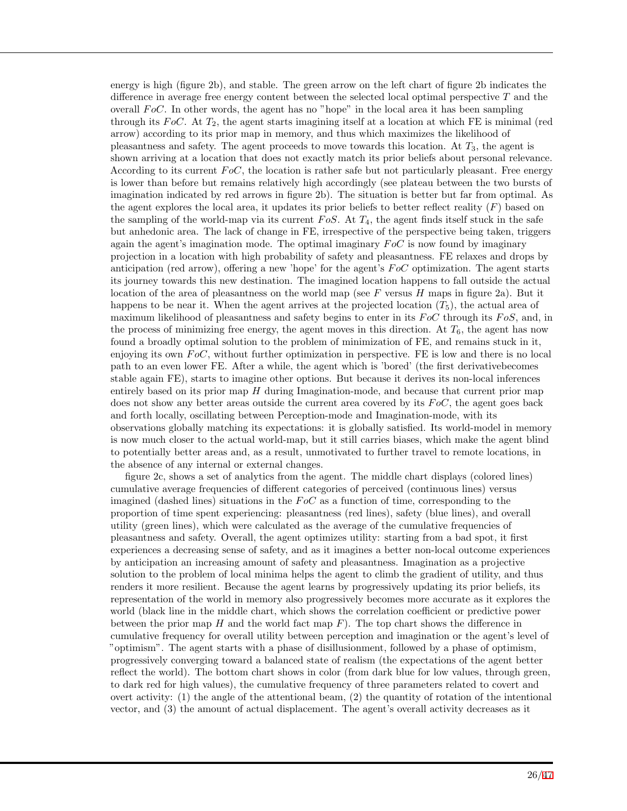energy is high (figure 2b), and stable. The green arrow on the left chart of figure 2b indicates the difference in average free energy content between the selected local optimal perspective *T* and the overall *F oC*. In other words, the agent has no "hope" in the local area it has been sampling through its *F oC*. At *T*2, the agent starts imagining itself at a location at which FE is minimal (red arrow) according to its prior map in memory, and thus which maximizes the likelihood of pleasantness and safety. The agent proceeds to move towards this location. At *T*3, the agent is shown arriving at a location that does not exactly match its prior beliefs about personal relevance. According to its current *F oC*, the location is rather safe but not particularly pleasant. Free energy is lower than before but remains relatively high accordingly (see plateau between the two bursts of imagination indicated by red arrows in figure 2b). The situation is better but far from optimal. As the agent explores the local area, it updates its prior beliefs to better reflect reality (*F*) based on the sampling of the world-map via its current *F oS*. At *T*4, the agent finds itself stuck in the safe but anhedonic area. The lack of change in FE, irrespective of the perspective being taken, triggers again the agent's imagination mode. The optimal imaginary *F oC* is now found by imaginary projection in a location with high probability of safety and pleasantness. FE relaxes and drops by anticipation (red arrow), offering a new 'hope' for the agent's *F oC* optimization. The agent starts its journey towards this new destination. The imagined location happens to fall outside the actual location of the area of pleasantness on the world map (see *F* versus *H* maps in figure 2a). But it happens to be near it. When the agent arrives at the projected location  $(T_5)$ , the actual area of maximum likelihood of pleasantness and safety begins to enter in its *F oC* through its *F oS*, and, in the process of minimizing free energy, the agent moves in this direction. At  $T_6$ , the agent has now found a broadly optimal solution to the problem of minimization of FE, and remains stuck in it, enjoying its own *F oC*, without further optimization in perspective. FE is low and there is no local path to an even lower FE. After a while, the agent which is 'bored' (the first derivativebecomes stable again FE), starts to imagine other options. But because it derives its non-local inferences entirely based on its prior map *H* during Imagination-mode, and because that current prior map does not show any better areas outside the current area covered by its  $F \circ C$ , the agent goes back and forth locally, oscillating between Perception-mode and Imagination-mode, with its observations globally matching its expectations: it is globally satisfied. Its world-model in memory is now much closer to the actual world-map, but it still carries biases, which make the agent blind to potentially better areas and, as a result, unmotivated to further travel to remote locations, in the absence of any internal or external changes.

figure 2c, shows a set of analytics from the agent. The middle chart displays (colored lines) cumulative average frequencies of different categories of perceived (continuous lines) versus imagined (dashed lines) situations in the *F oC* as a function of time, corresponding to the proportion of time spent experiencing: pleasantness (red lines), safety (blue lines), and overall utility (green lines), which were calculated as the average of the cumulative frequencies of pleasantness and safety. Overall, the agent optimizes utility: starting from a bad spot, it first experiences a decreasing sense of safety, and as it imagines a better non-local outcome experiences by anticipation an increasing amount of safety and pleasantness. Imagination as a projective solution to the problem of local minima helps the agent to climb the gradient of utility, and thus renders it more resilient. Because the agent learns by progressively updating its prior beliefs, its representation of the world in memory also progressively becomes more accurate as it explores the world (black line in the middle chart, which shows the correlation coefficient or predictive power between the prior map *H* and the world fact map *F*). The top chart shows the difference in cumulative frequency for overall utility between perception and imagination or the agent's level of "optimism". The agent starts with a phase of disillusionment, followed by a phase of optimism, progressively converging toward a balanced state of realism (the expectations of the agent better reflect the world). The bottom chart shows in color (from dark blue for low values, through green, to dark red for high values), the cumulative frequency of three parameters related to covert and overt activity: (1) the angle of the attentional beam, (2) the quantity of rotation of the intentional vector, and (3) the amount of actual displacement. The agent's overall activity decreases as it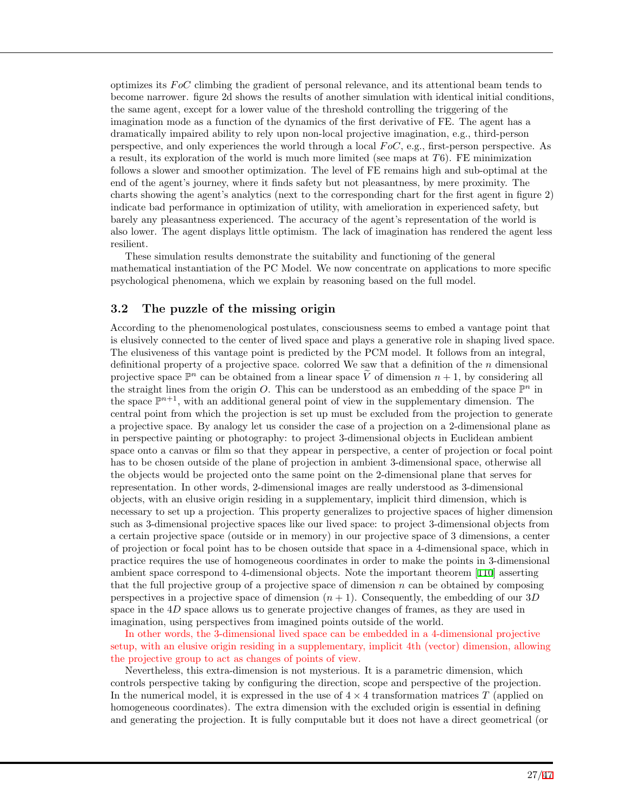optimizes its *F oC* climbing the gradient of personal relevance, and its attentional beam tends to become narrower. figure 2d shows the results of another simulation with identical initial conditions, the same agent, except for a lower value of the threshold controlling the triggering of the imagination mode as a function of the dynamics of the first derivative of FE. The agent has a dramatically impaired ability to rely upon non-local projective imagination, e.g., third-person perspective, and only experiences the world through a local *F oC*, e.g., first-person perspective. As a result, its exploration of the world is much more limited (see maps at *T*6). FE minimization follows a slower and smoother optimization. The level of FE remains high and sub-optimal at the end of the agent's journey, where it finds safety but not pleasantness, by mere proximity. The charts showing the agent's analytics (next to the corresponding chart for the first agent in figure 2) indicate bad performance in optimization of utility, with amelioration in experienced safety, but barely any pleasantness experienced. The accuracy of the agent's representation of the world is also lower. The agent displays little optimism. The lack of imagination has rendered the agent less resilient.

These simulation results demonstrate the suitability and functioning of the general mathematical instantiation of the PC Model. We now concentrate on applications to more specific psychological phenomena, which we explain by reasoning based on the full model.

### **3.2 The puzzle of the missing origin**

According to the phenomenological postulates, consciousness seems to embed a vantage point that is elusively connected to the center of lived space and plays a generative role in shaping lived space. The elusiveness of this vantage point is predicted by the PCM model. It follows from an integral, definitional property of a projective space. colorred We saw that a definition of the *n* dimensional projective space  $\mathbb{P}^n$  can be obtained from a linear space  $\tilde{V}$  of dimension  $n+1$ , by considering all the straight lines from the origin *O*. This can be understood as an embedding of the space  $\mathbb{P}^n$  in the space  $\mathbb{P}^{n+1}$ , with an additional general point of view in the supplementary dimension. The central point from which the projection is set up must be excluded from the projection to generate a projective space. By analogy let us consider the case of a projection on a 2-dimensional plane as in perspective painting or photography: to project 3-dimensional objects in Euclidean ambient space onto a canvas or film so that they appear in perspective, a center of projection or focal point has to be chosen outside of the plane of projection in ambient 3-dimensional space, otherwise all the objects would be projected onto the same point on the 2-dimensional plane that serves for representation. In other words, 2-dimensional images are really understood as 3-dimensional objects, with an elusive origin residing in a supplementary, implicit third dimension, which is necessary to set up a projection. This property generalizes to projective spaces of higher dimension such as 3-dimensional projective spaces like our lived space: to project 3-dimensional objects from a certain projective space (outside or in memory) in our projective space of 3 dimensions, a center of projection or focal point has to be chosen outside that space in a 4-dimensional space, which in practice requires the use of homogeneous coordinates in order to make the points in 3-dimensional ambient space correspond to 4-dimensional objects. Note the important theorem [[110\]](#page-44-1) asserting that the full projective group of a projective space of dimension *n* can be obtained by composing perspectives in a projective space of dimension  $(n + 1)$ . Consequently, the embedding of our 3*D* space in the 4*D* space allows us to generate projective changes of frames, as they are used in imagination, using perspectives from imagined points outside of the world.

In other words, the 3-dimensional lived space can be embedded in a 4-dimensional projective setup, with an elusive origin residing in a supplementary, implicit 4th (vector) dimension, allowing the projective group to act as changes of points of view.

Nevertheless, this extra-dimension is not mysterious. It is a parametric dimension, which controls perspective taking by configuring the direction, scope and perspective of the projection. In the numerical model, it is expressed in the use of  $4 \times 4$  transformation matrices *T* (applied on homogeneous coordinates). The extra dimension with the excluded origin is essential in defining and generating the projection. It is fully computable but it does not have a direct geometrical (or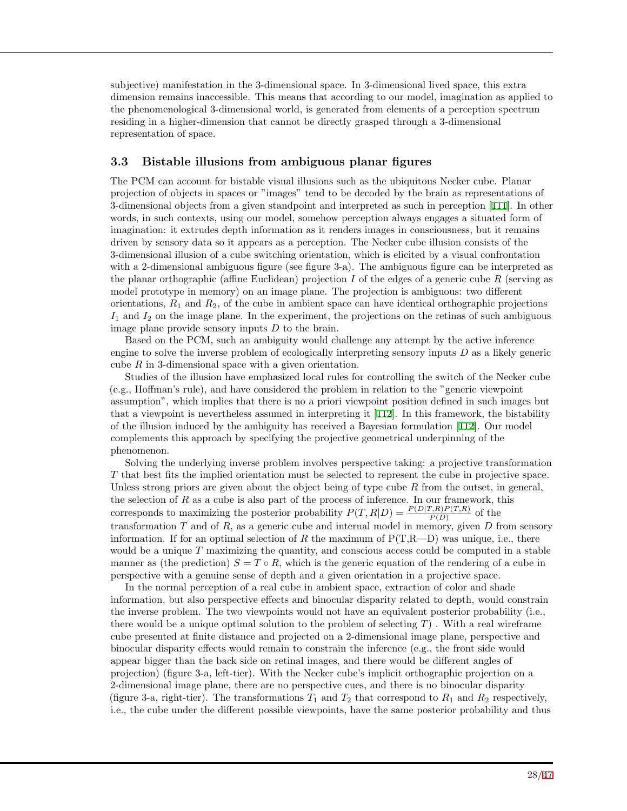subjective) manifestation in the 3-dimensional space. In 3-dimensional lived space, this extra dimension remains inaccessible. This means that according to our model, imagination as applied to the phenomenological 3-dimensional world, is generated from elements of a perception spectrum residing in a higher-dimension that cannot be directly grasped through a 3-dimensional representation of space.

### **3.3 Bistable illusions from ambiguous planar figures**

The PCM can account for bistable visual illusions such as the ubiquitous Necker cube. Planar projection of objects in spaces or "images" tend to be decoded by the brain as representations of 3-dimensional objects from a given standpoint and interpreted as such in perception [[111](#page-44-2)]. In other words, in such contexts, using our model, somehow perception always engages a situated form of imagination: it extrudes depth information as it renders images in consciousness, but it remains driven by sensory data so it appears as a perception. The Necker cube illusion consists of the 3-dimensional illusion of a cube switching orientation, which is elicited by a visual confrontation with a 2-dimensional ambiguous figure (see figure 3-a). The ambiguous figure can be interpreted as the planar orthographic (affine Euclidean) projection *I* of the edges of a generic cube *R* (serving as model prototype in memory) on an image plane. The projection is ambiguous: two different orientations,  $R_1$  and  $R_2$ , of the cube in ambient space can have identical orthographic projections *I*<sup>1</sup> and *I*<sup>2</sup> on the image plane. In the experiment, the projections on the retinas of such ambiguous image plane provide sensory inputs *D* to the brain.

Based on the PCM, such an ambiguity would challenge any attempt by the active inference engine to solve the inverse problem of ecologically interpreting sensory inputs *D* as a likely generic cube *R* in 3-dimensional space with a given orientation.

Studies of the illusion have emphasized local rules for controlling the switch of the Necker cube (e.g., Hoffman's rule), and have considered the problem in relation to the "generic viewpoint assumption", which implies that there is no a priori viewpoint position defined in such images but that a viewpoint is nevertheless assumed in interpreting it [[112\]](#page-44-3). In this framework, the bistability of the illusion induced by the ambiguity has received a Bayesian formulation [[112](#page-44-3)]. Our model complements this approach by specifying the projective geometrical underpinning of the phenomenon.

Solving the underlying inverse problem involves perspective taking: a projective transformation *T* that best fits the implied orientation must be selected to represent the cube in projective space. Unless strong priors are given about the object being of type cube *R* from the outset, in general, the selection of *R* as a cube is also part of the process of inference. In our framework, this corresponds to maximizing the posterior probability  $P(T, R|D) = \frac{P(D|T, R)P(T, R)}{P(D)}$  of the transformation *T* and of *R*, as a generic cube and internal model in memory, given *D* from sensory information. If for an optimal selection of *R* the maximum of  $P(T,R-D)$  was unique, i.e., there would be a unique *T* maximizing the quantity, and conscious access could be computed in a stable manner as (the prediction)  $S = T \circ R$ , which is the generic equation of the rendering of a cube in perspective with a genuine sense of depth and a given orientation in a projective space.

In the normal perception of a real cube in ambient space, extraction of color and shade information, but also perspective effects and binocular disparity related to depth, would constrain the inverse problem. The two viewpoints would not have an equivalent posterior probability (i.e., there would be a unique optimal solution to the problem of selecting *T*) . With a real wireframe cube presented at finite distance and projected on a 2-dimensional image plane, perspective and binocular disparity effects would remain to constrain the inference (e.g., the front side would appear bigger than the back side on retinal images, and there would be different angles of projection) (figure 3-a, left-tier). With the Necker cube's implicit orthographic projection on a 2-dimensional image plane, there are no perspective cues, and there is no binocular disparity (figure 3-a, right-tier). The transformations  $T_1$  and  $T_2$  that correspond to  $R_1$  and  $R_2$  respectively, i.e., the cube under the different possible viewpoints, have the same posterior probability and thus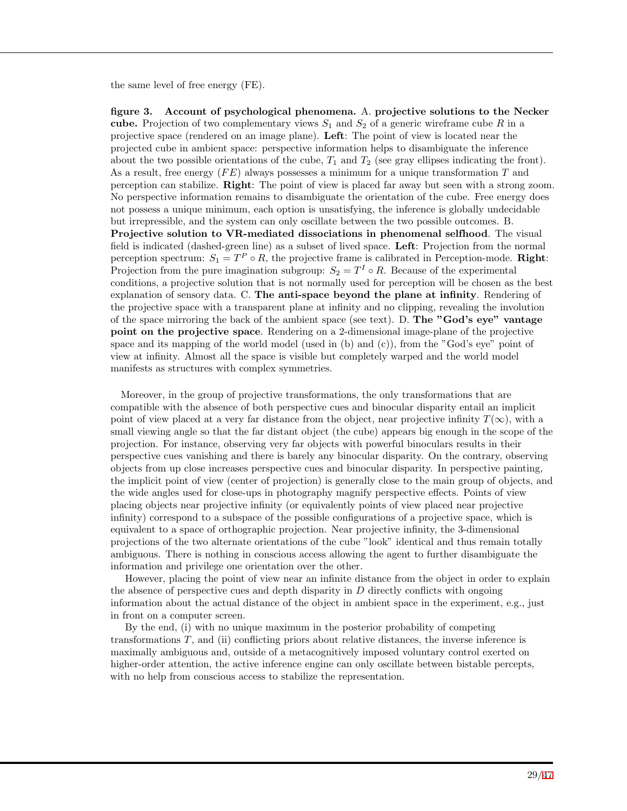the same level of free energy (FE).

**figure 3. Account of psychological phenomena.** A. **projective solutions to the Necker cube.** Projection of two complementary views  $S_1$  and  $S_2$  of a generic wireframe cube R in a projective space (rendered on an image plane). **Left**: The point of view is located near the projected cube in ambient space: perspective information helps to disambiguate the inference about the two possible orientations of the cube,  $T_1$  and  $T_2$  (see gray ellipses indicating the front). As a result, free energy (*F E*) always possesses a minimum for a unique transformation *T* and perception can stabilize. **Right**: The point of view is placed far away but seen with a strong zoom. No perspective information remains to disambiguate the orientation of the cube. Free energy does not possess a unique minimum, each option is unsatisfying, the inference is globally undecidable but irrepressible, and the system can only oscillate between the two possible outcomes. B. **Projective solution to VR-mediated dissociations in phenomenal selfhood**. The visual field is indicated (dashed-green line) as a subset of lived space. **Left**: Projection from the normal perception spectrum:  $S_1 = T^P \circ R$ , the projective frame is calibrated in Perception-mode. **Right**: Projection from the pure imagination subgroup:  $S_2 = T^I \circ R$ . Because of the experimental conditions, a projective solution that is not normally used for perception will be chosen as the best explanation of sensory data. C. **The anti-space beyond the plane at infinity**. Rendering of the projective space with a transparent plane at infinity and no clipping, revealing the involution of the space mirroring the back of the ambient space (see text). D. **The "God's eye" vantage point on the projective space**. Rendering on a 2-dimensional image-plane of the projective space and its mapping of the world model (used in (b) and (c)), from the "God's eye" point of view at infinity. Almost all the space is visible but completely warped and the world model manifests as structures with complex symmetries.

Moreover, in the group of projective transformations, the only transformations that are compatible with the absence of both perspective cues and binocular disparity entail an implicit point of view placed at a very far distance from the object, near projective infinity  $T(\infty)$ , with a small viewing angle so that the far distant object (the cube) appears big enough in the scope of the projection. For instance, observing very far objects with powerful binoculars results in their perspective cues vanishing and there is barely any binocular disparity. On the contrary, observing objects from up close increases perspective cues and binocular disparity. In perspective painting, the implicit point of view (center of projection) is generally close to the main group of objects, and the wide angles used for close-ups in photography magnify perspective effects. Points of view placing objects near projective infinity (or equivalently points of view placed near projective infinity) correspond to a subspace of the possible configurations of a projective space, which is equivalent to a space of orthographic projection. Near projective infinity, the 3-dimensional projections of the two alternate orientations of the cube "look" identical and thus remain totally ambiguous. There is nothing in conscious access allowing the agent to further disambiguate the information and privilege one orientation over the other.

However, placing the point of view near an infinite distance from the object in order to explain the absence of perspective cues and depth disparity in *D* directly conflicts with ongoing information about the actual distance of the object in ambient space in the experiment, e.g., just in front on a computer screen.

By the end, (i) with no unique maximum in the posterior probability of competing transformations *T*, and (ii) conflicting priors about relative distances, the inverse inference is maximally ambiguous and, outside of a metacognitively imposed voluntary control exerted on higher-order attention, the active inference engine can only oscillate between bistable percepts, with no help from conscious access to stabilize the representation.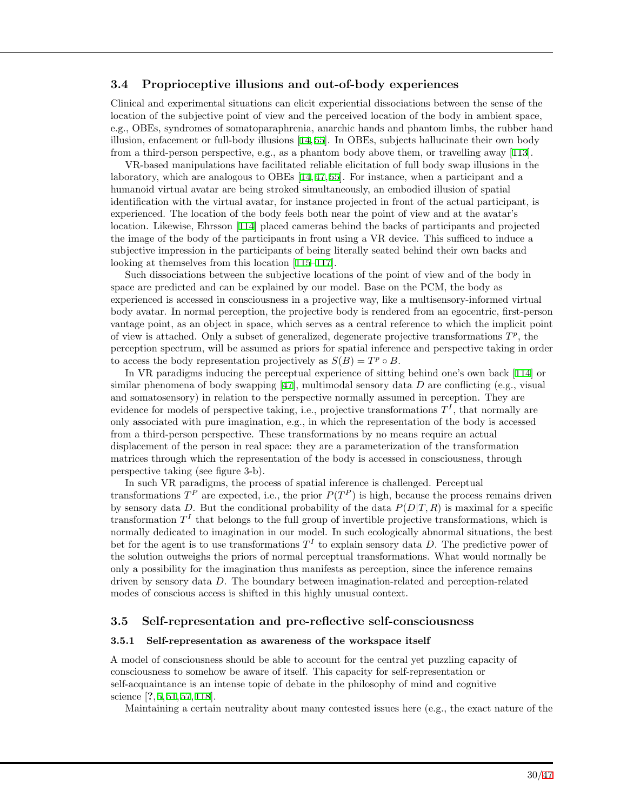### **3.4 Proprioceptive illusions and out-of-body experiences**

Clinical and experimental situations can elicit experiential dissociations between the sense of the location of the subjective point of view and the perceived location of the body in ambient space, e.g., OBEs, syndromes of somatoparaphrenia, anarchic hands and phantom limbs, the rubber hand illusion, enfacement or full-body illusions [[14](#page-39-5), [55](#page-41-9)]. In OBEs, subjects hallucinate their own body from a third-person perspective, e.g., as a phantom body above them, or travelling away [\[113](#page-44-4)].

VR-based manipulations have facilitated reliable elicitation of full body swap illusions in the laboratory, which are analogous to OBEs [[14,](#page-39-5) [47,](#page-41-18) [55\]](#page-41-9). For instance, when a participant and a humanoid virtual avatar are being stroked simultaneously, an embodied illusion of spatial identification with the virtual avatar, for instance projected in front of the actual participant, is experienced. The location of the body feels both near the point of view and at the avatar's location. Likewise, Ehrsson [\[114](#page-44-5)] placed cameras behind the backs of participants and projected the image of the body of the participants in front using a VR device. This sufficed to induce a subjective impression in the participants of being literally seated behind their own backs and looking at themselves from this location [[115–](#page-44-6)[117](#page-44-7)].

Such dissociations between the subjective locations of the point of view and of the body in space are predicted and can be explained by our model. Base on the PCM, the body as experienced is accessed in consciousness in a projective way, like a multisensory-informed virtual body avatar. In normal perception, the projective body is rendered from an egocentric, first-person vantage point, as an object in space, which serves as a central reference to which the implicit point of view is attached. Only a subset of generalized, degenerate projective transformations  $T^p$ , the perception spectrum, will be assumed as priors for spatial inference and perspective taking in order to access the body representation projectively as  $S(B) = T^p \circ B$ .

In VR paradigms inducing the perceptual experience of sitting behind one's own back [\[114](#page-44-5)] or similar phenomena of body swapping [[47](#page-41-18)], multimodal sensory data *D* are conflicting (e.g., visual and somatosensory) in relation to the perspective normally assumed in perception. They are evidence for models of perspective taking, i.e., projective transformations  $T<sup>I</sup>$ , that normally are only associated with pure imagination, e.g., in which the representation of the body is accessed from a third-person perspective. These transformations by no means require an actual displacement of the person in real space: they are a parameterization of the transformation matrices through which the representation of the body is accessed in consciousness, through perspective taking (see figure 3-b).

In such VR paradigms, the process of spatial inference is challenged. Perceptual transformations  $T^P$  are expected, i.e., the prior  $P(T^P)$  is high, because the process remains driven by sensory data *D*. But the conditional probability of the data  $P(D|T, R)$  is maximal for a specific transformation  $T<sup>I</sup>$  that belongs to the full group of invertible projective transformations, which is normally dedicated to imagination in our model. In such ecologically abnormal situations, the best bet for the agent is to use transformations  $T<sup>I</sup>$  to explain sensory data D. The predictive power of the solution outweighs the priors of normal perceptual transformations. What would normally be only a possibility for the imagination thus manifests as perception, since the inference remains driven by sensory data *D*. The boundary between imagination-related and perception-related modes of conscious access is shifted in this highly unusual context.

#### **3.5 Self-representation and pre-reflective self-consciousness**

#### **3.5.1 Self-representation as awareness of the workspace itself**

A model of consciousness should be able to account for the central yet puzzling capacity of consciousness to somehow be aware of itself. This capacity for self-representation or self-acquaintance is an intense topic of debate in the philosophy of mind and cognitive science [**?**, [5](#page-38-2), [51,](#page-41-4) [57,](#page-41-11) [118\]](#page-44-8).

Maintaining a certain neutrality about many contested issues here (e.g., the exact nature of the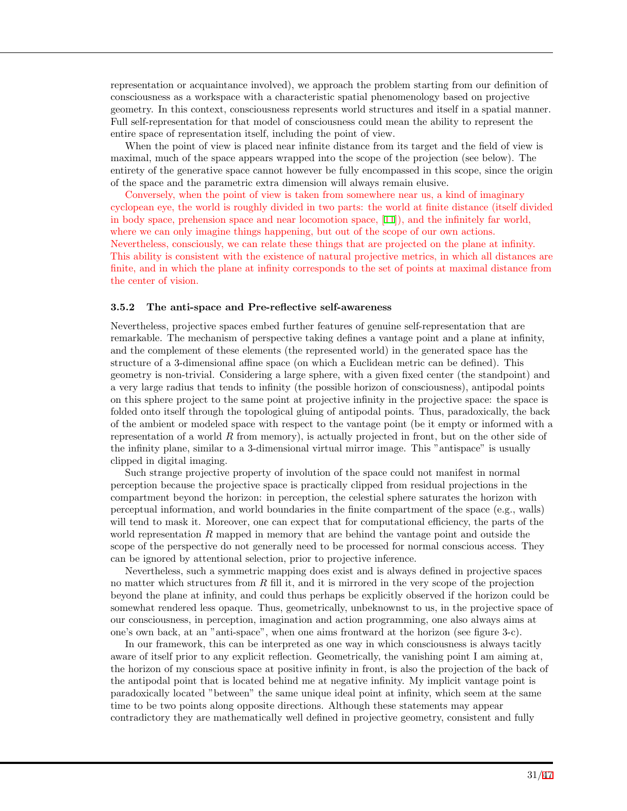representation or acquaintance involved), we approach the problem starting from our definition of consciousness as a workspace with a characteristic spatial phenomenology based on projective geometry. In this context, consciousness represents world structures and itself in a spatial manner. Full self-representation for that model of consciousness could mean the ability to represent the entire space of representation itself, including the point of view.

When the point of view is placed near infinite distance from its target and the field of view is maximal, much of the space appears wrapped into the scope of the projection (see below). The entirety of the generative space cannot however be fully encompassed in this scope, since the origin of the space and the parametric extra dimension will always remain elusive.

Conversely, when the point of view is taken from somewhere near us, a kind of imaginary cyclopean eye, the world is roughly divided in two parts: the world at finite distance (itself divided in body space, prehension space and near locomotion space, [[11\]](#page-39-2)), and the infinitely far world, where we can only imagine things happening, but out of the scope of our own actions. Nevertheless, consciously, we can relate these things that are projected on the plane at infinity. This ability is consistent with the existence of natural projective metrics, in which all distances are finite, and in which the plane at infinity corresponds to the set of points at maximal distance from the center of vision.

#### **3.5.2 The anti-space and Pre-reflective self-awareness**

Nevertheless, projective spaces embed further features of genuine self-representation that are remarkable. The mechanism of perspective taking defines a vantage point and a plane at infinity, and the complement of these elements (the represented world) in the generated space has the structure of a 3-dimensional affine space (on which a Euclidean metric can be defined). This geometry is non-trivial. Considering a large sphere, with a given fixed center (the standpoint) and a very large radius that tends to infinity (the possible horizon of consciousness), antipodal points on this sphere project to the same point at projective infinity in the projective space: the space is folded onto itself through the topological gluing of antipodal points. Thus, paradoxically, the back of the ambient or modeled space with respect to the vantage point (be it empty or informed with a representation of a world *R* from memory), is actually projected in front, but on the other side of the infinity plane, similar to a 3-dimensional virtual mirror image. This "antispace" is usually clipped in digital imaging.

Such strange projective property of involution of the space could not manifest in normal perception because the projective space is practically clipped from residual projections in the compartment beyond the horizon: in perception, the celestial sphere saturates the horizon with perceptual information, and world boundaries in the finite compartment of the space (e.g., walls) will tend to mask it. Moreover, one can expect that for computational efficiency, the parts of the world representation *R* mapped in memory that are behind the vantage point and outside the scope of the perspective do not generally need to be processed for normal conscious access. They can be ignored by attentional selection, prior to projective inference.

Nevertheless, such a symmetric mapping does exist and is always defined in projective spaces no matter which structures from *R* fill it, and it is mirrored in the very scope of the projection beyond the plane at infinity, and could thus perhaps be explicitly observed if the horizon could be somewhat rendered less opaque. Thus, geometrically, unbeknownst to us, in the projective space of our consciousness, in perception, imagination and action programming, one also always aims at one's own back, at an "anti-space", when one aims frontward at the horizon (see figure 3-c).

In our framework, this can be interpreted as one way in which consciousness is always tacitly aware of itself prior to any explicit reflection. Geometrically, the vanishing point I am aiming at, the horizon of my conscious space at positive infinity in front, is also the projection of the back of the antipodal point that is located behind me at negative infinity. My implicit vantage point is paradoxically located "between" the same unique ideal point at infinity, which seem at the same time to be two points along opposite directions. Although these statements may appear contradictory they are mathematically well defined in projective geometry, consistent and fully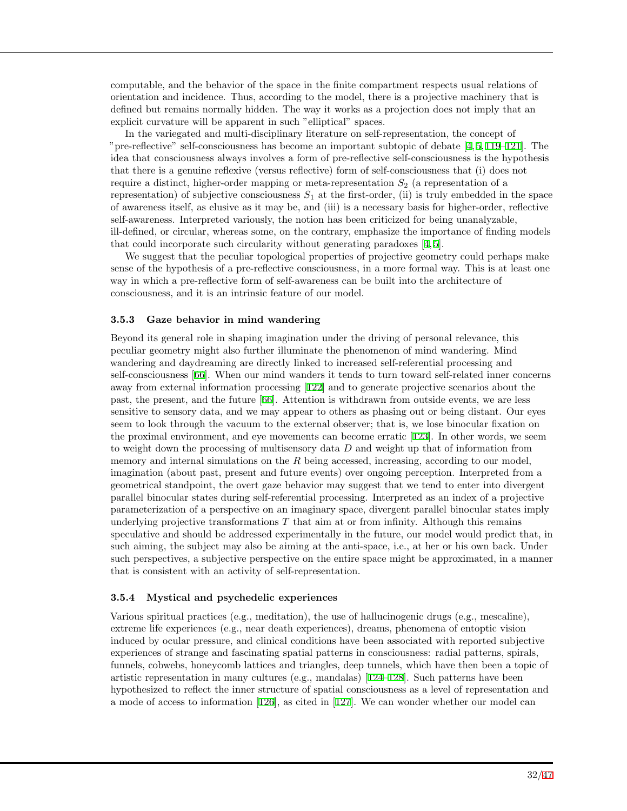computable, and the behavior of the space in the finite compartment respects usual relations of orientation and incidence. Thus, according to the model, there is a projective machinery that is defined but remains normally hidden. The way it works as a projection does not imply that an explicit curvature will be apparent in such "elliptical" spaces.

In the variegated and multi-disciplinary literature on self-representation, the concept of "pre-reflective" self-consciousness has become an important subtopic of debate  $[4, 5, 119-121]$  $[4, 5, 119-121]$  $[4, 5, 119-121]$  $[4, 5, 119-121]$  $[4, 5, 119-121]$  $[4, 5, 119-121]$ . The idea that consciousness always involves a form of pre-reflective self-consciousness is the hypothesis that there is a genuine reflexive (versus reflective) form of self-consciousness that (i) does not require a distinct, higher-order mapping or meta-representation *S*<sup>2</sup> (a representation of a representation) of subjective consciousness  $S_1$  at the first-order, (ii) is truly embedded in the space of awareness itself, as elusive as it may be, and (iii) is a necessary basis for higher-order, reflective self-awareness. Interpreted variously, the notion has been criticized for being unanalyzable, ill-defined, or circular, whereas some, on the contrary, emphasize the importance of finding models that could incorporate such circularity without generating paradoxes [\[4](#page-38-5), [5](#page-38-2)].

We suggest that the peculiar topological properties of projective geometry could perhaps make sense of the hypothesis of a pre-reflective consciousness, in a more formal way. This is at least one way in which a pre-reflective form of self-awareness can be built into the architecture of consciousness, and it is an intrinsic feature of our model.

#### **3.5.3 Gaze behavior in mind wandering**

Beyond its general role in shaping imagination under the driving of personal relevance, this peculiar geometry might also further illuminate the phenomenon of mind wandering. Mind wandering and daydreaming are directly linked to increased self-referential processing and self-consciousness [[66\]](#page-42-0). When our mind wanders it tends to turn toward self-related inner concerns away from external information processing [[122\]](#page-44-11) and to generate projective scenarios about the past, the present, and the future [[66\]](#page-42-0). Attention is withdrawn from outside events, we are less sensitive to sensory data, and we may appear to others as phasing out or being distant. Our eyes seem to look through the vacuum to the external observer; that is, we lose binocular fixation on the proximal environment, and eye movements can become erratic [[123](#page-44-12)]. In other words, we seem to weight down the processing of multisensory data *D* and weight up that of information from memory and internal simulations on the R being accessed, increasing, according to our model, imagination (about past, present and future events) over ongoing perception. Interpreted from a geometrical standpoint, the overt gaze behavior may suggest that we tend to enter into divergent parallel binocular states during self-referential processing. Interpreted as an index of a projective parameterization of a perspective on an imaginary space, divergent parallel binocular states imply underlying projective transformations *T* that aim at or from infinity. Although this remains speculative and should be addressed experimentally in the future, our model would predict that, in such aiming, the subject may also be aiming at the anti-space, i.e., at her or his own back. Under such perspectives, a subjective perspective on the entire space might be approximated, in a manner that is consistent with an activity of self-representation.

#### **3.5.4 Mystical and psychedelic experiences**

Various spiritual practices (e.g., meditation), the use of hallucinogenic drugs (e.g., mescaline), extreme life experiences (e.g., near death experiences), dreams, phenomena of entoptic vision induced by ocular pressure, and clinical conditions have been associated with reported subjective experiences of strange and fascinating spatial patterns in consciousness: radial patterns, spirals, funnels, cobwebs, honeycomb lattices and triangles, deep tunnels, which have then been a topic of artistic representation in many cultures (e.g., mandalas) [\[124](#page-44-13)[–128](#page-45-0)]. Such patterns have been hypothesized to reflect the inner structure of spatial consciousness as a level of representation and a mode of access to information [[126\]](#page-45-1), as cited in [[127\]](#page-45-2). We can wonder whether our model can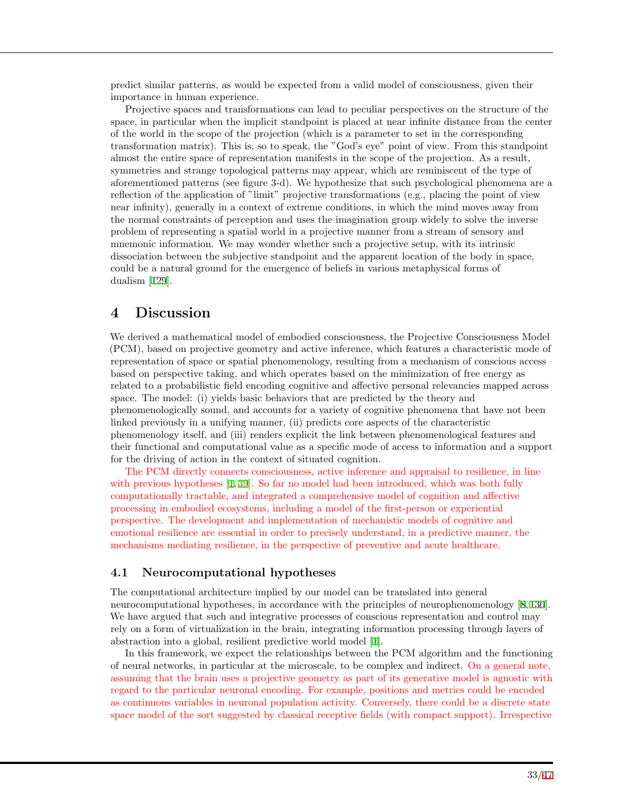predict similar patterns, as would be expected from a valid model of consciousness, given their importance in human experience.

Projective spaces and transformations can lead to peculiar perspectives on the structure of the space, in particular when the implicit standpoint is placed at near infinite distance from the center of the world in the scope of the projection (which is a parameter to set in the corresponding transformation matrix). This is, so to speak, the "God's eye" point of view. From this standpoint almost the entire space of representation manifests in the scope of the projection. As a result, symmetries and strange topological patterns may appear, which are reminiscent of the type of aforementioned patterns (see figure 3-d). We hypothesize that such psychological phenomena are a reflection of the application of "limit" projective transformations (e.g., placing the point of view near infinity), generally in a context of extreme conditions, in which the mind moves away from the normal constraints of perception and uses the imagination group widely to solve the inverse problem of representing a spatial world in a projective manner from a stream of sensory and mnemonic information. We may wonder whether such a projective setup, with its intrinsic dissociation between the subjective standpoint and the apparent location of the body in space, could be a natural ground for the emergence of beliefs in various metaphysical forms of dualism [[129\]](#page-45-3).

## **4 Discussion**

We derived a mathematical model of embodied consciousness, the Projective Consciousness Model (PCM), based on projective geometry and active inference, which features a characteristic mode of representation of space or spatial phenomenology, resulting from a mechanism of conscious access based on perspective taking, and which operates based on the minimization of free energy as related to a probabilistic field encoding cognitive and affective personal relevancies mapped across space. The model: (i) yields basic behaviors that are predicted by the theory and phenomenologically sound, and accounts for a variety of cognitive phenomena that have not been linked previously in a unifying manner, (ii) predicts core aspects of the characteristic phenomenology itself, and (iii) renders explicit the link between phenomenological features and their functional and computational value as a specific mode of access to information and a support for the driving of action in the context of situated cognition.

The PCM directly connects consciousness, active inference and appraisal to resilience, in line with previous hypotheses [[1](#page-38-0), [39\]](#page-40-11). So far no model had been introduced, which was both fully computationally tractable, and integrated a comprehensive model of cognition and affective processing in embodied ecosystems, including a model of the first-person or experiential perspective. The development and implementation of mechanistic models of cognitive and emotional resilience are essential in order to precisely understand, in a predictive manner, the mechanisms mediating resilience, in the perspective of preventive and acute healthcare.

### **4.1 Neurocomputational hypotheses**

The computational architecture implied by our model can be translated into general neurocomputational hypotheses, in accordance with the principles of neurophenomenology [\[8](#page-39-8), [130](#page-45-4)]. We have argued that such and integrative processes of conscious representation and control may rely on a form of virtualization in the brain, integrating information processing through layers of abstraction into a global, resilient predictive world model [[1\]](#page-38-0).

In this framework, we expect the relationships between the PCM algorithm and the functioning of neural networks, in particular at the microscale, to be complex and indirect. On a general note, assuming that the brain uses a projective geometry as part of its generative model is agnostic with regard to the particular neuronal encoding. For example, positions and metrics could be encoded as continuous variables in neuronal population activity. Conversely, there could be a discrete state space model of the sort suggested by classical receptive fields (with compact support). Irrespective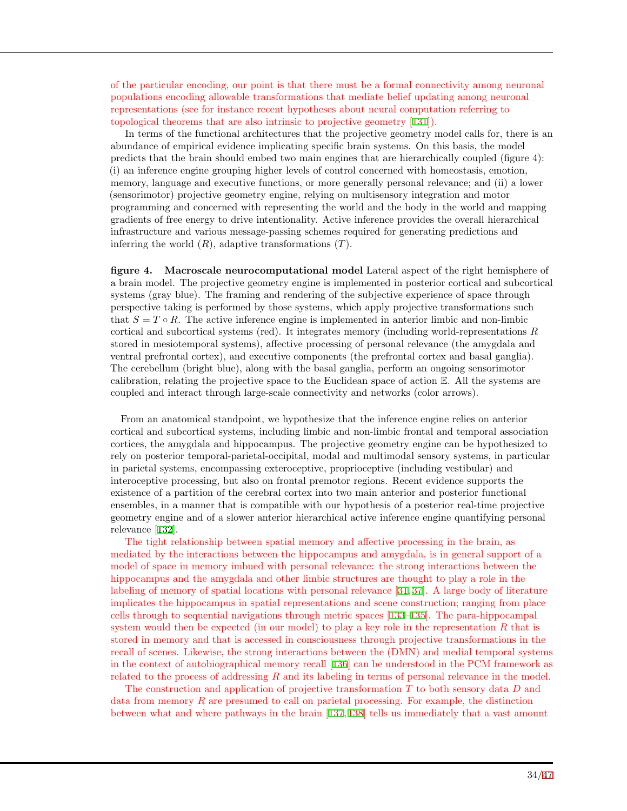of the particular encoding, our point is that there must be a formal connectivity among neuronal populations encoding allowable transformations that mediate belief updating among neuronal representations (see for instance recent hypotheses about neural computation referring to topological theorems that are also intrinsic to projective geometry [[131\]](#page-45-5)).

In terms of the functional architectures that the projective geometry model calls for, there is an abundance of empirical evidence implicating specific brain systems. On this basis, the model predicts that the brain should embed two main engines that are hierarchically coupled (figure 4): (i) an inference engine grouping higher levels of control concerned with homeostasis, emotion, memory, language and executive functions, or more generally personal relevance; and (ii) a lower (sensorimotor) projective geometry engine, relying on multisensory integration and motor programming and concerned with representing the world and the body in the world and mapping gradients of free energy to drive intentionality. Active inference provides the overall hierarchical infrastructure and various message-passing schemes required for generating predictions and inferring the world (*R*), adaptive transformations (*T*).

**figure 4. Macroscale neurocomputational model** Lateral aspect of the right hemisphere of a brain model. The projective geometry engine is implemented in posterior cortical and subcortical systems (gray blue). The framing and rendering of the subjective experience of space through perspective taking is performed by those systems, which apply projective transformations such that  $S = T \circ R$ . The active inference engine is implemented in anterior limbic and non-limbic cortical and subcortical systems (red). It integrates memory (including world-representations *R* stored in mesiotemporal systems), affective processing of personal relevance (the amygdala and ventral prefrontal cortex), and executive components (the prefrontal cortex and basal ganglia). The cerebellum (bright blue), along with the basal ganglia, perform an ongoing sensorimotor calibration, relating the projective space to the Euclidean space of action E. All the systems are coupled and interact through large-scale connectivity and networks (color arrows).

From an anatomical standpoint, we hypothesize that the inference engine relies on anterior cortical and subcortical systems, including limbic and non-limbic frontal and temporal association cortices, the amygdala and hippocampus. The projective geometry engine can be hypothesized to rely on posterior temporal-parietal-occipital, modal and multimodal sensory systems, in particular in parietal systems, encompassing exteroceptive, proprioceptive (including vestibular) and interoceptive processing, but also on frontal premotor regions. Recent evidence supports the existence of a partition of the cerebral cortex into two main anterior and posterior functional ensembles, in a manner that is compatible with our hypothesis of a posterior real-time projective geometry engine and of a slower anterior hierarchical active inference engine quantifying personal relevance [[132\]](#page-45-6).

The tight relationship between spatial memory and affective processing in the brain, as mediated by the interactions between the hippocampus and amygdala, is in general support of a model of space in memory imbued with personal relevance: the strong interactions between the hippocampus and the amygdala and other limbic structures are thought to play a role in the labeling of memory of spatial locations with personal relevance [[31,](#page-40-3) [37\]](#page-40-9). A large body of literature implicates the hippocampus in spatial representations and scene construction; ranging from place cells through to sequential navigations through metric spaces [[133–](#page-45-7)[135\]](#page-45-8). The para-hippocampal system would then be expected (in our model) to play a key role in the representation *R* that is stored in memory and that is accessed in consciousness through projective transformations in the recall of scenes. Likewise, the strong interactions between the (DMN) and medial temporal systems in the context of autobiographical memory recall [[136\]](#page-45-9) can be understood in the PCM framework as related to the process of addressing *R* and its labeling in terms of personal relevance in the model.

The construction and application of projective transformation *T* to both sensory data *D* and data from memory *R* are presumed to call on parietal processing. For example, the distinction between what and where pathways in the brain [[137,](#page-45-10) [138\]](#page-45-11) tells us immediately that a vast amount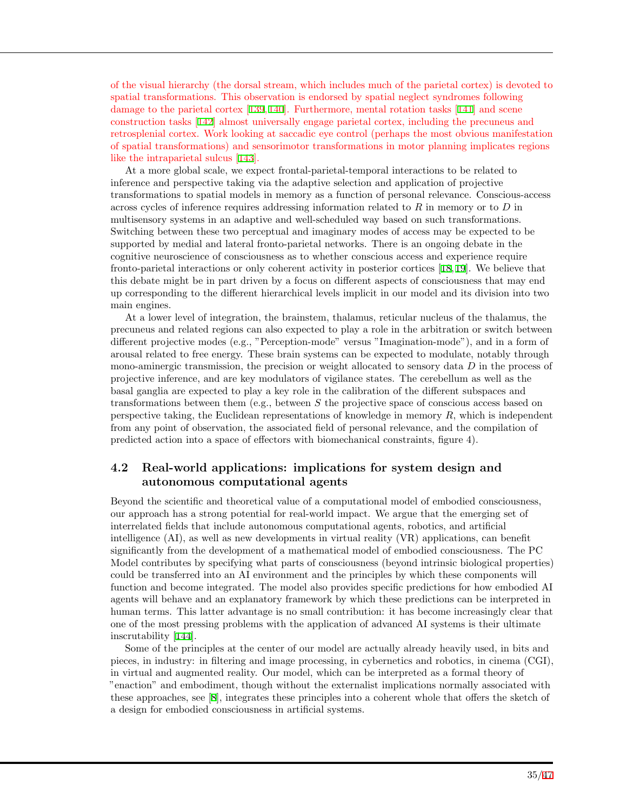of the visual hierarchy (the dorsal stream, which includes much of the parietal cortex) is devoted to spatial transformations. This observation is endorsed by spatial neglect syndromes following damage to the parietal cortex [\[139](#page-45-12), [140](#page-45-13)]. Furthermore, mental rotation tasks [[141](#page-45-14)] and scene construction tasks [\[142](#page-45-15)] almost universally engage parietal cortex, including the precuneus and retrosplenial cortex. Work looking at saccadic eye control (perhaps the most obvious manifestation of spatial transformations) and sensorimotor transformations in motor planning implicates regions like the intraparietal sulcus [[143\]](#page-45-16).

At a more global scale, we expect frontal-parietal-temporal interactions to be related to inference and perspective taking via the adaptive selection and application of projective transformations to spatial models in memory as a function of personal relevance. Conscious-access across cycles of inference requires addressing information related to *R* in memory or to *D* in multisensory systems in an adaptive and well-scheduled way based on such transformations. Switching between these two perceptual and imaginary modes of access may be expected to be supported by medial and lateral fronto-parietal networks. There is an ongoing debate in the cognitive neuroscience of consciousness as to whether conscious access and experience require fronto-parietal interactions or only coherent activity in posterior cortices [[18,](#page-39-14) [19\]](#page-39-15). We believe that this debate might be in part driven by a focus on different aspects of consciousness that may end up corresponding to the different hierarchical levels implicit in our model and its division into two main engines.

At a lower level of integration, the brainstem, thalamus, reticular nucleus of the thalamus, the precuneus and related regions can also expected to play a role in the arbitration or switch between different projective modes (e.g., "Perception-mode" versus "Imagination-mode"), and in a form of arousal related to free energy. These brain systems can be expected to modulate, notably through mono-aminergic transmission, the precision or weight allocated to sensory data *D* in the process of projective inference, and are key modulators of vigilance states. The cerebellum as well as the basal ganglia are expected to play a key role in the calibration of the different subspaces and transformations between them (e.g., between *S* the projective space of conscious access based on perspective taking, the Euclidean representations of knowledge in memory *R*, which is independent from any point of observation, the associated field of personal relevance, and the compilation of predicted action into a space of effectors with biomechanical constraints, figure 4).

### **4.2 Real-world applications: implications for system design and autonomous computational agents**

Beyond the scientific and theoretical value of a computational model of embodied consciousness, our approach has a strong potential for real-world impact. We argue that the emerging set of interrelated fields that include autonomous computational agents, robotics, and artificial intelligence (AI), as well as new developments in virtual reality (VR) applications, can benefit significantly from the development of a mathematical model of embodied consciousness. The PC Model contributes by specifying what parts of consciousness (beyond intrinsic biological properties) could be transferred into an AI environment and the principles by which these components will function and become integrated. The model also provides specific predictions for how embodied AI agents will behave and an explanatory framework by which these predictions can be interpreted in human terms. This latter advantage is no small contribution: it has become increasingly clear that one of the most pressing problems with the application of advanced AI systems is their ultimate inscrutability [[144\]](#page-46-1).

Some of the principles at the center of our model are actually already heavily used, in bits and pieces, in industry: in filtering and image processing, in cybernetics and robotics, in cinema (CGI), in virtual and augmented reality. Our model, which can be interpreted as a formal theory of "enaction" and embodiment, though without the externalist implications normally associated with these approaches, see [\[8](#page-39-8)], integrates these principles into a coherent whole that offers the sketch of a design for embodied consciousness in artificial systems.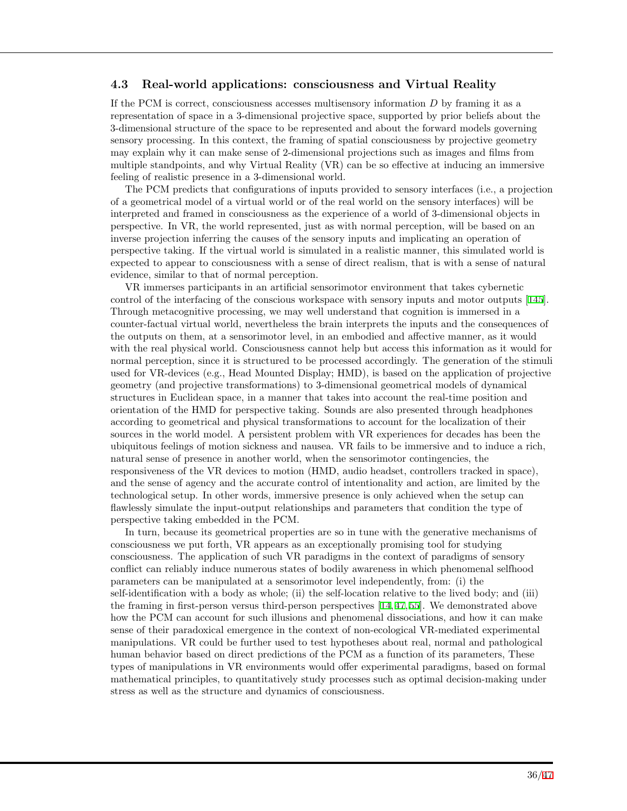### **4.3 Real-world applications: consciousness and Virtual Reality**

If the PCM is correct, consciousness accesses multisensory information *D* by framing it as a representation of space in a 3-dimensional projective space, supported by prior beliefs about the 3-dimensional structure of the space to be represented and about the forward models governing sensory processing. In this context, the framing of spatial consciousness by projective geometry may explain why it can make sense of 2-dimensional projections such as images and films from multiple standpoints, and why Virtual Reality (VR) can be so effective at inducing an immersive feeling of realistic presence in a 3-dimensional world.

The PCM predicts that configurations of inputs provided to sensory interfaces (i.e., a projection of a geometrical model of a virtual world or of the real world on the sensory interfaces) will be interpreted and framed in consciousness as the experience of a world of 3-dimensional objects in perspective. In VR, the world represented, just as with normal perception, will be based on an inverse projection inferring the causes of the sensory inputs and implicating an operation of perspective taking. If the virtual world is simulated in a realistic manner, this simulated world is expected to appear to consciousness with a sense of direct realism, that is with a sense of natural evidence, similar to that of normal perception.

VR immerses participants in an artificial sensorimotor environment that takes cybernetic control of the interfacing of the conscious workspace with sensory inputs and motor outputs [[145\]](#page-46-2). Through metacognitive processing, we may well understand that cognition is immersed in a counter-factual virtual world, nevertheless the brain interprets the inputs and the consequences of the outputs on them, at a sensorimotor level, in an embodied and affective manner, as it would with the real physical world. Consciousness cannot help but access this information as it would for normal perception, since it is structured to be processed accordingly. The generation of the stimuli used for VR-devices (e.g., Head Mounted Display; HMD), is based on the application of projective geometry (and projective transformations) to 3-dimensional geometrical models of dynamical structures in Euclidean space, in a manner that takes into account the real-time position and orientation of the HMD for perspective taking. Sounds are also presented through headphones according to geometrical and physical transformations to account for the localization of their sources in the world model. A persistent problem with VR experiences for decades has been the ubiquitous feelings of motion sickness and nausea. VR fails to be immersive and to induce a rich, natural sense of presence in another world, when the sensorimotor contingencies, the responsiveness of the VR devices to motion (HMD, audio headset, controllers tracked in space), and the sense of agency and the accurate control of intentionality and action, are limited by the technological setup. In other words, immersive presence is only achieved when the setup can flawlessly simulate the input-output relationships and parameters that condition the type of perspective taking embedded in the PCM.

In turn, because its geometrical properties are so in tune with the generative mechanisms of consciousness we put forth, VR appears as an exceptionally promising tool for studying consciousness. The application of such VR paradigms in the context of paradigms of sensory conflict can reliably induce numerous states of bodily awareness in which phenomenal selfhood parameters can be manipulated at a sensorimotor level independently, from: (i) the self-identification with a body as whole; (ii) the self-location relative to the lived body; and (iii) the framing in first-person versus third-person perspectives [[14,](#page-39-5) [47,](#page-41-18) [55\]](#page-41-9). We demonstrated above how the PCM can account for such illusions and phenomenal dissociations, and how it can make sense of their paradoxical emergence in the context of non-ecological VR-mediated experimental manipulations. VR could be further used to test hypotheses about real, normal and pathological human behavior based on direct predictions of the PCM as a function of its parameters, These types of manipulations in VR environments would offer experimental paradigms, based on formal mathematical principles, to quantitatively study processes such as optimal decision-making under stress as well as the structure and dynamics of consciousness.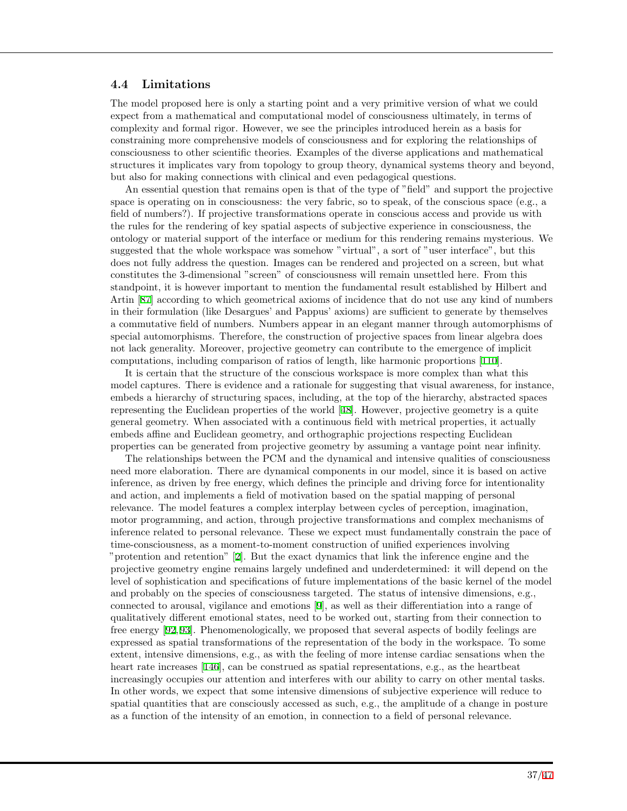### **4.4 Limitations**

The model proposed here is only a starting point and a very primitive version of what we could expect from a mathematical and computational model of consciousness ultimately, in terms of complexity and formal rigor. However, we see the principles introduced herein as a basis for constraining more comprehensive models of consciousness and for exploring the relationships of consciousness to other scientific theories. Examples of the diverse applications and mathematical structures it implicates vary from topology to group theory, dynamical systems theory and beyond, but also for making connections with clinical and even pedagogical questions.

An essential question that remains open is that of the type of "field" and support the projective space is operating on in consciousness: the very fabric, so to speak, of the conscious space (e.g., a field of numbers?). If projective transformations operate in conscious access and provide us with the rules for the rendering of key spatial aspects of subjective experience in consciousness, the ontology or material support of the interface or medium for this rendering remains mysterious. We suggested that the whole workspace was somehow "virtual", a sort of "user interface", but this does not fully address the question. Images can be rendered and projected on a screen, but what constitutes the 3-dimensional "screen" of consciousness will remain unsettled here. From this standpoint, it is however important to mention the fundamental result established by Hilbert and Artin [\[87](#page-43-1)] according to which geometrical axioms of incidence that do not use any kind of numbers in their formulation (like Desargues' and Pappus' axioms) are sufficient to generate by themselves a commutative field of numbers. Numbers appear in an elegant manner through automorphisms of special automorphisms. Therefore, the construction of projective spaces from linear algebra does not lack generality. Moreover, projective geometry can contribute to the emergence of implicit computations, including comparison of ratios of length, like harmonic proportions [[110\]](#page-44-1).

It is certain that the structure of the conscious workspace is more complex than what this model captures. There is evidence and a rationale for suggesting that visual awareness, for instance, embeds a hierarchy of structuring spaces, including, at the top of the hierarchy, abstracted spaces representing the Euclidean properties of the world [[48](#page-41-5)]. However, projective geometry is a quite general geometry. When associated with a continuous field with metrical properties, it actually embeds affine and Euclidean geometry, and orthographic projections respecting Euclidean properties can be generated from projective geometry by assuming a vantage point near infinity.

The relationships between the PCM and the dynamical and intensive qualities of consciousness need more elaboration. There are dynamical components in our model, since it is based on active inference, as driven by free energy, which defines the principle and driving force for intentionality and action, and implements a field of motivation based on the spatial mapping of personal relevance. The model features a complex interplay between cycles of perception, imagination, motor programming, and action, through projective transformations and complex mechanisms of inference related to personal relevance. These we expect must fundamentally constrain the pace of time-consciousness, as a moment-to-moment construction of unified experiences involving "protention and retention" [[2\]](#page-38-1). But the exact dynamics that link the inference engine and the projective geometry engine remains largely undefined and underdetermined: it will depend on the level of sophistication and specifications of future implementations of the basic kernel of the model and probably on the species of consciousness targeted. The status of intensive dimensions, e.g., connected to arousal, vigilance and emotions [\[9](#page-39-0)], as well as their differentiation into a range of qualitatively different emotional states, need to be worked out, starting from their connection to free energy [[92,](#page-43-6) [93\]](#page-43-7). Phenomenologically, we proposed that several aspects of bodily feelings are expressed as spatial transformations of the representation of the body in the workspace. To some extent, intensive dimensions, e.g., as with the feeling of more intense cardiac sensations when the heart rate increases [[146\]](#page-46-3), can be construed as spatial representations, e.g., as the heartbeat increasingly occupies our attention and interferes with our ability to carry on other mental tasks. In other words, we expect that some intensive dimensions of subjective experience will reduce to spatial quantities that are consciously accessed as such, e.g., the amplitude of a change in posture as a function of the intensity of an emotion, in connection to a field of personal relevance.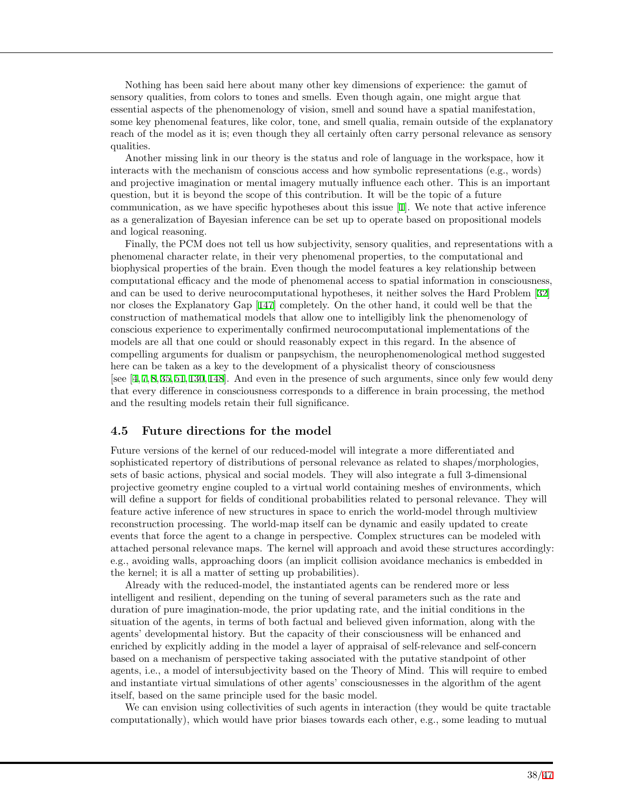Nothing has been said here about many other key dimensions of experience: the gamut of sensory qualities, from colors to tones and smells. Even though again, one might argue that essential aspects of the phenomenology of vision, smell and sound have a spatial manifestation, some key phenomenal features, like color, tone, and smell qualia, remain outside of the explanatory reach of the model as it is; even though they all certainly often carry personal relevance as sensory qualities.

Another missing link in our theory is the status and role of language in the workspace, how it interacts with the mechanism of conscious access and how symbolic representations (e.g., words) and projective imagination or mental imagery mutually influence each other. This is an important question, but it is beyond the scope of this contribution. It will be the topic of a future communication, as we have specific hypotheses about this issue [[1](#page-38-0)]. We note that active inference as a generalization of Bayesian inference can be set up to operate based on propositional models and logical reasoning.

Finally, the PCM does not tell us how subjectivity, sensory qualities, and representations with a phenomenal character relate, in their very phenomenal properties, to the computational and biophysical properties of the brain. Even though the model features a key relationship between computational efficacy and the mode of phenomenal access to spatial information in consciousness, and can be used to derive neurocomputational hypotheses, it neither solves the Hard Problem [[32\]](#page-40-4) nor closes the Explanatory Gap [\[147](#page-46-4)] completely. On the other hand, it could well be that the construction of mathematical models that allow one to intelligibly link the phenomenology of conscious experience to experimentally confirmed neurocomputational implementations of the models are all that one could or should reasonably expect in this regard. In the absence of compelling arguments for dualism or panpsychism, the neurophenomenological method suggested here can be taken as a key to the development of a physicalist theory of consciousness [see [[4,](#page-38-5) [7,](#page-39-11) [8,](#page-39-8) [35,](#page-40-7) [51,](#page-41-4) [130,](#page-45-4) [148\]](#page-46-5). And even in the presence of such arguments, since only few would deny that every difference in consciousness corresponds to a difference in brain processing, the method and the resulting models retain their full significance.

### **4.5 Future directions for the model**

Future versions of the kernel of our reduced-model will integrate a more differentiated and sophisticated repertory of distributions of personal relevance as related to shapes/morphologies, sets of basic actions, physical and social models. They will also integrate a full 3-dimensional projective geometry engine coupled to a virtual world containing meshes of environments, which will define a support for fields of conditional probabilities related to personal relevance. They will feature active inference of new structures in space to enrich the world-model through multiview reconstruction processing. The world-map itself can be dynamic and easily updated to create events that force the agent to a change in perspective. Complex structures can be modeled with attached personal relevance maps. The kernel will approach and avoid these structures accordingly: e.g., avoiding walls, approaching doors (an implicit collision avoidance mechanics is embedded in the kernel; it is all a matter of setting up probabilities).

Already with the reduced-model, the instantiated agents can be rendered more or less intelligent and resilient, depending on the tuning of several parameters such as the rate and duration of pure imagination-mode, the prior updating rate, and the initial conditions in the situation of the agents, in terms of both factual and believed given information, along with the agents' developmental history. But the capacity of their consciousness will be enhanced and enriched by explicitly adding in the model a layer of appraisal of self-relevance and self-concern based on a mechanism of perspective taking associated with the putative standpoint of other agents, i.e., a model of intersubjectivity based on the Theory of Mind. This will require to embed and instantiate virtual simulations of other agents' consciousnesses in the algorithm of the agent itself, based on the same principle used for the basic model.

We can envision using collectivities of such agents in interaction (they would be quite tractable computationally), which would have prior biases towards each other, e.g., some leading to mutual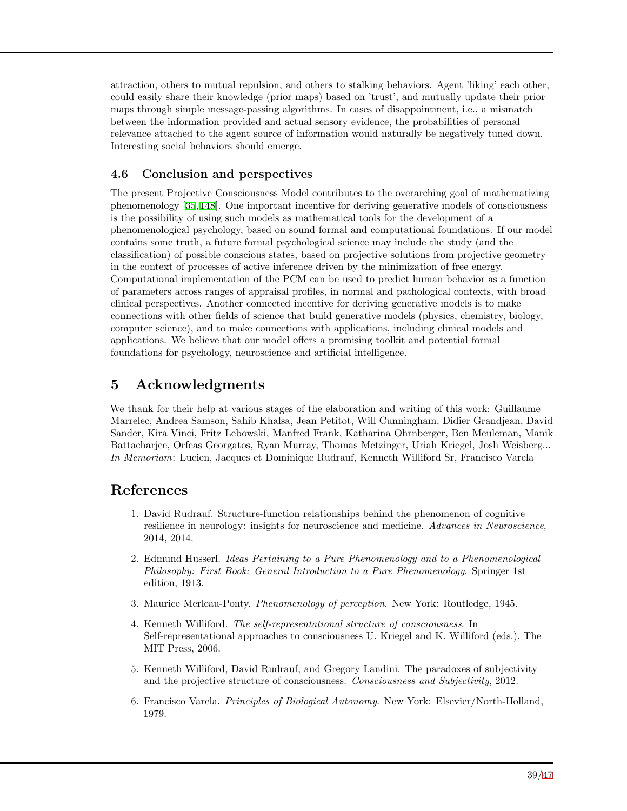attraction, others to mutual repulsion, and others to stalking behaviors. Agent 'liking' each other, could easily share their knowledge (prior maps) based on 'trust', and mutually update their prior maps through simple message-passing algorithms. In cases of disappointment, i.e., a mismatch between the information provided and actual sensory evidence, the probabilities of personal relevance attached to the agent source of information would naturally be negatively tuned down. Interesting social behaviors should emerge.

## **4.6 Conclusion and perspectives**

The present Projective Consciousness Model contributes to the overarching goal of mathematizing phenomenology [\[35](#page-40-7), [148](#page-46-5)]. One important incentive for deriving generative models of consciousness is the possibility of using such models as mathematical tools for the development of a phenomenological psychology, based on sound formal and computational foundations. If our model contains some truth, a future formal psychological science may include the study (and the classification) of possible conscious states, based on projective solutions from projective geometry in the context of processes of active inference driven by the minimization of free energy. Computational implementation of the PCM can be used to predict human behavior as a function of parameters across ranges of appraisal profiles, in normal and pathological contexts, with broad clinical perspectives. Another connected incentive for deriving generative models is to make connections with other fields of science that build generative models (physics, chemistry, biology, computer science), and to make connections with applications, including clinical models and applications. We believe that our model offers a promising toolkit and potential formal foundations for psychology, neuroscience and artificial intelligence.

# **5 Acknowledgments**

We thank for their help at various stages of the elaboration and writing of this work: Guillaume Marrelec, Andrea Samson, Sahib Khalsa, Jean Petitot, Will Cunningham, Didier Grandjean, David Sander, Kira Vinci, Fritz Lebowski, Manfred Frank, Katharina Ohrnberger, Ben Meuleman, Manik Battacharjee, Orfeas Georgatos, Ryan Murray, Thomas Metzinger, Uriah Kriegel, Josh Weisberg... *In Memoriam*: Lucien, Jacques et Dominique Rudrauf, Kenneth Williford Sr, Francisco Varela

# <span id="page-38-0"></span>**References**

- 1. David Rudrauf. Structure-function relationships behind the phenomenon of cognitive resilience in neurology: insights for neuroscience and medicine. *Advances in Neuroscience*, 2014, 2014.
- <span id="page-38-1"></span>2. Edmund Husserl. *Ideas Pertaining to a Pure Phenomenology and to a Phenomenological Philosophy: First Book: General Introduction to a Pure Phenomenology*. Springer 1st edition, 1913.
- <span id="page-38-4"></span>3. Maurice Merleau-Ponty. *Phenomenology of perception*. New York: Routledge, 1945.
- <span id="page-38-5"></span>4. Kenneth Williford. *The self-representational structure of consciousness*. In Self-representational approaches to consciousness U. Kriegel and K. Williford (eds.). The MIT Press, 2006.
- <span id="page-38-2"></span>5. Kenneth Williford, David Rudrauf, and Gregory Landini. The paradoxes of subjectivity and the projective structure of consciousness. *Consciousness and Subjectivity*, 2012.
- <span id="page-38-3"></span>6. Francisco Varela. *Principles of Biological Autonomy*. New York: Elsevier/North-Holland, 1979.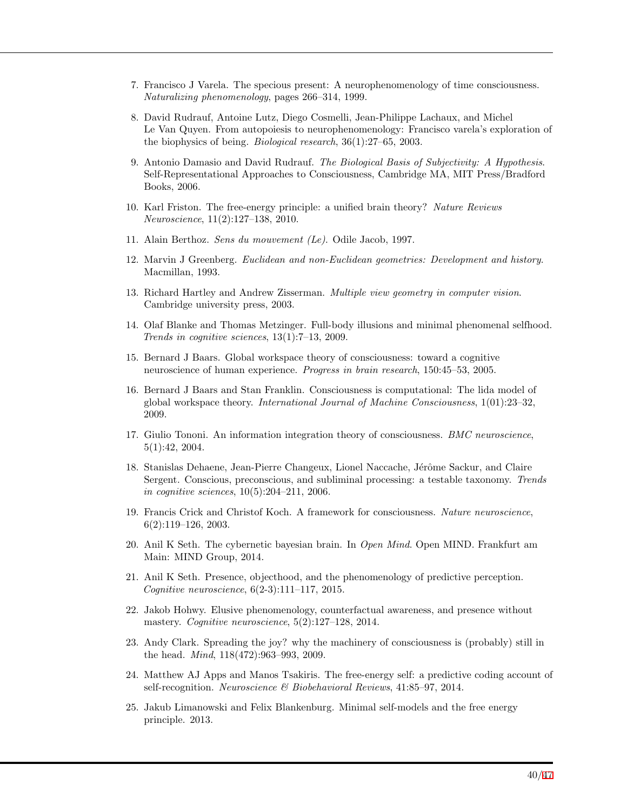- <span id="page-39-11"></span>7. Francisco J Varela. The specious present: A neurophenomenology of time consciousness. *Naturalizing phenomenology*, pages 266–314, 1999.
- <span id="page-39-8"></span>8. David Rudrauf, Antoine Lutz, Diego Cosmelli, Jean-Philippe Lachaux, and Michel Le Van Quyen. From autopoiesis to neurophenomenology: Francisco varela's exploration of the biophysics of being. *Biological research*, 36(1):27–65, 2003.
- <span id="page-39-0"></span>9. Antonio Damasio and David Rudrauf. *The Biological Basis of Subjectivity: A Hypothesis*. Self-Representational Approaches to Consciousness, Cambridge MA, MIT Press/Bradford Books, 2006.
- <span id="page-39-1"></span>10. Karl Friston. The free-energy principle: a unified brain theory? *Nature Reviews Neuroscience*, 11(2):127–138, 2010.
- <span id="page-39-2"></span>11. Alain Berthoz. *Sens du mouvement (Le)*. Odile Jacob, 1997.
- <span id="page-39-3"></span>12. Marvin J Greenberg. *Euclidean and non-Euclidean geometries: Development and history*. Macmillan, 1993.
- <span id="page-39-4"></span>13. Richard Hartley and Andrew Zisserman. *Multiple view geometry in computer vision*. Cambridge university press, 2003.
- <span id="page-39-5"></span>14. Olaf Blanke and Thomas Metzinger. Full-body illusions and minimal phenomenal selfhood. *Trends in cognitive sciences*, 13(1):7–13, 2009.
- <span id="page-39-6"></span>15. Bernard J Baars. Global workspace theory of consciousness: toward a cognitive neuroscience of human experience. *Progress in brain research*, 150:45–53, 2005.
- <span id="page-39-9"></span>16. Bernard J Baars and Stan Franklin. Consciousness is computational: The lida model of global workspace theory. *International Journal of Machine Consciousness*, 1(01):23–32, 2009.
- <span id="page-39-10"></span>17. Giulio Tononi. An information integration theory of consciousness. *BMC neuroscience*, 5(1):42, 2004.
- <span id="page-39-14"></span>18. Stanislas Dehaene, Jean-Pierre Changeux, Lionel Naccache, Jérôme Sackur, and Claire Sergent. Conscious, preconscious, and subliminal processing: a testable taxonomy. *Trends in cognitive sciences*, 10(5):204–211, 2006.
- <span id="page-39-15"></span>19. Francis Crick and Christof Koch. A framework for consciousness. *Nature neuroscience*, 6(2):119–126, 2003.
- <span id="page-39-12"></span>20. Anil K Seth. The cybernetic bayesian brain. In *Open Mind*. Open MIND. Frankfurt am Main: MIND Group, 2014.
- 21. Anil K Seth. Presence, objecthood, and the phenomenology of predictive perception. *Cognitive neuroscience*, 6(2-3):111–117, 2015.
- <span id="page-39-13"></span>22. Jakob Hohwy. Elusive phenomenology, counterfactual awareness, and presence without mastery. *Cognitive neuroscience*, 5(2):127–128, 2014.
- 23. Andy Clark. Spreading the joy? why the machinery of consciousness is (probably) still in the head. *Mind*, 118(472):963–993, 2009.
- 24. Matthew AJ Apps and Manos Tsakiris. The free-energy self: a predictive coding account of self-recognition. *Neuroscience & Biobehavioral Reviews*, 41:85–97, 2014.
- <span id="page-39-7"></span>25. Jakub Limanowski and Felix Blankenburg. Minimal self-models and the free energy principle. 2013.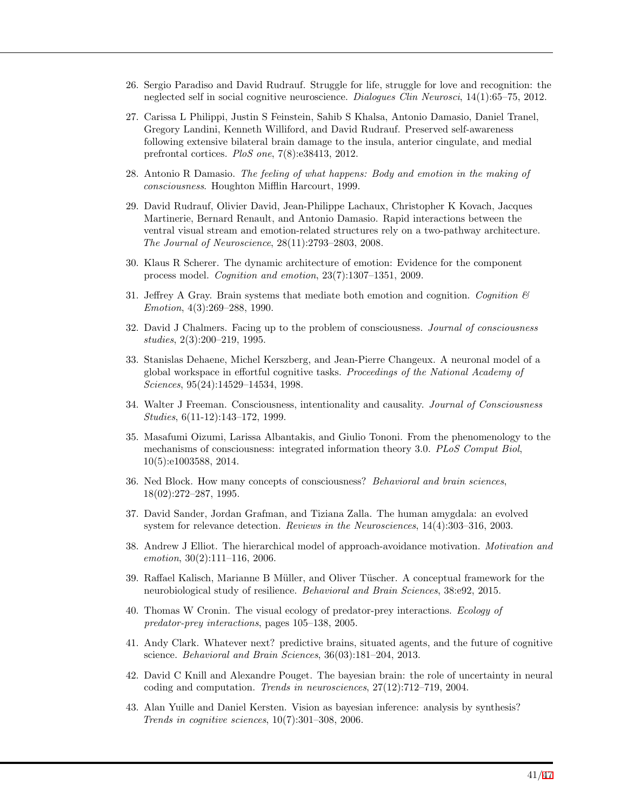- <span id="page-40-0"></span>26. Sergio Paradiso and David Rudrauf. Struggle for life, struggle for love and recognition: the neglected self in social cognitive neuroscience. *Dialogues Clin Neurosci*, 14(1):65–75, 2012.
- <span id="page-40-1"></span>27. Carissa L Philippi, Justin S Feinstein, Sahib S Khalsa, Antonio Damasio, Daniel Tranel, Gregory Landini, Kenneth Williford, and David Rudrauf. Preserved self-awareness following extensive bilateral brain damage to the insula, anterior cingulate, and medial prefrontal cortices. *PloS one*, 7(8):e38413, 2012.
- <span id="page-40-2"></span>28. Antonio R Damasio. *The feeling of what happens: Body and emotion in the making of consciousness*. Houghton Mifflin Harcourt, 1999.
- 29. David Rudrauf, Olivier David, Jean-Philippe Lachaux, Christopher K Kovach, Jacques Martinerie, Bernard Renault, and Antonio Damasio. Rapid interactions between the ventral visual stream and emotion-related structures rely on a two-pathway architecture. *The Journal of Neuroscience*, 28(11):2793–2803, 2008.
- <span id="page-40-15"></span>30. Klaus R Scherer. The dynamic architecture of emotion: Evidence for the component process model. *Cognition and emotion*, 23(7):1307–1351, 2009.
- <span id="page-40-3"></span>31. Jeffrey A Gray. Brain systems that mediate both emotion and cognition. *Cognition & Emotion*, 4(3):269–288, 1990.
- <span id="page-40-4"></span>32. David J Chalmers. Facing up to the problem of consciousness. *Journal of consciousness studies*, 2(3):200–219, 1995.
- <span id="page-40-5"></span>33. Stanislas Dehaene, Michel Kerszberg, and Jean-Pierre Changeux. A neuronal model of a global workspace in effortful cognitive tasks. *Proceedings of the National Academy of Sciences*, 95(24):14529–14534, 1998.
- <span id="page-40-6"></span>34. Walter J Freeman. Consciousness, intentionality and causality. *Journal of Consciousness Studies*, 6(11-12):143–172, 1999.
- <span id="page-40-7"></span>35. Masafumi Oizumi, Larissa Albantakis, and Giulio Tononi. From the phenomenology to the mechanisms of consciousness: integrated information theory 3.0. *PLoS Comput Biol*, 10(5):e1003588, 2014.
- <span id="page-40-8"></span>36. Ned Block. How many concepts of consciousness? *Behavioral and brain sciences*, 18(02):272–287, 1995.
- <span id="page-40-9"></span>37. David Sander, Jordan Grafman, and Tiziana Zalla. The human amygdala: an evolved system for relevance detection. *Reviews in the Neurosciences*, 14(4):303–316, 2003.
- <span id="page-40-10"></span>38. Andrew J Elliot. The hierarchical model of approach-avoidance motivation. *Motivation and emotion*, 30(2):111–116, 2006.
- <span id="page-40-11"></span>39. Raffael Kalisch, Marianne B Müller, and Oliver Tüscher. A conceptual framework for the neurobiological study of resilience. *Behavioral and Brain Sciences*, 38:e92, 2015.
- <span id="page-40-12"></span>40. Thomas W Cronin. The visual ecology of predator-prey interactions. *Ecology of predator-prey interactions*, pages 105–138, 2005.
- <span id="page-40-13"></span>41. Andy Clark. Whatever next? predictive brains, situated agents, and the future of cognitive science. *Behavioral and Brain Sciences*, 36(03):181–204, 2013.
- 42. David C Knill and Alexandre Pouget. The bayesian brain: the role of uncertainty in neural coding and computation. *Trends in neurosciences*, 27(12):712–719, 2004.
- <span id="page-40-14"></span>43. Alan Yuille and Daniel Kersten. Vision as bayesian inference: analysis by synthesis? *Trends in cognitive sciences*, 10(7):301–308, 2006.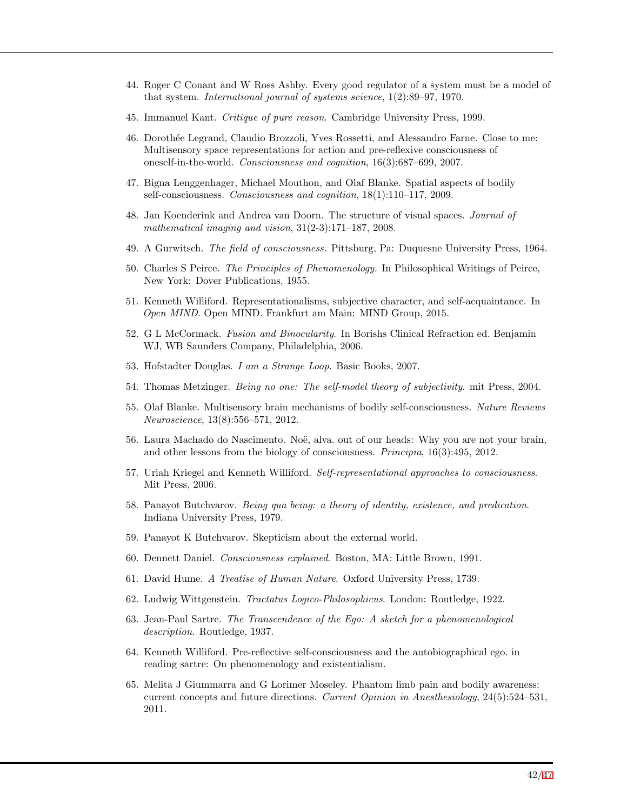- <span id="page-41-0"></span>44. Roger C Conant and W Ross Ashby. Every good regulator of a system must be a model of that system. *International journal of systems science*, 1(2):89–97, 1970.
- <span id="page-41-1"></span>45. Immanuel Kant. *Critique of pure reason*. Cambridge University Press, 1999.
- <span id="page-41-2"></span>46. Doroth´ee Legrand, Claudio Brozzoli, Yves Rossetti, and Alessandro Farne. Close to me: Multisensory space representations for action and pre-reflexive consciousness of oneself-in-the-world. *Consciousness and cognition*, 16(3):687–699, 2007.
- <span id="page-41-18"></span>47. Bigna Lenggenhager, Michael Mouthon, and Olaf Blanke. Spatial aspects of bodily self-consciousness. *Consciousness and cognition*, 18(1):110–117, 2009.
- <span id="page-41-5"></span>48. Jan Koenderink and Andrea van Doorn. The structure of visual spaces. *Journal of mathematical imaging and vision*, 31(2-3):171–187, 2008.
- 49. A Gurwitsch. *The field of consciousness.* Pittsburg, Pa: Duquesne University Press, 1964.
- <span id="page-41-3"></span>50. Charles S Peirce. *The Principles of Phenomenology.* In Philosophical Writings of Peirce, New York: Dover Publications, 1955.
- <span id="page-41-4"></span>51. Kenneth Williford. Representationalisms, subjective character, and self-acquaintance. In *Open MIND*. Open MIND. Frankfurt am Main: MIND Group, 2015.
- <span id="page-41-6"></span>52. G L McCormack. *Fusion and Binocularity*. In Borishs Clinical Refraction ed. Benjamin WJ, WB Saunders Company, Philadelphia, 2006.
- <span id="page-41-7"></span>53. Hofstadter Douglas. *I am a Strange Loop*. Basic Books, 2007.
- <span id="page-41-8"></span>54. Thomas Metzinger. *Being no one: The self-model theory of subjectivity*. mit Press, 2004.
- <span id="page-41-9"></span>55. Olaf Blanke. Multisensory brain mechanisms of bodily self-consciousness. *Nature Reviews Neuroscience*, 13(8):556–571, 2012.
- <span id="page-41-10"></span>56. Laura Machado do Nascimento. Noë, alva. out of our heads: Why you are not your brain, and other lessons from the biology of consciousness. *Principia*, 16(3):495, 2012.
- <span id="page-41-11"></span>57. Uriah Kriegel and Kenneth Williford. *Self-representational approaches to consciousness*. Mit Press, 2006.
- <span id="page-41-12"></span>58. Panayot Butchvarov. *Being qua being: a theory of identity, existence, and predication*. Indiana University Press, 1979.
- 59. Panayot K Butchvarov. Skepticism about the external world.
- <span id="page-41-13"></span>60. Dennett Daniel. *Consciousness explained*. Boston, MA: Little Brown, 1991.
- <span id="page-41-14"></span>61. David Hume. *A Treatise of Human Nature*. Oxford University Press, 1739.
- 62. Ludwig Wittgenstein. *Tractatus Logico-Philosophicus*. London: Routledge, 1922.
- <span id="page-41-15"></span>63. Jean-Paul Sartre. *The Transcendence of the Ego: A sketch for a phenomenological description*. Routledge, 1937.
- <span id="page-41-16"></span>64. Kenneth Williford. Pre-reflective self-consciousness and the autobiographical ego. in reading sartre: On phenomenology and existentialism.
- <span id="page-41-17"></span>65. Melita J Giummarra and G Lorimer Moseley. Phantom limb pain and bodily awareness: current concepts and future directions. *Current Opinion in Anesthesiology*, 24(5):524–531, 2011.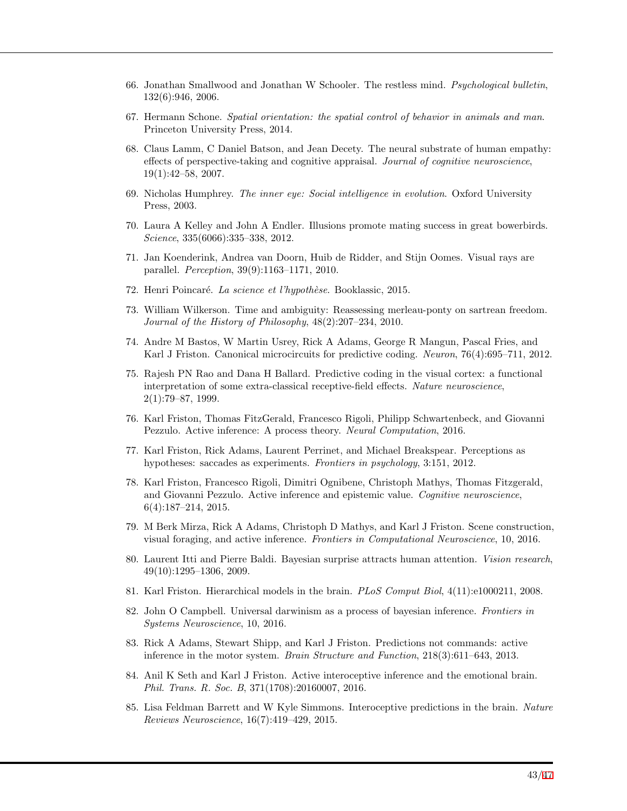- <span id="page-42-0"></span>66. Jonathan Smallwood and Jonathan W Schooler. The restless mind. *Psychological bulletin*, 132(6):946, 2006.
- <span id="page-42-1"></span>67. Hermann Schone. *Spatial orientation: the spatial control of behavior in animals and man*. Princeton University Press, 2014.
- <span id="page-42-2"></span>68. Claus Lamm, C Daniel Batson, and Jean Decety. The neural substrate of human empathy: effects of perspective-taking and cognitive appraisal. *Journal of cognitive neuroscience*, 19(1):42–58, 2007.
- <span id="page-42-3"></span>69. Nicholas Humphrey. *The inner eye: Social intelligence in evolution*. Oxford University Press, 2003.
- <span id="page-42-4"></span>70. Laura A Kelley and John A Endler. Illusions promote mating success in great bowerbirds. *Science*, 335(6066):335–338, 2012.
- <span id="page-42-5"></span>71. Jan Koenderink, Andrea van Doorn, Huib de Ridder, and Stijn Oomes. Visual rays are parallel. *Perception*, 39(9):1163–1171, 2010.
- <span id="page-42-6"></span>72. Henri Poincar´e. *La science et l'hypoth`ese*. Booklassic, 2015.
- <span id="page-42-7"></span>73. William Wilkerson. Time and ambiguity: Reassessing merleau-ponty on sartrean freedom. *Journal of the History of Philosophy*, 48(2):207–234, 2010.
- <span id="page-42-8"></span>74. Andre M Bastos, W Martin Usrey, Rick A Adams, George R Mangun, Pascal Fries, and Karl J Friston. Canonical microcircuits for predictive coding. *Neuron*, 76(4):695–711, 2012.
- <span id="page-42-9"></span>75. Rajesh PN Rao and Dana H Ballard. Predictive coding in the visual cortex: a functional interpretation of some extra-classical receptive-field effects. *Nature neuroscience*, 2(1):79–87, 1999.
- <span id="page-42-10"></span>76. Karl Friston, Thomas FitzGerald, Francesco Rigoli, Philipp Schwartenbeck, and Giovanni Pezzulo. Active inference: A process theory. *Neural Computation*, 2016.
- <span id="page-42-11"></span>77. Karl Friston, Rick Adams, Laurent Perrinet, and Michael Breakspear. Perceptions as hypotheses: saccades as experiments. *Frontiers in psychology*, 3:151, 2012.
- <span id="page-42-12"></span>78. Karl Friston, Francesco Rigoli, Dimitri Ognibene, Christoph Mathys, Thomas Fitzgerald, and Giovanni Pezzulo. Active inference and epistemic value. *Cognitive neuroscience*, 6(4):187–214, 2015.
- <span id="page-42-13"></span>79. M Berk Mirza, Rick A Adams, Christoph D Mathys, and Karl J Friston. Scene construction, visual foraging, and active inference. *Frontiers in Computational Neuroscience*, 10, 2016.
- <span id="page-42-14"></span>80. Laurent Itti and Pierre Baldi. Bayesian surprise attracts human attention. *Vision research*, 49(10):1295–1306, 2009.
- <span id="page-42-15"></span>81. Karl Friston. Hierarchical models in the brain. *PLoS Comput Biol*, 4(11):e1000211, 2008.
- <span id="page-42-16"></span>82. John O Campbell. Universal darwinism as a process of bayesian inference. *Frontiers in Systems Neuroscience*, 10, 2016.
- <span id="page-42-17"></span>83. Rick A Adams, Stewart Shipp, and Karl J Friston. Predictions not commands: active inference in the motor system. *Brain Structure and Function*, 218(3):611–643, 2013.
- 84. Anil K Seth and Karl J Friston. Active interoceptive inference and the emotional brain. *Phil. Trans. R. Soc. B*, 371(1708):20160007, 2016.
- <span id="page-42-18"></span>85. Lisa Feldman Barrett and W Kyle Simmons. Interoceptive predictions in the brain. *Nature Reviews Neuroscience*, 16(7):419–429, 2015.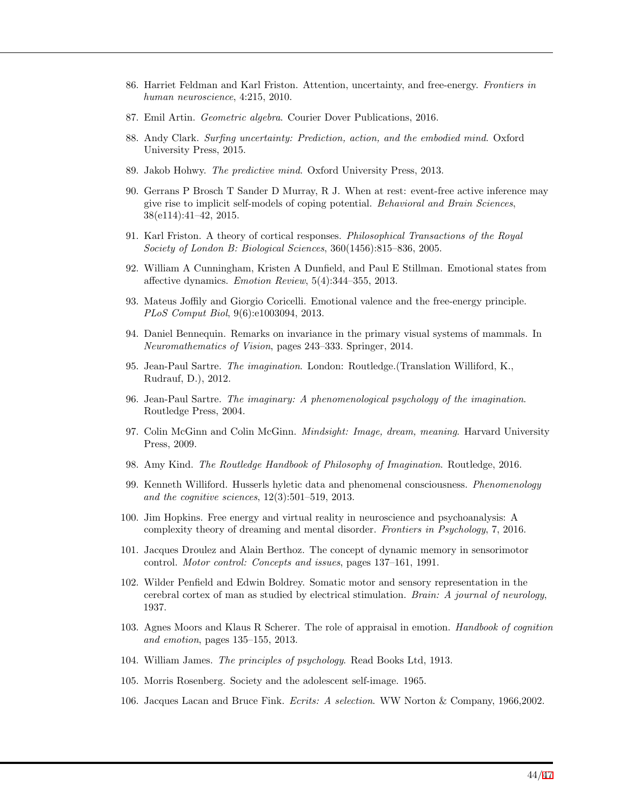- <span id="page-43-0"></span>86. Harriet Feldman and Karl Friston. Attention, uncertainty, and free-energy. *Frontiers in human neuroscience*, 4:215, 2010.
- <span id="page-43-1"></span>87. Emil Artin. *Geometric algebra*. Courier Dover Publications, 2016.
- <span id="page-43-2"></span>88. Andy Clark. *Surfing uncertainty: Prediction, action, and the embodied mind*. Oxford University Press, 2015.
- <span id="page-43-3"></span>89. Jakob Hohwy. *The predictive mind*. Oxford University Press, 2013.
- <span id="page-43-4"></span>90. Gerrans P Brosch T Sander D Murray, R J. When at rest: event-free active inference may give rise to implicit self-models of coping potential. *Behavioral and Brain Sciences*, 38(e114):41–42, 2015.
- <span id="page-43-5"></span>91. Karl Friston. A theory of cortical responses. *Philosophical Transactions of the Royal Society of London B: Biological Sciences*, 360(1456):815–836, 2005.
- <span id="page-43-6"></span>92. William A Cunningham, Kristen A Dunfield, and Paul E Stillman. Emotional states from affective dynamics. *Emotion Review*, 5(4):344–355, 2013.
- <span id="page-43-7"></span>93. Mateus Joffily and Giorgio Coricelli. Emotional valence and the free-energy principle. *PLoS Comput Biol*, 9(6):e1003094, 2013.
- <span id="page-43-8"></span>94. Daniel Bennequin. Remarks on invariance in the primary visual systems of mammals. In *Neuromathematics of Vision*, pages 243–333. Springer, 2014.
- <span id="page-43-9"></span>95. Jean-Paul Sartre. *The imagination*. London: Routledge.(Translation Williford, K., Rudrauf, D.), 2012.
- 96. Jean-Paul Sartre. *The imaginary: A phenomenological psychology of the imagination*. Routledge Press, 2004.
- 97. Colin McGinn and Colin McGinn. *Mindsight: Image, dream, meaning*. Harvard University Press, 2009.
- <span id="page-43-10"></span>98. Amy Kind. *The Routledge Handbook of Philosophy of Imagination*. Routledge, 2016.
- <span id="page-43-11"></span>99. Kenneth Williford. Husserls hyletic data and phenomenal consciousness. *Phenomenology and the cognitive sciences*, 12(3):501–519, 2013.
- <span id="page-43-12"></span>100. Jim Hopkins. Free energy and virtual reality in neuroscience and psychoanalysis: A complexity theory of dreaming and mental disorder. *Frontiers in Psychology*, 7, 2016.
- <span id="page-43-13"></span>101. Jacques Droulez and Alain Berthoz. The concept of dynamic memory in sensorimotor control. *Motor control: Concepts and issues*, pages 137–161, 1991.
- <span id="page-43-14"></span>102. Wilder Penfield and Edwin Boldrey. Somatic motor and sensory representation in the cerebral cortex of man as studied by electrical stimulation. *Brain: A journal of neurology*, 1937.
- <span id="page-43-15"></span>103. Agnes Moors and Klaus R Scherer. The role of appraisal in emotion. *Handbook of cognition and emotion*, pages 135–155, 2013.
- <span id="page-43-16"></span>104. William James. *The principles of psychology*. Read Books Ltd, 1913.
- <span id="page-43-17"></span>105. Morris Rosenberg. Society and the adolescent self-image. 1965.
- 106. Jacques Lacan and Bruce Fink. *Ecrits: A selection*. WW Norton & Company, 1966,2002.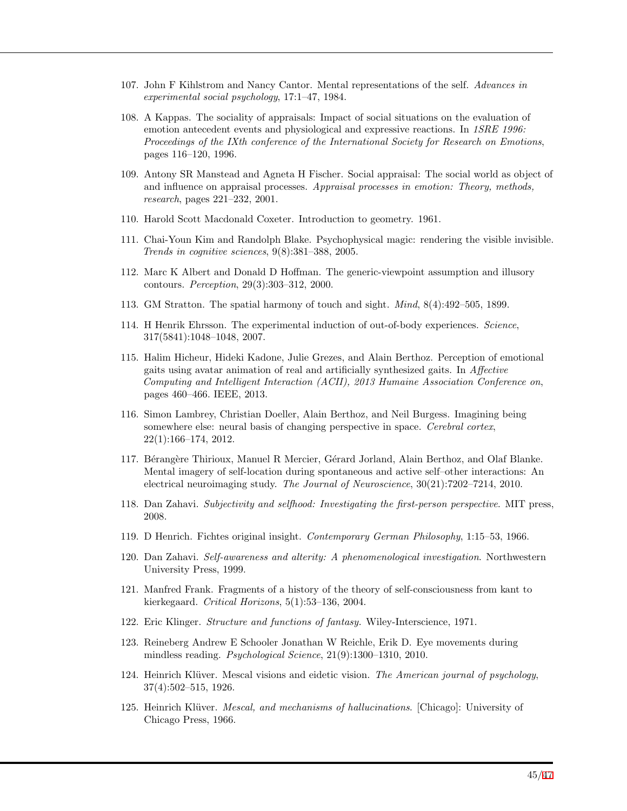- 107. John F Kihlstrom and Nancy Cantor. Mental representations of the self. *Advances in experimental social psychology*, 17:1–47, 1984.
- 108. A Kappas. The sociality of appraisals: Impact of social situations on the evaluation of emotion antecedent events and physiological and expressive reactions. In *1SRE 1996: Proceedings of the IXth conference of the International Society for Research on Emotions*, pages 116–120, 1996.
- <span id="page-44-0"></span>109. Antony SR Manstead and Agneta H Fischer. Social appraisal: The social world as object of and influence on appraisal processes. *Appraisal processes in emotion: Theory, methods, research*, pages 221–232, 2001.
- <span id="page-44-1"></span>110. Harold Scott Macdonald Coxeter. Introduction to geometry. 1961.
- <span id="page-44-2"></span>111. Chai-Youn Kim and Randolph Blake. Psychophysical magic: rendering the visible invisible. *Trends in cognitive sciences*, 9(8):381–388, 2005.
- <span id="page-44-3"></span>112. Marc K Albert and Donald D Hoffman. The generic-viewpoint assumption and illusory contours. *Perception*, 29(3):303–312, 2000.
- <span id="page-44-4"></span>113. GM Stratton. The spatial harmony of touch and sight. *Mind*, 8(4):492–505, 1899.
- <span id="page-44-5"></span>114. H Henrik Ehrsson. The experimental induction of out-of-body experiences. *Science*, 317(5841):1048–1048, 2007.
- <span id="page-44-6"></span>115. Halim Hicheur, Hideki Kadone, Julie Grezes, and Alain Berthoz. Perception of emotional gaits using avatar animation of real and artificially synthesized gaits. In *Affective Computing and Intelligent Interaction (ACII), 2013 Humaine Association Conference on*, pages 460–466. IEEE, 2013.
- 116. Simon Lambrey, Christian Doeller, Alain Berthoz, and Neil Burgess. Imagining being somewhere else: neural basis of changing perspective in space. *Cerebral cortex*, 22(1):166–174, 2012.
- <span id="page-44-7"></span>117. Bérangère Thirioux, Manuel R Mercier, Gérard Jorland, Alain Berthoz, and Olaf Blanke. Mental imagery of self-location during spontaneous and active self–other interactions: An electrical neuroimaging study. *The Journal of Neuroscience*, 30(21):7202–7214, 2010.
- <span id="page-44-8"></span>118. Dan Zahavi. *Subjectivity and selfhood: Investigating the first-person perspective*. MIT press, 2008.
- <span id="page-44-9"></span>119. D Henrich. Fichtes original insight. *Contemporary German Philosophy*, 1:15–53, 1966.
- 120. Dan Zahavi. *Self-awareness and alterity: A phenomenological investigation*. Northwestern University Press, 1999.
- <span id="page-44-10"></span>121. Manfred Frank. Fragments of a history of the theory of self-consciousness from kant to kierkegaard. *Critical Horizons*, 5(1):53–136, 2004.
- <span id="page-44-11"></span>122. Eric Klinger. *Structure and functions of fantasy.* Wiley-Interscience, 1971.
- <span id="page-44-12"></span>123. Reineberg Andrew E Schooler Jonathan W Reichle, Erik D. Eye movements during mindless reading. *Psychological Science*, 21(9):1300–1310, 2010.
- <span id="page-44-13"></span>124. Heinrich Klüver. Mescal visions and eidetic vision. *The American journal of psychology*, 37(4):502–515, 1926.
- 125. Heinrich Kl¨uver. *Mescal, and mechanisms of hallucinations*. [Chicago]: University of Chicago Press, 1966.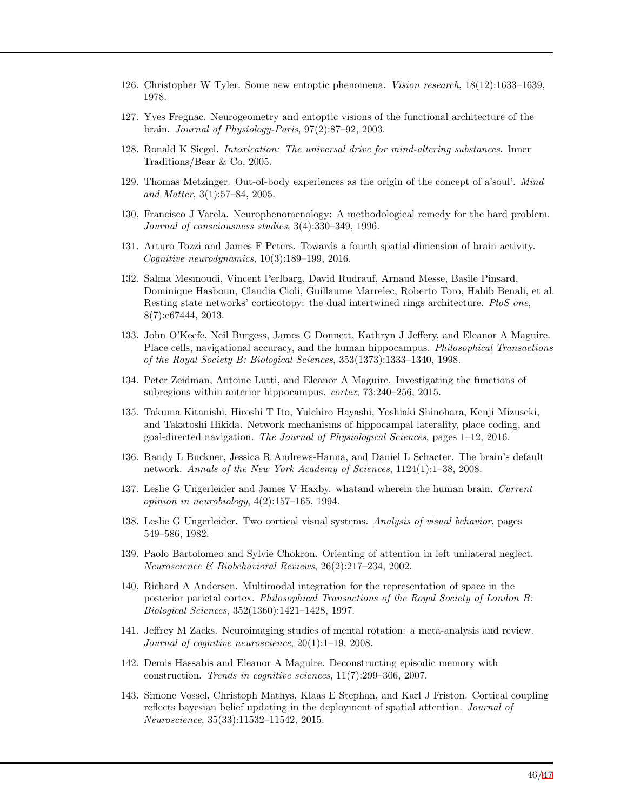- <span id="page-45-1"></span>126. Christopher W Tyler. Some new entoptic phenomena. *Vision research*, 18(12):1633–1639, 1978.
- <span id="page-45-2"></span>127. Yves Fregnac. Neurogeometry and entoptic visions of the functional architecture of the brain. *Journal of Physiology-Paris*, 97(2):87–92, 2003.
- <span id="page-45-0"></span>128. Ronald K Siegel. *Intoxication: The universal drive for mind-altering substances*. Inner Traditions/Bear & Co, 2005.
- <span id="page-45-3"></span>129. Thomas Metzinger. Out-of-body experiences as the origin of the concept of a'soul'. *Mind and Matter*, 3(1):57–84, 2005.
- <span id="page-45-4"></span>130. Francisco J Varela. Neurophenomenology: A methodological remedy for the hard problem. *Journal of consciousness studies*, 3(4):330–349, 1996.
- <span id="page-45-5"></span>131. Arturo Tozzi and James F Peters. Towards a fourth spatial dimension of brain activity. *Cognitive neurodynamics*, 10(3):189–199, 2016.
- <span id="page-45-6"></span>132. Salma Mesmoudi, Vincent Perlbarg, David Rudrauf, Arnaud Messe, Basile Pinsard, Dominique Hasboun, Claudia Cioli, Guillaume Marrelec, Roberto Toro, Habib Benali, et al. Resting state networks' corticotopy: the dual intertwined rings architecture. *PloS one*, 8(7):e67444, 2013.
- <span id="page-45-7"></span>133. John O'Keefe, Neil Burgess, James G Donnett, Kathryn J Jeffery, and Eleanor A Maguire. Place cells, navigational accuracy, and the human hippocampus. *Philosophical Transactions of the Royal Society B: Biological Sciences*, 353(1373):1333–1340, 1998.
- 134. Peter Zeidman, Antoine Lutti, and Eleanor A Maguire. Investigating the functions of subregions within anterior hippocampus. *cortex*, 73:240–256, 2015.
- <span id="page-45-8"></span>135. Takuma Kitanishi, Hiroshi T Ito, Yuichiro Hayashi, Yoshiaki Shinohara, Kenji Mizuseki, and Takatoshi Hikida. Network mechanisms of hippocampal laterality, place coding, and goal-directed navigation. *The Journal of Physiological Sciences*, pages 1–12, 2016.
- <span id="page-45-9"></span>136. Randy L Buckner, Jessica R Andrews-Hanna, and Daniel L Schacter. The brain's default network. *Annals of the New York Academy of Sciences*, 1124(1):1–38, 2008.
- <span id="page-45-10"></span>137. Leslie G Ungerleider and James V Haxby. whatand wherein the human brain. *Current opinion in neurobiology*, 4(2):157–165, 1994.
- <span id="page-45-11"></span>138. Leslie G Ungerleider. Two cortical visual systems. *Analysis of visual behavior*, pages 549–586, 1982.
- <span id="page-45-12"></span>139. Paolo Bartolomeo and Sylvie Chokron. Orienting of attention in left unilateral neglect. *Neuroscience & Biobehavioral Reviews*, 26(2):217–234, 2002.
- <span id="page-45-13"></span>140. Richard A Andersen. Multimodal integration for the representation of space in the posterior parietal cortex. *Philosophical Transactions of the Royal Society of London B: Biological Sciences*, 352(1360):1421–1428, 1997.
- <span id="page-45-14"></span>141. Jeffrey M Zacks. Neuroimaging studies of mental rotation: a meta-analysis and review. *Journal of cognitive neuroscience*, 20(1):1–19, 2008.
- <span id="page-45-15"></span>142. Demis Hassabis and Eleanor A Maguire. Deconstructing episodic memory with construction. *Trends in cognitive sciences*, 11(7):299–306, 2007.
- <span id="page-45-16"></span>143. Simone Vossel, Christoph Mathys, Klaas E Stephan, and Karl J Friston. Cortical coupling reflects bayesian belief updating in the deployment of spatial attention. *Journal of Neuroscience*, 35(33):11532–11542, 2015.